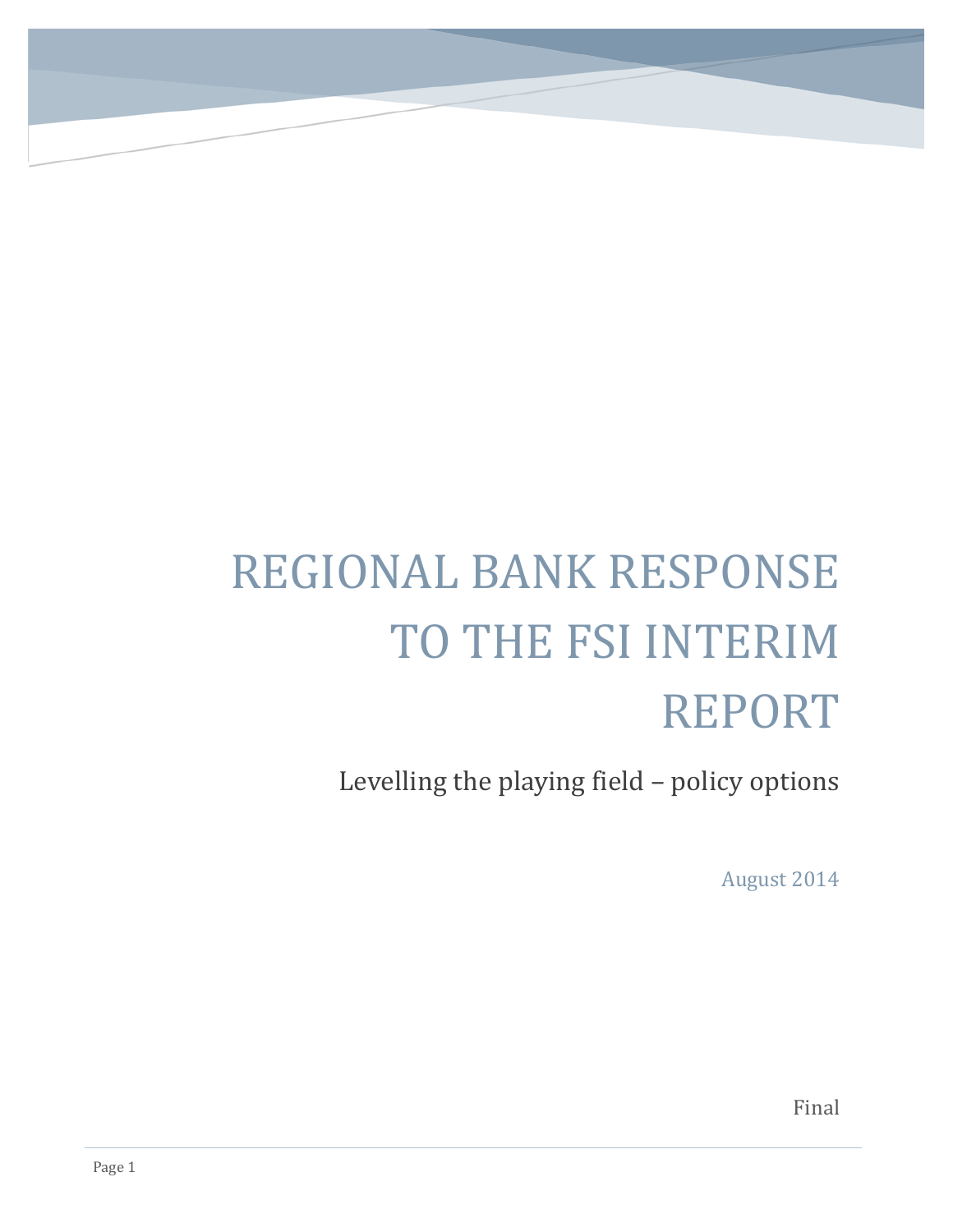# REGIONAL BANK RESPONSE TO THE FSI INTERIM REPORT

BACKGROUND AND EXECUTIVE SUMMARY SUMMARY SUMMARY SUMMARY SUMMARY SUMMARY SUMMARY

Levelling the playing field – policy options

August 2014

Final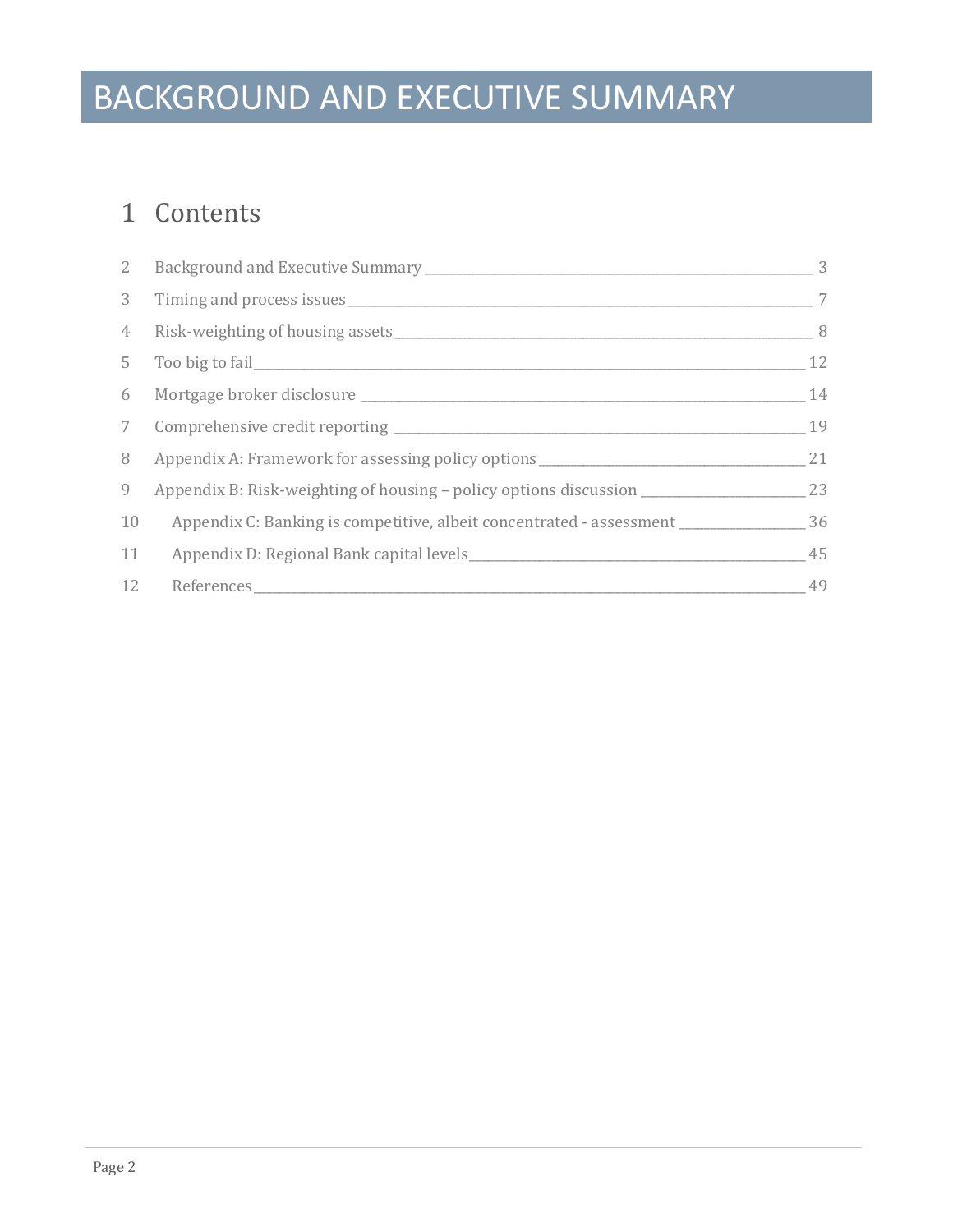## BACKGROUND AND EXECUTIVE SUMMARY

### Contents

| $\mathbf{2}$   |                                                                                   | 3              |
|----------------|-----------------------------------------------------------------------------------|----------------|
| 3 <sup>7</sup> |                                                                                   | $\overline{7}$ |
| 4              |                                                                                   | - 8            |
|                |                                                                                   | 12             |
| 6              |                                                                                   | 14             |
|                |                                                                                   | 19             |
| 8              | Appendix A: Framework for assessing policy options ______________________________ | 21             |
| 9              | Appendix B: Risk-weighting of housing – policy options discussion _______________ | 23             |
| 10             |                                                                                   |                |
| 11             |                                                                                   | 45             |
| 12             |                                                                                   | 49             |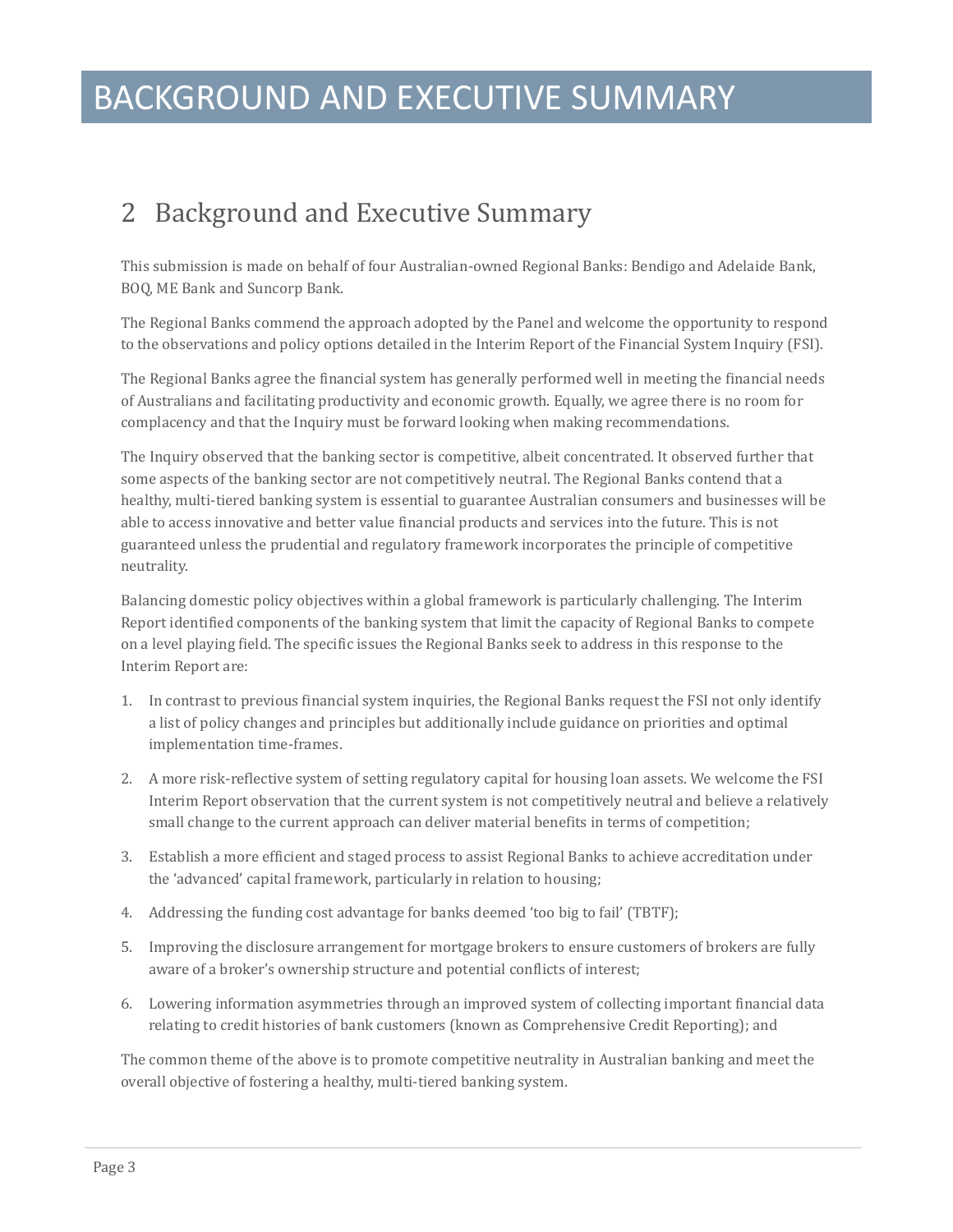### BACKGROUND AND EXECUTIVE SUMMARY

### <span id="page-2-0"></span>2 Background and Executive Summary

This submission is made on behalf of four Australian-owned Regional Banks: Bendigo and Adelaide Bank, BOQ, ME Bank and Suncorp Bank.

The Regional Banks commend the approach adopted by the Panel and welcome the opportunity to respond to the observations and policy options detailed in the Interim Report of the Financial System Inquiry (FSI).

The Regional Banks agree the financial system has generally performed well in meeting the financial needs of Australians and facilitating productivity and economic growth. Equally, we agree there is no room for complacency and that the Inquiry must be forward looking when making recommendations.

The Inquiry observed that the banking sector is competitive, albeit concentrated. It observed further that some aspects of the banking sector are not competitively neutral. The Regional Banks contend that a healthy, multi-tiered banking system is essential to guarantee Australian consumers and businesses will be able to access innovative and better value financial products and services into the future. This is not guaranteed unless the prudential and regulatory framework incorporates the principle of competitive neutrality.

Balancing domestic policy objectives within a global framework is particularly challenging. The Interim Report identified components of the banking system that limit the capacity of Regional Banks to compete on a level playing field. The specific issues the Regional Banks seek to address in this response to the Interim Report are:

- 1. In contrast to previous financial system inquiries, the Regional Banks request the FSI not only identify a list of policy changes and principles but additionally include guidance on priorities and optimal implementation time-frames.
- 2. A more risk-reflective system of setting regulatory capital for housing loan assets. We welcome the FSI Interim Report observation that the current system is not competitively neutral and believe a relatively small change to the current approach can deliver material benefits in terms of competition;
- 3. Establish a more efficient and staged process to assist Regional Banks to achieve accreditation under the 'advanced' capital framework, particularly in relation to housing;
- 4. Addressing the funding cost advantage for banks deemed 'too big to fail' (TBTF);
- 5. Improving the disclosure arrangement for mortgage brokers to ensure customers of brokers are fully aware of a broker's ownership structure and potential conflicts of interest;
- 6. Lowering information asymmetries through an improved system of collecting important financial data relating to credit histories of bank customers (known as Comprehensive Credit Reporting); and

The common theme of the above is to promote competitive neutrality in Australian banking and meet the overall objective of fostering a healthy, multi-tiered banking system.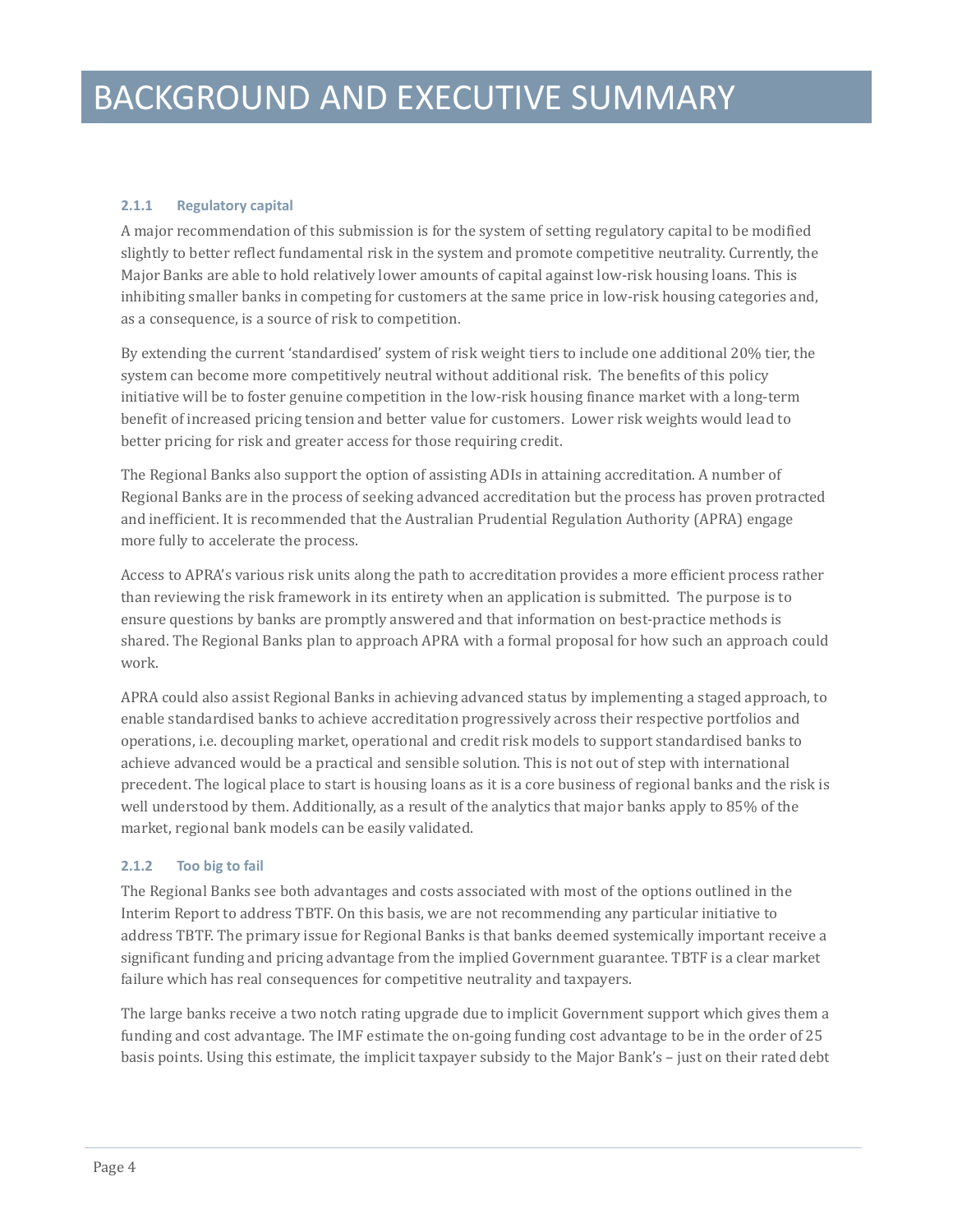#### **2.1.1 Regulatory capital**

A major recommendation of this submission is for the system of setting regulatory capital to be modified slightly to better reflect fundamental risk in the system and promote competitive neutrality. Currently, the Major Banks are able to hold relatively lower amounts of capital against low-risk housing loans. This is inhibiting smaller banks in competing for customers at the same price in low-risk housing categories and, as a consequence, is a source of risk to competition.

By extending the current 'standardised' system of risk weight tiers to include one additional 20% tier, the system can become more competitively neutral without additional risk. The benefits of this policy initiative will be to foster genuine competition in the low-risk housing finance market with a long-term benefit of increased pricing tension and better value for customers. Lower risk weights would lead to better pricing for risk and greater access for those requiring credit.

The Regional Banks also support the option of assisting ADIs in attaining accreditation. A number of Regional Banks are in the process of seeking advanced accreditation but the process has proven protracted and inefficient. It is recommended that the Australian Prudential Regulation Authority (APRA) engage more fully to accelerate the process.

Access to APRA's various risk units along the path to accreditation provides a more efficient process rather than reviewing the risk framework in its entirety when an application is submitted. The purpose is to ensure questions by banks are promptly answered and that information on best-practice methods is shared. The Regional Banks plan to approach APRA with a formal proposal for how such an approach could work.

APRA could also assist Regional Banks in achieving advanced status by implementing a staged approach, to enable standardised banks to achieve accreditation progressively across their respective portfolios and operations, i.e. decoupling market, operational and credit risk models to support standardised banks to achieve advanced would be a practical and sensible solution. This is not out of step with international precedent. The logical place to start is housing loans as it is a core business of regional banks and the risk is well understood by them. Additionally, as a result of the analytics that major banks apply to 85% of the market, regional bank models can be easily validated.

#### **2.1.2 Too big to fail**

The Regional Banks see both advantages and costs associated with most of the options outlined in the Interim Report to address TBTF. On this basis, we are not recommending any particular initiative to address TBTF. The primary issue for Regional Banks is that banks deemed systemically important receive a significant funding and pricing advantage from the implied Government guarantee. TBTF is a clear market failure which has real consequences for competitive neutrality and taxpayers.

<span id="page-3-0"></span>The large banks receive a two notch rating upgrade due to implicit Government support which gives them a funding and cost advantage. The IMF estimate the on-going funding cost advantage to be in the order of 25 basis points. Using this estimate, the implicit taxpayer subsidy to the Major Bank's – just on their rated debt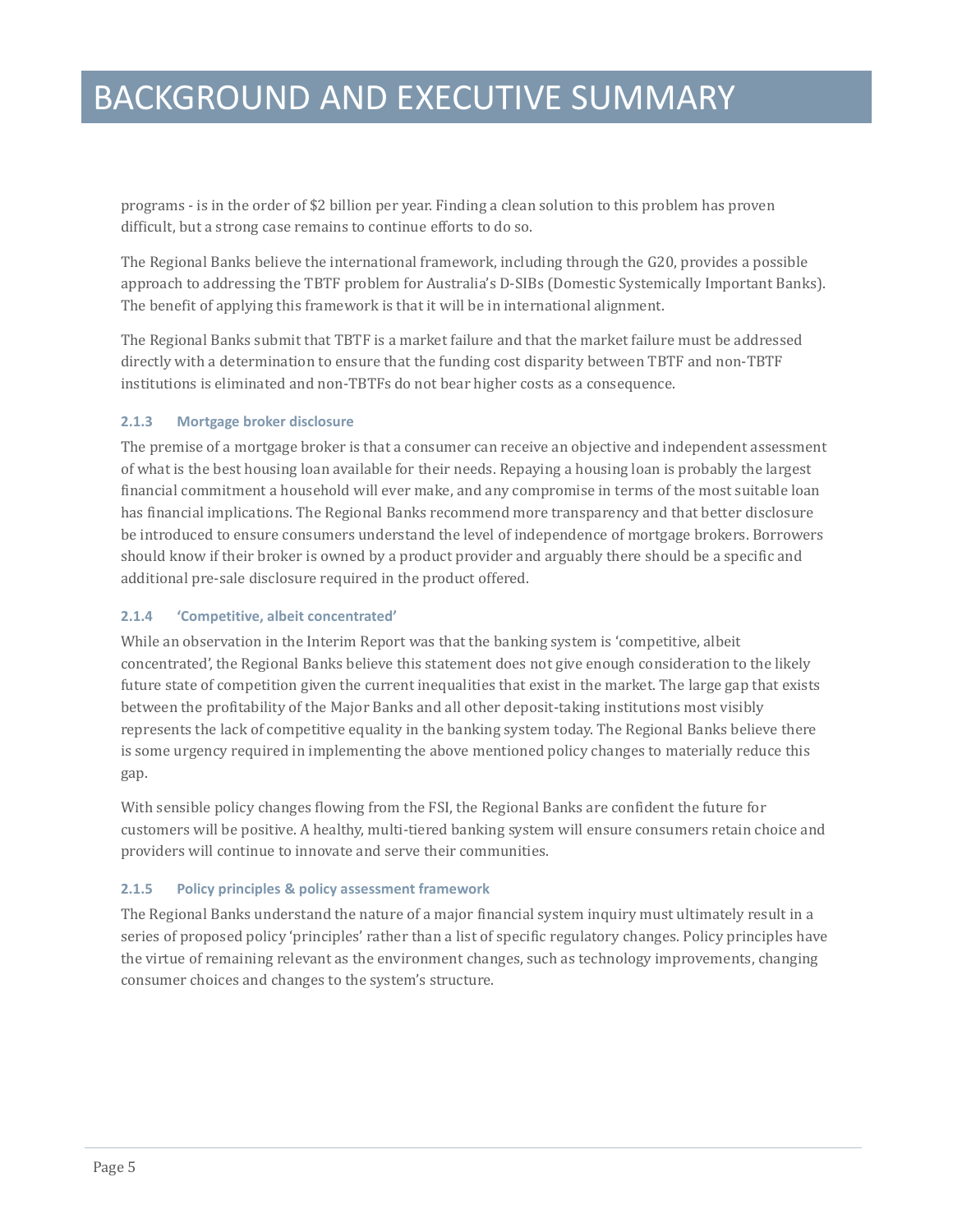### BACKGROUND AND EXECUTIVE SUMMARY

programs - is in the order of \$2 billion per year. Finding a clean solution to this problem has proven difficult, but a strong case remains to continue efforts to do so.

The Regional Banks believe the international framework, including through the G20, provides a possible approach to addressing the TBTF problem for Australia's D-SIBs (Domestic Systemically Important Banks). The benefit of applying this framework is that it will be in international alignment.

The Regional Banks submit that TBTF is a market failure and that the market failure must be addressed directly with a determination to ensure that the funding cost disparity between TBTF and non-TBTF institutions is eliminated and non-TBTFs do not bear higher costs as a consequence.

#### **2.1.3 Mortgage broker disclosure**

The premise of a mortgage broker is that a consumer can receive an objective and independent assessment of what is the best housing loan available for their needs. Repaying a housing loan is probably the largest financial commitment a household will ever make, and any compromise in terms of the most suitable loan has financial implications. The Regional Banks recommend more transparency and that better disclosure be introduced to ensure consumers understand the level of independence of mortgage brokers. Borrowers should know if their broker is owned by a product provider and arguably there should be a specific and additional pre-sale disclosure required in the product offered.

#### **2.1.4 'Competitive, albeit concentrated'**

While an observation in the Interim Report was that the banking system is 'competitive, albeit concentrated', the Regional Banks believe this statement does not give enough consideration to the likely future state of competition given the current inequalities that exist in the market. The large gap that exists between the profitability of the Major Banks and all other deposit-taking institutions most visibly represents the lack of competitive equality in the banking system today. The Regional Banks believe there is some urgency required in implementing the above mentioned policy changes to materially reduce this gap.

With sensible policy changes flowing from the FSI, the Regional Banks are confident the future for customers will be positive. A healthy, multi-tiered banking system will ensure consumers retain choice and providers will continue to innovate and serve their communities.

#### **2.1.5 Policy principles & policy assessment framework**

The Regional Banks understand the nature of a major financial system inquiry must ultimately result in a series of proposed policy 'principles' rather than a list of specific regulatory changes. Policy principles have the virtue of remaining relevant as the environment changes, such as technology improvements, changing consumer choices and changes to the system's structure.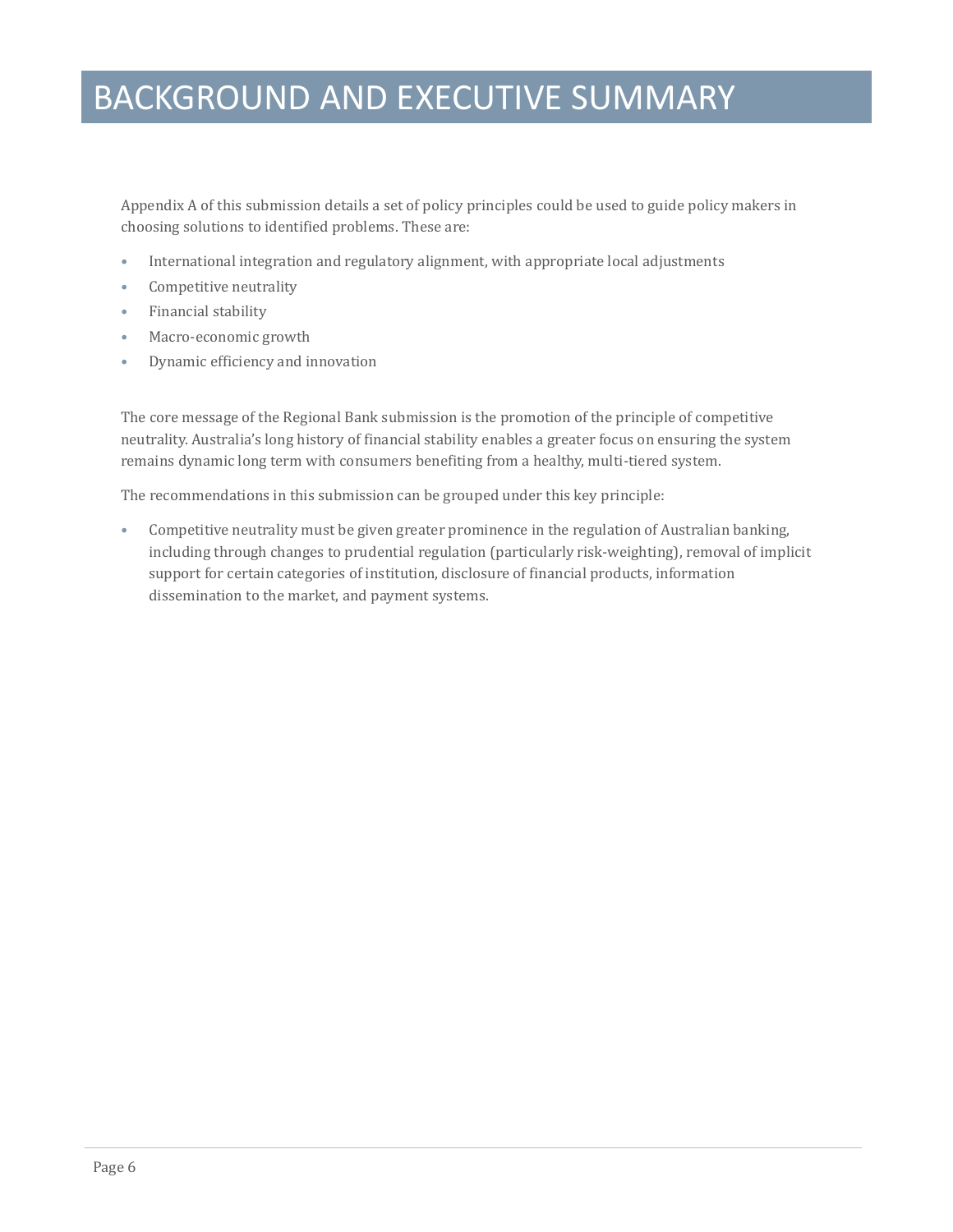### BACKGROUND AND EXECUTIVE SUMMARY

Appendix A of this submission details a set of policy principles could be used to guide policy makers in choosing solutions to identified problems. These are:

- International integration and regulatory alignment, with appropriate local adjustments
- Competitive neutrality
- Financial stability
- Macro-economic growth
- Dynamic efficiency and innovation

The core message of the Regional Bank submission is the promotion of the principle of competitive neutrality. Australia's long history of financial stability enables a greater focus on ensuring the system remains dynamic long term with consumers benefiting from a healthy, multi-tiered system.

The recommendations in this submission can be grouped under this key principle:

• Competitive neutrality must be given greater prominence in the regulation of Australian banking, including through changes to prudential regulation (particularly risk-weighting), removal of implicit support for certain categories of institution, disclosure of financial products, information dissemination to the market, and payment systems.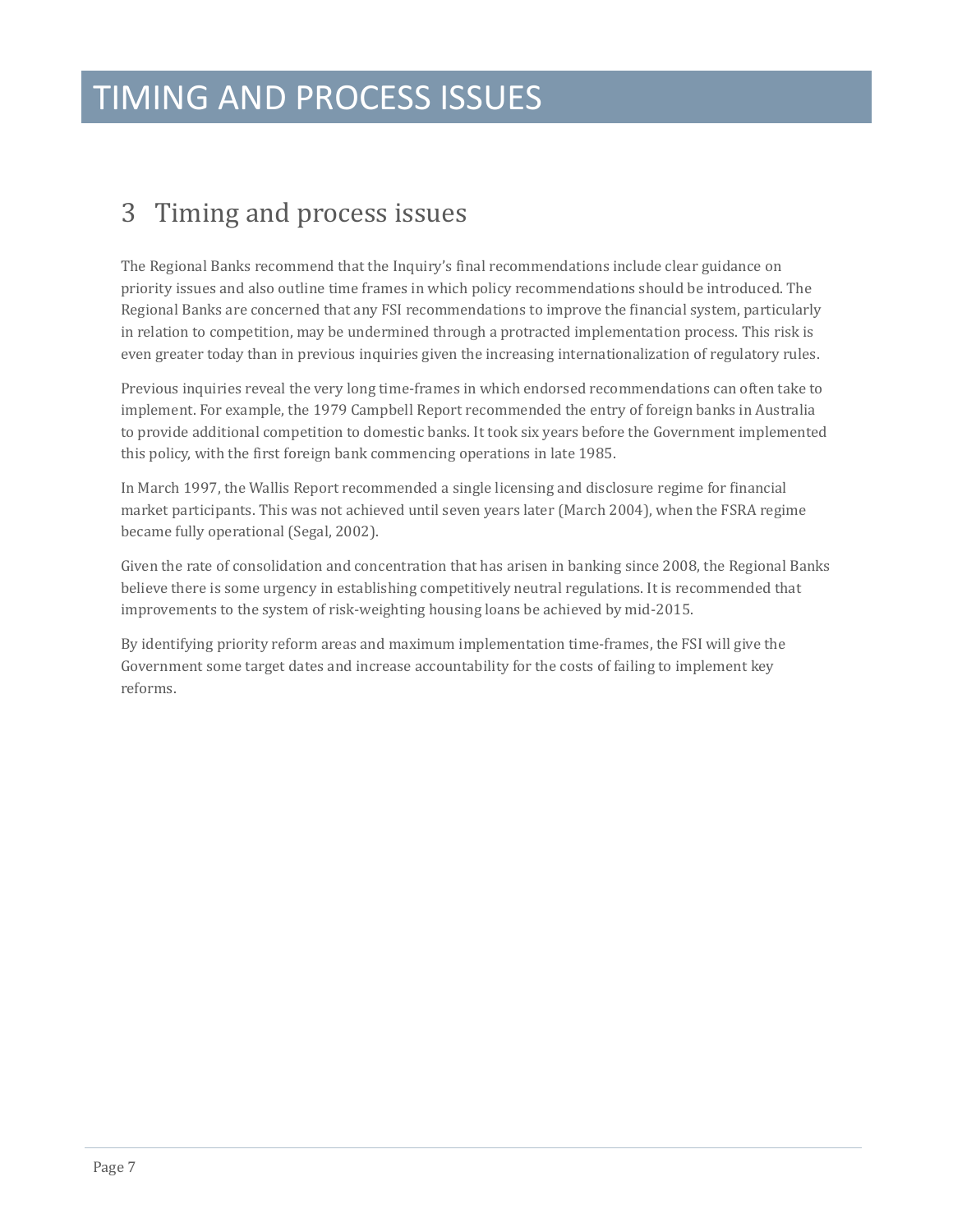### <span id="page-6-0"></span>3 Timing and process issues

The Regional Banks recommend that the Inquiry's final recommendations include clear guidance on priority issues and also outline time frames in which policy recommendations should be introduced. The Regional Banks are concerned that any FSI recommendations to improve the financial system, particularly in relation to competition, may be undermined through a protracted implementation process. This risk is even greater today than in previous inquiries given the increasing internationalization of regulatory rules.

Previous inquiries reveal the very long time-frames in which endorsed recommendations can often take to implement. For example, the 1979 Campbell Report recommended the entry of foreign banks in Australia to provide additional competition to domestic banks. It took six years before the Government implemented this policy, with the first foreign bank commencing operations in late 1985.

In March 1997, the Wallis Report recommended a single licensing and disclosure regime for financial market participants. This was not achieved until seven years later (March 2004), when the FSRA regime became fully operational (Segal, 2002).

Given the rate of consolidation and concentration that has arisen in banking since 2008, the Regional Banks believe there is some urgency in establishing competitively neutral regulations. It is recommended that improvements to the system of risk-weighting housing loans be achieved by mid-2015.

By identifying priority reform areas and maximum implementation time-frames, the FSI will give the Government some target dates and increase accountability for the costs of failing to implement key reforms.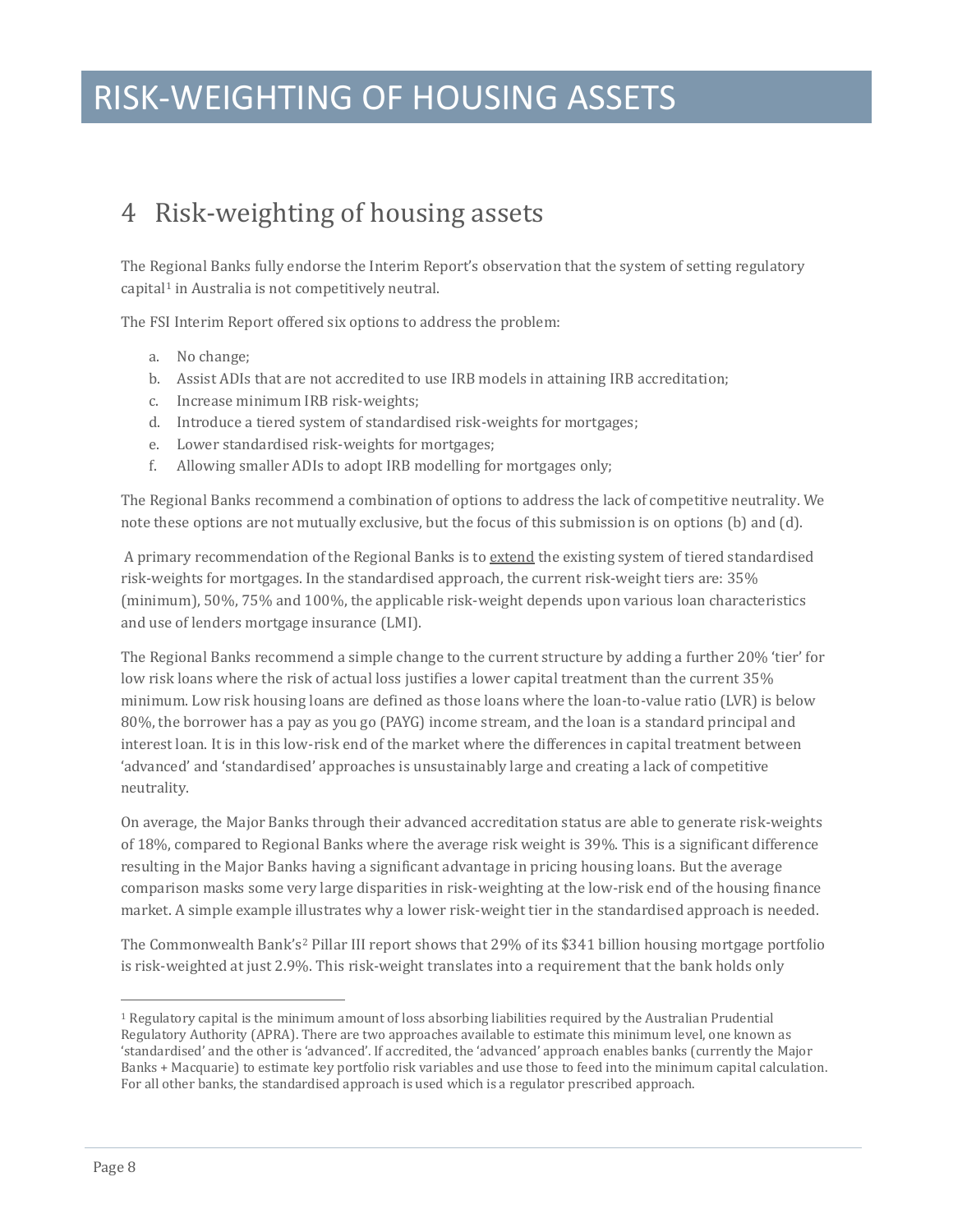### RISK-WEIGHTING OF HOUSING ASSETS

### <span id="page-7-0"></span>4 Risk-weighting of housing assets

The R[eg](#page-3-0)ional Banks fully endorse the Interim Report's observation that the system of setting regulatory  $c$ apital<sup>1</sup> in Australia is not competitively neutral.

The FSI Interim Report offered six options to address the problem:

- a. No change;
- b. Assist ADIs that are not accredited to use IRB models in attaining IRB accreditation;
- c. Increase minimum IRB risk-weights;
- d. Introduce a tiered system of standardised risk-weights for mortgages;
- e. Lower standardised risk-weights for mortgages;
- f. Allowing smaller ADIs to adopt IRB modelling for mortgages only;

The Regional Banks recommend a combination of options to address the lack of competitive neutrality. We note these options are not mutually exclusive, but the focus of this submission is on options (b) and (d).

A primary recommendation of the Regional Banks is to extend the existing system of tiered standardised risk-weights for mortgages. In the standardised approach, the current risk-weight tiers are: 35% (minimum), 50%, 75% and 100%, the applicable risk-weight depends upon various loan characteristics and use of lenders mortgage insurance (LMI).

The Regional Banks recommend a simple change to the current structure by adding a further 20% 'tier' for low risk loans where the risk of actual loss justifies a lower capital treatment than the current 35% minimum. Low risk housing loans are defined as those loans where the loan-to-value ratio (LVR) is below 80%, the borrower has a pay as you go (PAYG) income stream, and the loan is a standard principal and interest loan. It is in this low-risk end of the market where the differences in capital treatment between 'advanced' and 'standardised' approaches is unsustainably large and creating a lack of competitive neutrality.

On average, the Major Banks through their advanced accreditation status are able to generate risk-weights of 18%, compared to Regional Banks where the average risk weight is 39%. This is a significant difference resulting in the Major Banks having a significant advantage in pricing housing loans. But the average comparison masks some very large disparities in risk-weighting at the low-risk end of the housing finance market. A simple example illustrates why a lower risk-weight tier in the standardised approach is needed.

The Commonwealth Bank's<sup>[2](#page-7-1)</sup> Pillar III report shows that 29% of its \$341 billion housing mortgage portfolio is risk-weighted at just 2.9%. This risk-weight translates into a requirement that the bank holds only

<span id="page-7-2"></span><span id="page-7-1"></span>j <sup>1</sup> Regulatory capital is the minimum amount of loss absorbing liabilities required by the Australian Prudential Regulatory Authority (APRA). There are two approaches available to estimate this minimum level, one known as 'standardised' and the other is 'advanced'. If accredited, the 'advanced' approach enables banks (currently the Major Banks + Macquarie) to estimate key portfolio risk variables and use those to feed into the minimum capital calculation. For all other banks, the standardised approach is used which is a regulator prescribed approach.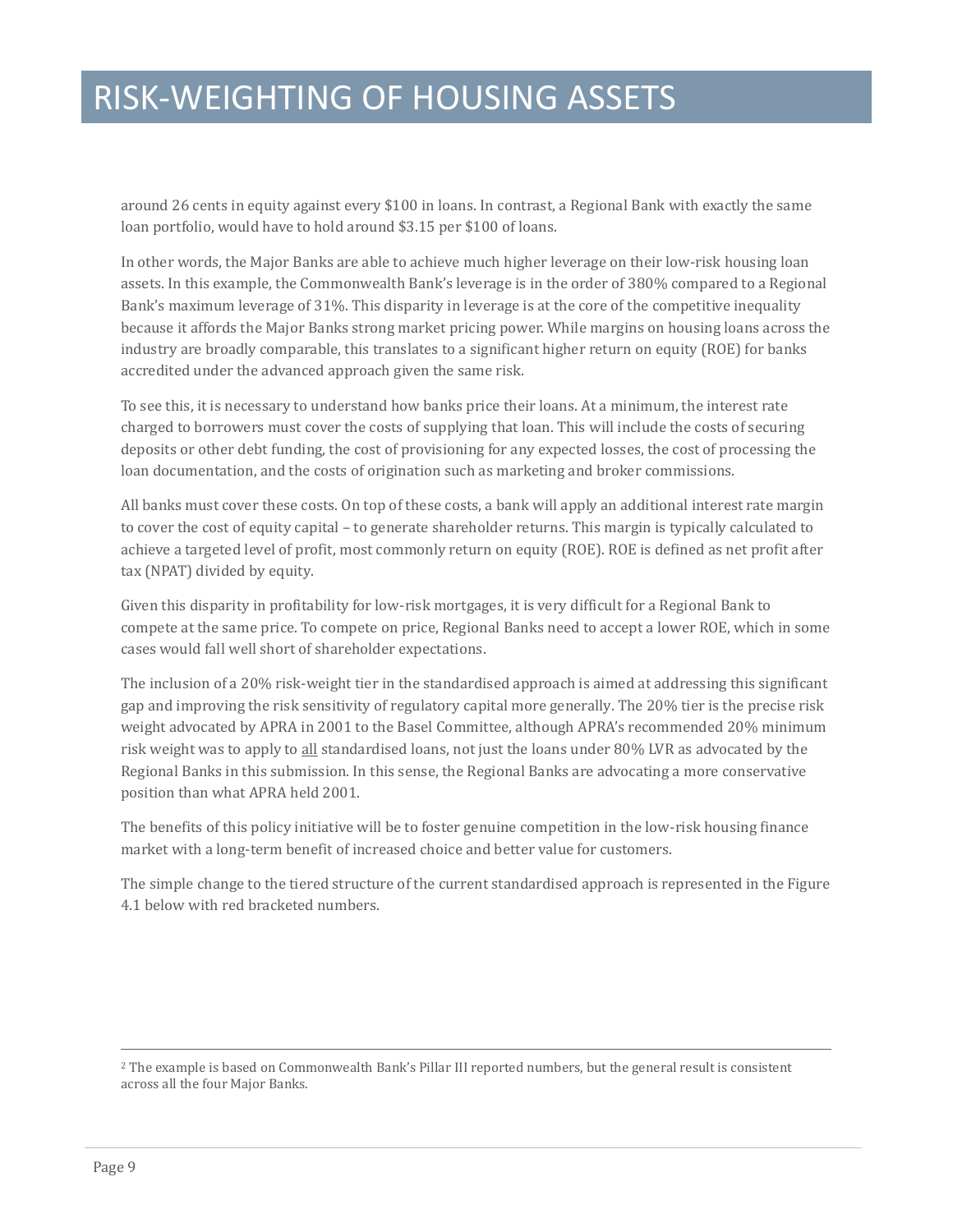### RISK-WEIGHTING OF HOUSING ASSETS

around 26 cents in equity against every \$100 in loans. In contrast, a Regional Bank with exactly the same loan portfolio, would have to hold around \$3.15 per \$100 of loans.

In other words, the Major Banks are able to achieve much higher leverage on their low-risk housing loan assets. In this example, the Commonwealth Bank's leverage is in the order of 380% compared to a Regional Bank's maximum leverage of 31%. This disparity in leverage is at the core of the competitive inequality because it affords the Major Banks strong market pricing power. While margins on housing loans across the industry are broadly comparable, this translates to a significant higher return on equity (ROE) for banks accredited under the advanced approach given the same risk.

To see this, it is necessary to understand how banks price their loans. At a minimum, the interest rate charged to borrowers must cover the costs of supplying that loan. This will include the costs of securing deposits or other debt funding, the cost of provisioning for any expected losses, the cost of processing the loan documentation, and the costs of origination such as marketing and broker commissions.

All banks must cover these costs. On top of these costs, a bank will apply an additional interest rate margin to cover the cost of equity capital – to generate shareholder returns. This margin is typically calculated to achieve a targeted level of profit, most commonly return on equity (ROE). ROE is defined as net profit after tax (NPAT) divided by equity.

Given this disparity in profitability for low-risk mortgages, it is very difficult for a Regional Bank to compete at the same price. To compete on price, Regional Banks need to accept a lower ROE, which in some cases would fall well short of shareholder expectations.

The inclusion of a 20% risk-weight tier in the standardised approach is aimed at addressing this significant gap and improving the risk sensitivity of regulatory capital more generally. The 20% tier is the precise risk weight advocated by APRA in 2001 to the Basel Committee, although APRA's recommended 20% minimum risk weight was to apply to all standardised loans, not just the loans under 80% LVR as advocated by the Regional Banks in this submission. In this sense, the Regional Banks are advocating a more conservative position than what APRA held 2001.

The benefits of this policy initiative will be to foster genuine competition in the low-risk housing finance market with a long-term benefit of increased choice and better value for customers.

The simple change to the tiered structure of the current standardised approach is represented in the Figure 4.1 below with red bracketed numbers.

j

<sup>2</sup> The example is based on Commonwealth Bank's Pillar III reported numbers, but the general result is consistent across all the four Major Banks.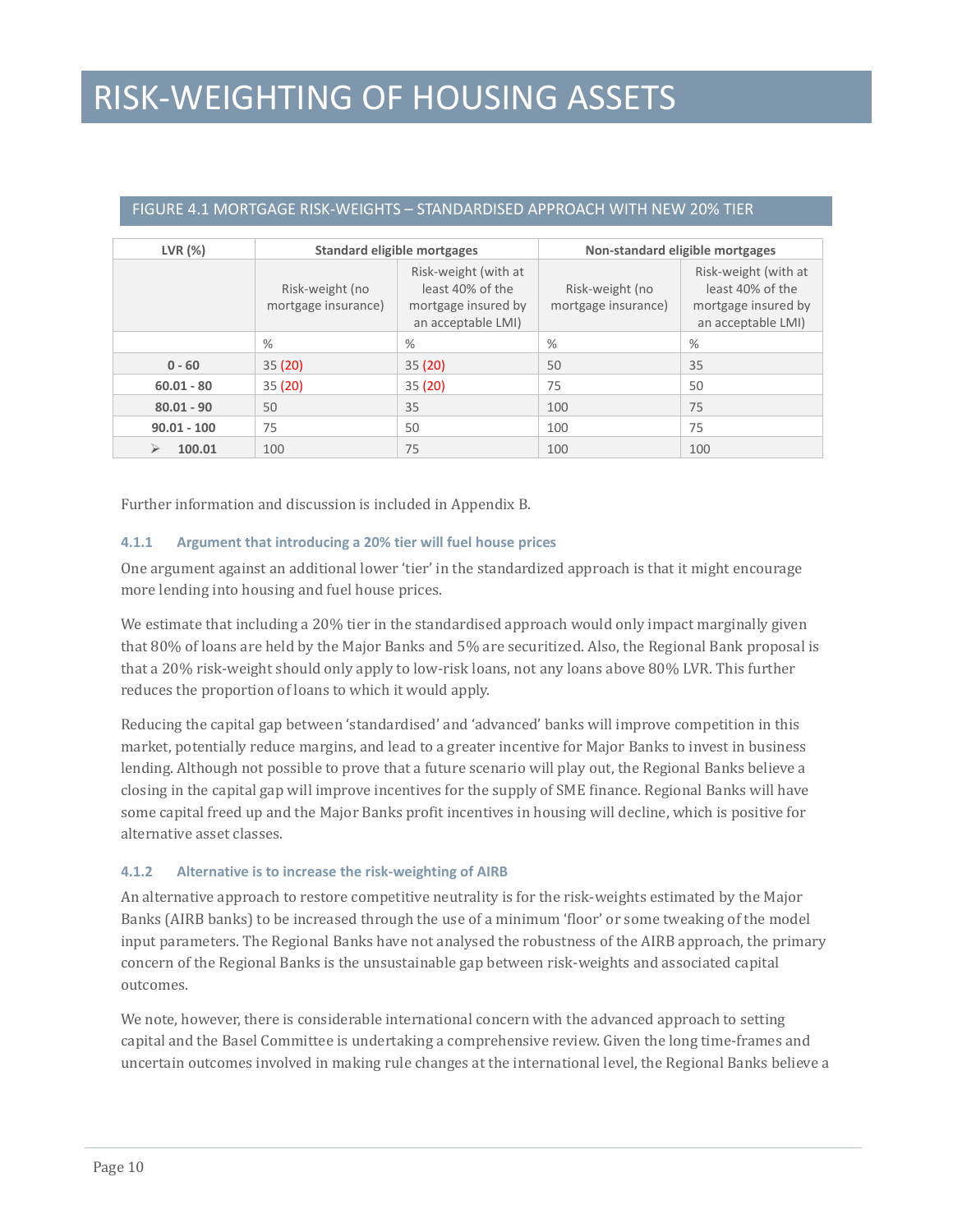### RISK-WEIGHTING OF HOUSING ASSETS

| LVR(%)        | <b>Standard eligible mortgages</b>     |                                                                                       | Non-standard eligible mortgages        |                                                                                       |  |
|---------------|----------------------------------------|---------------------------------------------------------------------------------------|----------------------------------------|---------------------------------------------------------------------------------------|--|
|               | Risk-weight (no<br>mortgage insurance) | Risk-weight (with at<br>least 40% of the<br>mortgage insured by<br>an acceptable LMI) | Risk-weight (no<br>mortgage insurance) | Risk-weight (with at<br>least 40% of the<br>mortgage insured by<br>an acceptable LMI) |  |
|               | %                                      | $\%$                                                                                  | %                                      | %                                                                                     |  |
| $0 - 60$      | 35(20)                                 | 35(20)                                                                                | 50                                     | 35                                                                                    |  |
| $60.01 - 80$  | 35(20)                                 | 35(20)                                                                                | 75                                     | 50                                                                                    |  |
| $80.01 - 90$  | 50                                     | 35                                                                                    | 100                                    | 75                                                                                    |  |
| $90.01 - 100$ | 75                                     | 50                                                                                    | 100                                    | 75                                                                                    |  |
| 100<br>100.01 |                                        | 75                                                                                    | 100                                    | 100                                                                                   |  |

#### FIGURE 4.1 MORTGAGE RISK-WEIGHTS – STANDARDISED APPROACH WITH NEW 20% TIER

Further information and discussion is included in Appendix B.

#### **4.1.1 Argument that introducing a 20% tier will fuel house prices**

One argument against an additional lower 'tier' in the standardized approach is that it might encourage more lending into housing and fuel house prices.

We estimate that including a 20% tier in the standardised approach would only impact marginally given that 80% of loans are held by the Major Banks and 5% are securitized. Also, the Regional Bank proposal is that a 20% risk-weight should only apply to low-risk loans, not any loans above 80% LVR. This further reduces the proportion of loans to which it would apply.

Reducing the capital gap between 'standardised' and 'advanced' banks will improve competition in this market, potentially reduce margins, and lead to a greater incentive for Major Banks to invest in business lending. Although not possible to prove that a future scenario will play out, the Regional Banks believe a closing in the capital gap will improve incentives for the supply of SME finance. Regional Banks will have some capital freed up and the Major Banks profit incentives in housing will decline, which is positive for alternative asset classes.

#### **4.1.2 Alternative is to increase the risk-weighting of AIRB**

An alternative approach to restore competitive neutrality is for the risk-weights estimated by the Major Banks (AIRB banks) to be increased through the use of a minimum 'floor' or some tweaking of the model input parameters. The Regional Banks have not analysed the robustness of the AIRB approach, the primary concern of the Regional Banks is the unsustainable gap between risk-weights and associated capital outcomes.

We note, however, there is considerable international concern with the advanced approach to setting capital and the Basel Committee is undertaking a comprehensive review. Given the long time-frames and uncertain outcomes involved in making rule changes at the international level, the Regional Banks believe a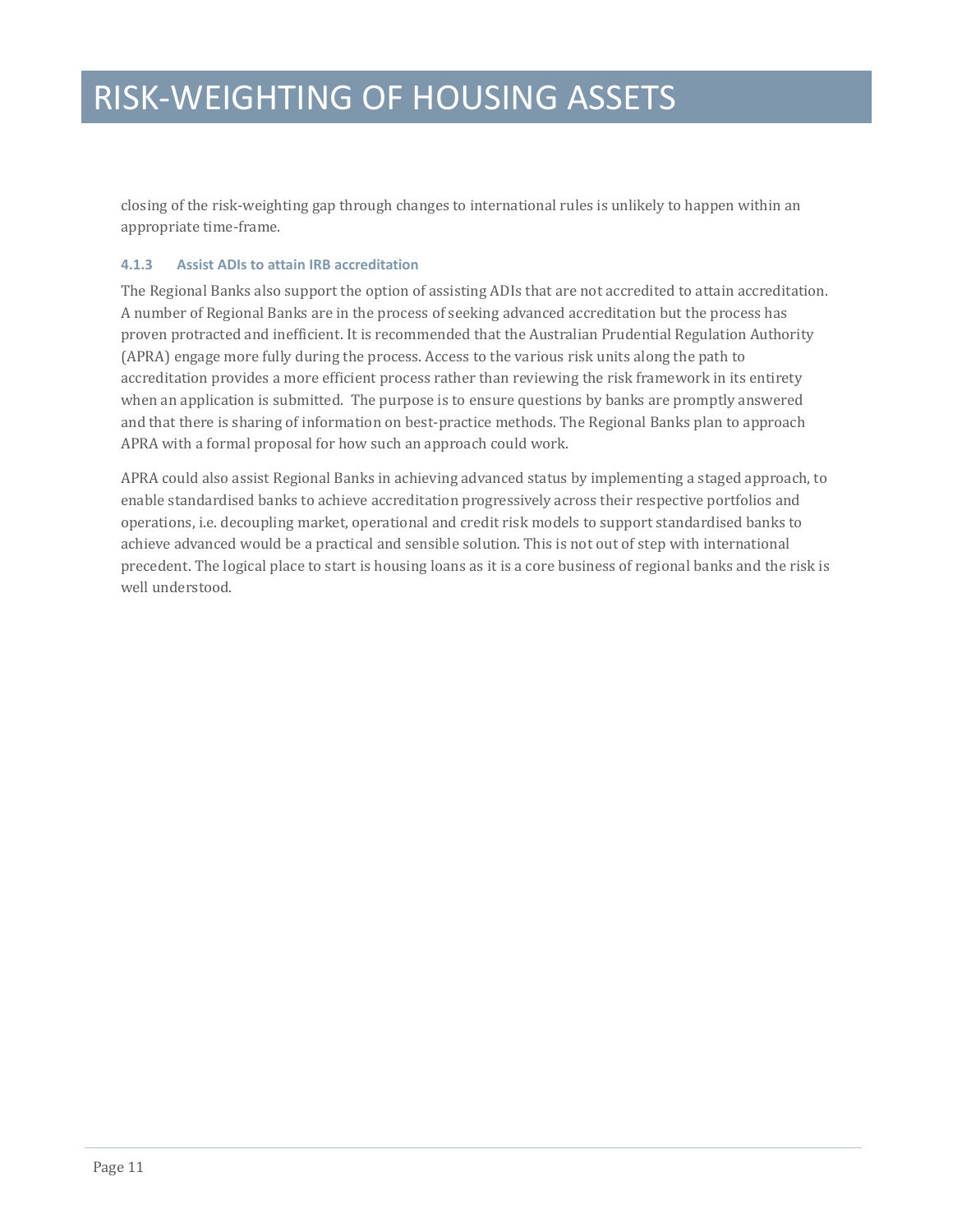closing of the risk-weighting gap through changes to international rules is unlikely to happen within an appropriate time-frame.

#### **4.1.3 Assist ADIs to attain IRB accreditation**

The Regional Banks also support the option of assisting ADIs that are not accredited to attain accreditation. A number of Regional Banks are in the process of seeking advanced accreditation but the process has proven protracted and inefficient. It is recommended that the Australian Prudential Regulation Authority (APRA) engage more fully during the process. Access to the various risk units along the path to accreditation provides a more efficient process rather than reviewing the risk framework in its entirety when an application is submitted. The purpose is to ensure questions by banks are promptly answered and that there is sharing of information on best-practice methods. The Regional Banks plan to approach APRA with a formal proposal for how such an approach could work.

APRA could also assist Regional Banks in achieving advanced status by implementing a staged approach, to enable standardised banks to achieve accreditation progressively across their respective portfolios and operations, i.e. decoupling market, operational and credit risk models to support standardised banks to achieve advanced would be a practical and sensible solution. This is not out of step with international precedent. The logical place to start is housing loans as it is a core business of regional banks and the risk is well understood.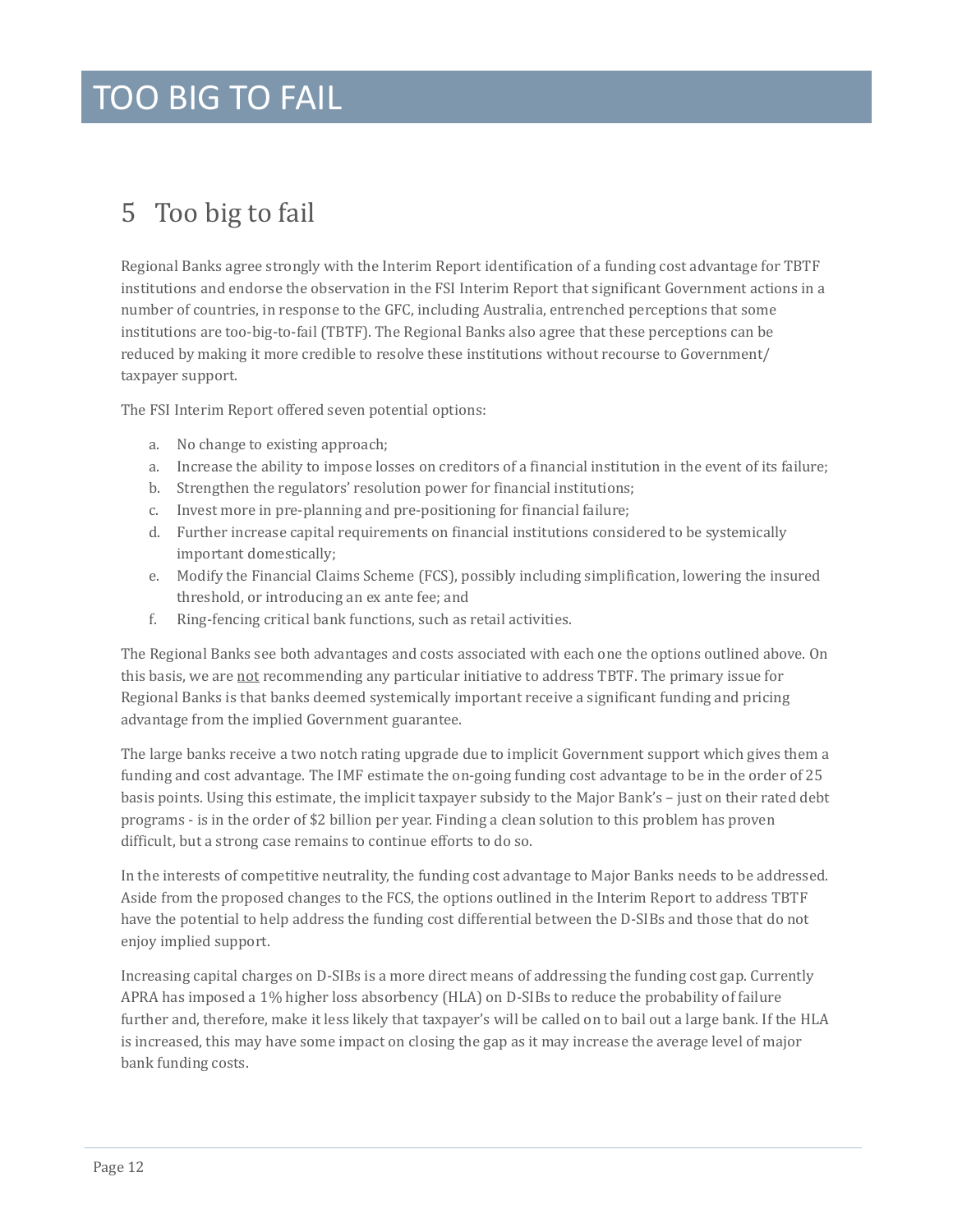### TOO BIG TO FAIL

### <span id="page-11-0"></span>5 Too big to fail

Regional Banks agree strongly with the Interim Report identification of a funding cost advantage for TBTF institutions and endorse the observation in the FSI Interim Report that significant Government actions in a number of countries, in response to the GFC, including Australia, entrenched perceptions that some institutions are too-big-to-fail (TBTF). The Regional Banks also agree that these perceptions can be reduced by making it more credible to resolve these institutions without recourse to Government/ taxpayer support.

The FSI Interim Report offered seven potential options:

- a. No change to existing approach;
- a. Increase the ability to impose losses on creditors of a financial institution in the event of its failure;
- b. Strengthen the regulators' resolution power for financial institutions;
- c. Invest more in pre-planning and pre-positioning for financial failure;
- d. Further increase capital requirements on financial institutions considered to be systemically important domestically;
- e. Modify the Financial Claims Scheme (FCS), possibly including simplification, lowering the insured threshold, or introducing an ex ante fee; and
- f. Ring-fencing critical bank functions, such as retail activities.

The Regional Banks see both advantages and costs associated with each one the options outlined above. On this basis, we are not recommending any particular initiative to address TBTF. The primary issue for Regional Banks is that banks deemed systemically important receive a significant funding and pricing advantage from the implied Government guarantee.

The large banks receive a two notch rating upgrade due to implicit Government support which gives them a funding and cost advantage. The IMF estimate the on-going funding cost advantage to be in the order of 25 basis points. Using this estimate, the implicit taxpayer subsidy to the Major Bank's – just on their rated debt programs - is in the order of \$2 billion per year. Finding a clean solution to this problem has proven difficult, but a strong case remains to continue efforts to do so.

In the interests of competitive neutrality, the funding cost advantage to Major Banks needs to be addressed. Aside from the proposed changes to the FCS, the options outlined in the Interim Report to address TBTF have the potential to help address the funding cost differential between the D-SIBs and those that do not enjoy implied support.

Increasing capital charges on D-SIBs is a more direct means of addressing the funding cost gap. Currently APRA has imposed a 1% higher loss absorbency (HLA) on D-SIBs to reduce the probability of failure further and, therefore, make it less likely that taxpayer's will be called on to bail out a large bank. If the HLA is increased, this may have some impact on closing the gap as it may increase the average level of major bank funding costs.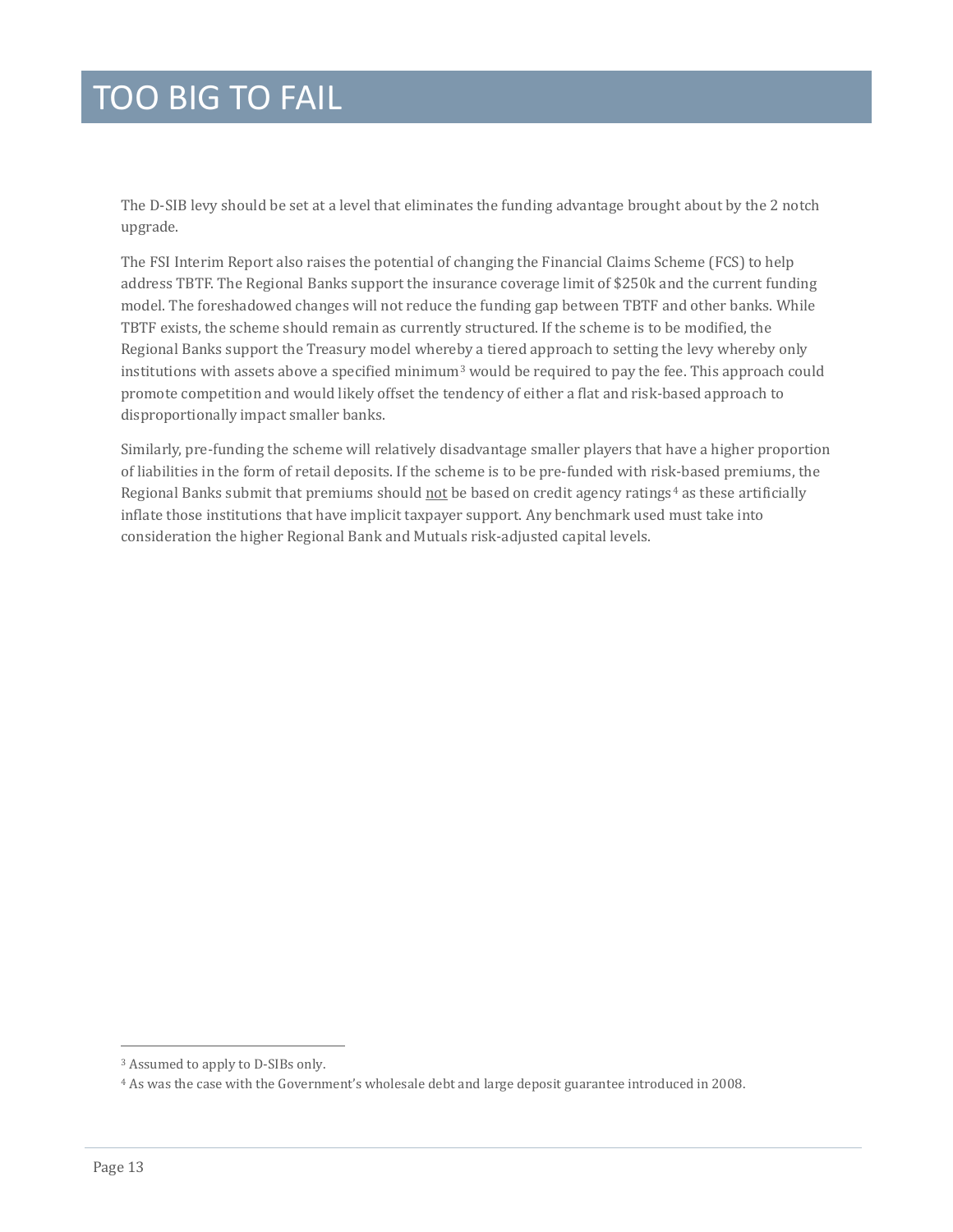### TOO BIG TO FAIL

The D-SIB levy should be set at a level that eliminates the funding advantage brought about by the 2 notch upgrade.

The FSI Interim Report also raises the potential of changing the Financial Claims Scheme (FCS) to help address TBTF. The Regional Banks support the insurance coverage limit of \$250k and the current funding model. The foreshadowed changes will not reduce the funding gap between TBTF and other banks. While TBTF exists, the scheme should remain as currently structured. If the scheme is to be modified, the Regional Banks support the Treasury model where[by](#page-7-2) a tiered approach to setting the levy whereby only institutions with assets above a specified minimum<sup>3</sup> would be required to pay the fee. This approach could promote competition and would likely offset the tendency of either a flat and risk-based approach to disproportionally impact smaller banks.

Similarly, pre-funding the scheme will relatively disadvantage smaller players that have a higher proportion of liabilities in the form of retail deposits. If the scheme is to be pre-funded with risk-based premiums, the Regional Banks submit that premiums should not be based on credit agency ratings<sup>[4](#page-12-0)</sup> as these artificially inflate those institutions that have implicit taxpayer support. Any benchmark used must take into consideration the higher Regional Bank and Mutuals risk-adjusted capital levels.

j <sup>3</sup> Assumed to apply to D-SIBs only.

<span id="page-12-0"></span><sup>4</sup> As was the case with the Government's wholesale debt and large deposit guarantee introduced in 2008.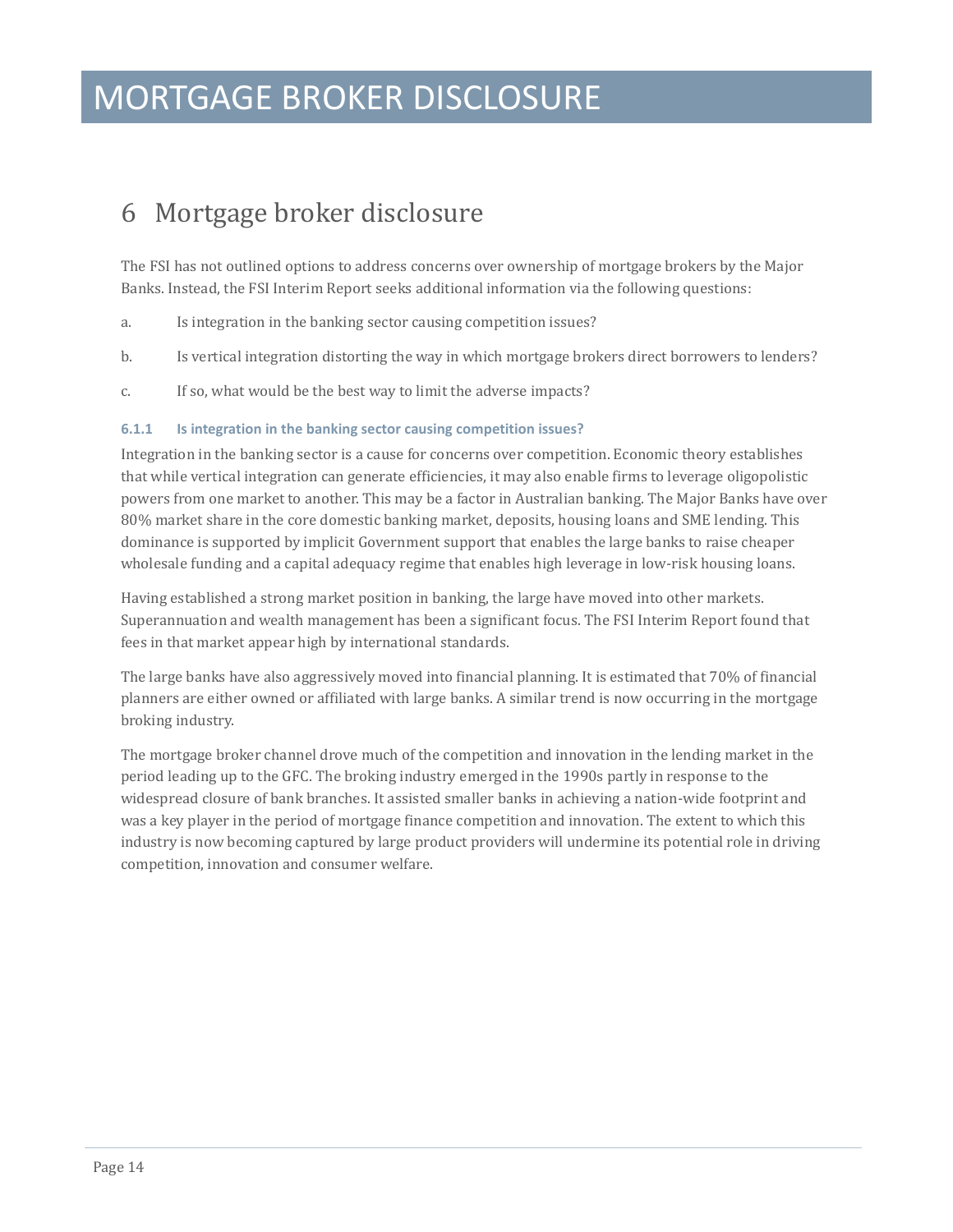### <span id="page-13-0"></span>6 Mortgage broker disclosure

The FSI has not outlined options to address concerns over ownership of mortgage brokers by the Major Banks. Instead, the FSI Interim Report seeks additional information via the following questions:

- a. Is integration in the banking sector causing competition issues?
- b. Is vertical integration distorting the way in which mortgage brokers direct borrowers to lenders?
- c. If so, what would be the best way to limit the adverse impacts?

#### **6.1.1 Is integration in the banking sector causing competition issues?**

Integration in the banking sector is a cause for concerns over competition. Economic theory establishes that while vertical integration can generate efficiencies, it may also enable firms to leverage oligopolistic powers from one market to another. This may be a factor in Australian banking. The Major Banks have over 80% market share in the core domestic banking market, deposits, housing loans and SME lending. This dominance is supported by implicit Government support that enables the large banks to raise cheaper wholesale funding and a capital adequacy regime that enables high leverage in low-risk housing loans.

Having established a strong market position in banking, the large have moved into other markets. Superannuation and wealth management has been a significant focus. The FSI Interim Report found that fees in that market appear high by international standards.

The large banks have also aggressively moved into financial planning. It is estimated that 70% of financial planners are either owned or affiliated with large banks. A similar trend is now occurring in the mortgage broking industry.

The mortgage broker channel drove much of the competition and innovation in the lending market in the period leading up to the GFC. The broking industry emerged in the 1990s partly in response to the widespread closure of bank branches. It assisted smaller banks in achieving a nation-wide footprint and was a key player in the period of mortgage finance competition and innovation. The extent to which this industry is now becoming captured by large product providers will undermine its potential role in driving competition, innovation and consumer welfare.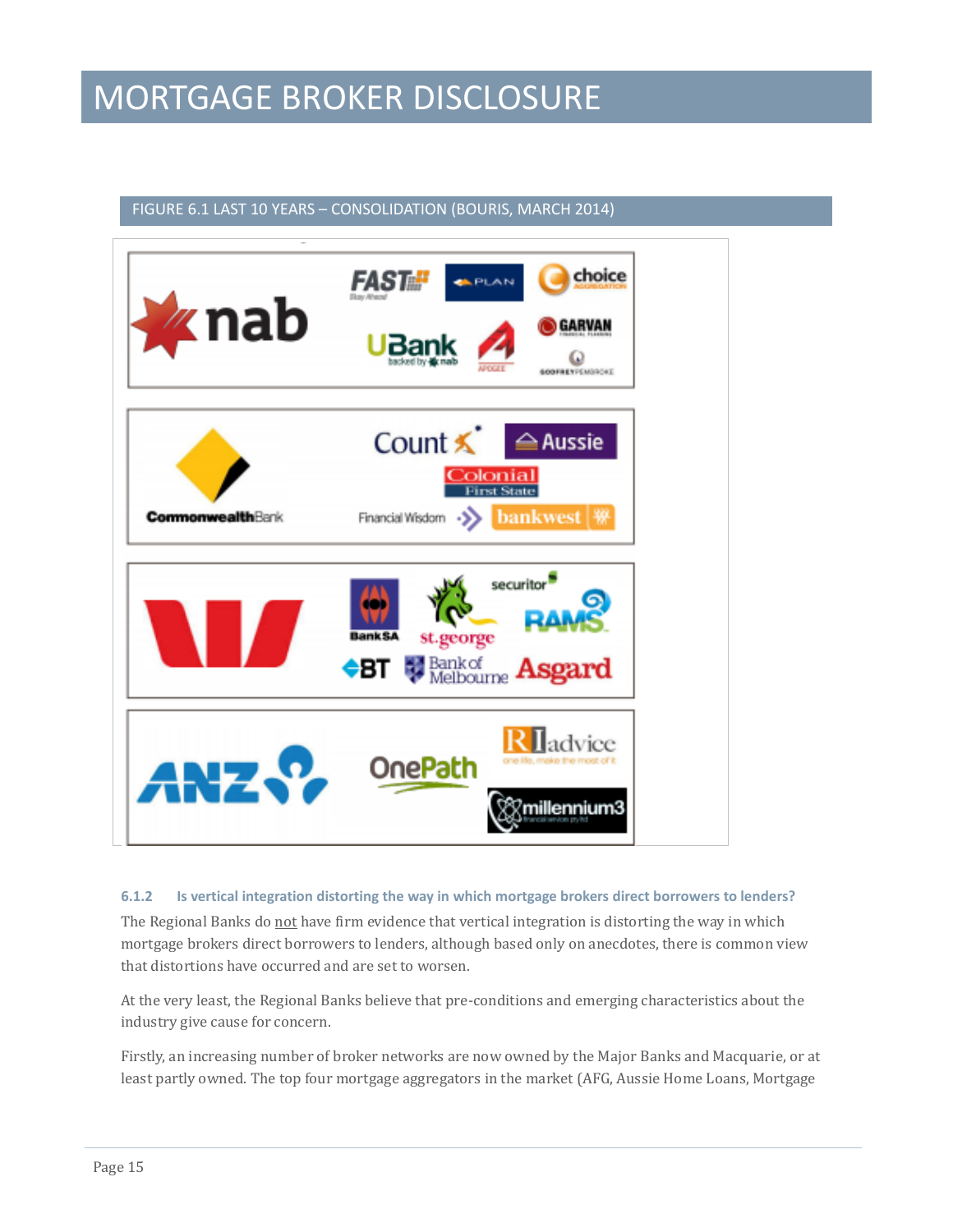### FIGURE 6.1 LAST 10 YEARS – CONSOLIDATION (BOURIS, MARCH 2014)



#### **6.1.2 Is vertical integration distorting the way in which mortgage brokers direct borrowers to lenders?**

The Regional Banks do not have firm evidence that vertical integration is distorting the way in which mortgage brokers direct borrowers to lenders, although based only on anecdotes, there is common view that distortions have occurred and are set to worsen.

At the very least, the Regional Banks believe that pre-conditions and emerging characteristics about the industry give cause for concern.

Firstly, an increasing number of broker networks are now owned by the Major Banks and Macquarie, or at least partly owned. The top four mortgage aggregators in the market (AFG, Aussie Home Loans, Mortgage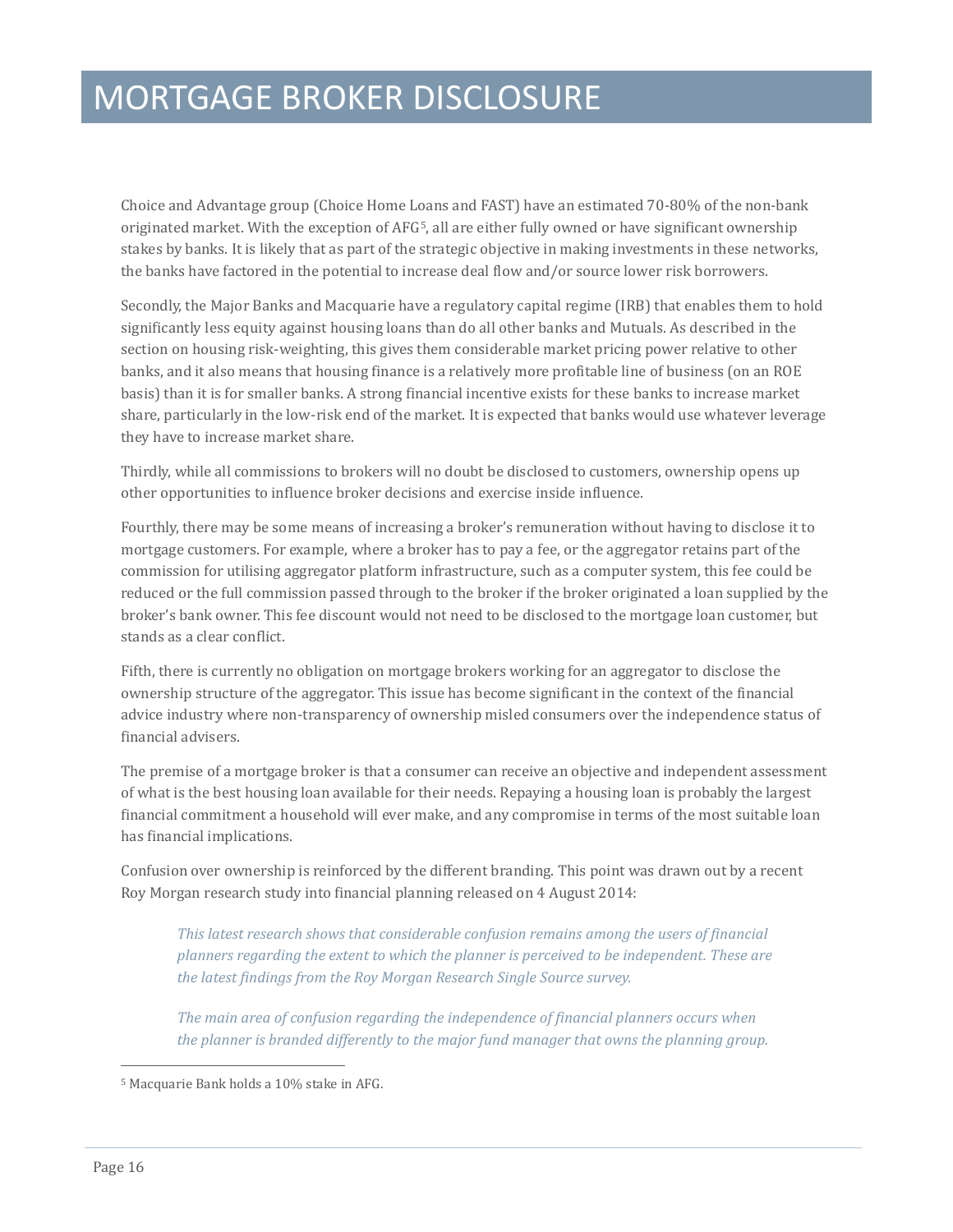Choice and Advantage group (Choice Home Loans and FAST) have an estimated 70-80% of the non-bank originated market. With the exception of AFG[5,](#page-12-0) all are either fully owned or have significant ownership stakes by banks. It is likely that as part of the strategic objective in making investments in these networks, the banks have factored in the potential to increase deal flow and/or source lower risk borrowers.

Secondly, the Major Banks and Macquarie have a regulatory capital regime (IRB) that enables them to hold significantly less equity against housing loans than do all other banks and Mutuals. As described in the section on housing risk-weighting, this gives them considerable market pricing power relative to other banks, and it also means that housing finance is a relatively more profitable line of business (on an ROE basis) than it is for smaller banks. A strong financial incentive exists for these banks to increase market share, particularly in the low-risk end of the market. It is expected that banks would use whatever leverage they have to increase market share.

Thirdly, while all commissions to brokers will no doubt be disclosed to customers, ownership opens up other opportunities to influence broker decisions and exercise inside influence.

Fourthly, there may be some means of increasing a broker's remuneration without having to disclose it to mortgage customers. For example, where a broker has to pay a fee, or the aggregator retains part of the commission for utilising aggregator platform infrastructure, such as a computer system, this fee could be reduced or the full commission passed through to the broker if the broker originated a loan supplied by the broker's bank owner. This fee discount would not need to be disclosed to the mortgage loan customer, but stands as a clear conflict.

Fifth, there is currently no obligation on mortgage brokers working for an aggregator to disclose the ownership structure of the aggregator. This issue has become significant in the context of the financial advice industry where non-transparency of ownership misled consumers over the independence status of financial advisers.

The premise of a mortgage broker is that a consumer can receive an objective and independent assessment of what is the best housing loan available for their needs. Repaying a housing loan is probably the largest financial commitment a household will ever make, and any compromise in terms of the most suitable loan has financial implications.

Confusion over ownership is reinforced by the different branding. This point was drawn out by a recent Roy Morgan research study into financial planning released on 4 August 2014:

*This latest research shows that considerable confusion remains among the users of financial planners regarding the extent to which the planner is perceived to be independent. These are the latest findings from the Roy Morgan Research Single Source survey.*

*The main area of confusion regarding the independence of financial planners occurs when the planner is branded differently to the major fund manager that owns the planning group.* 

<span id="page-15-0"></span>j <sup>5</sup> Macquarie Bank holds a 10% stake in AFG.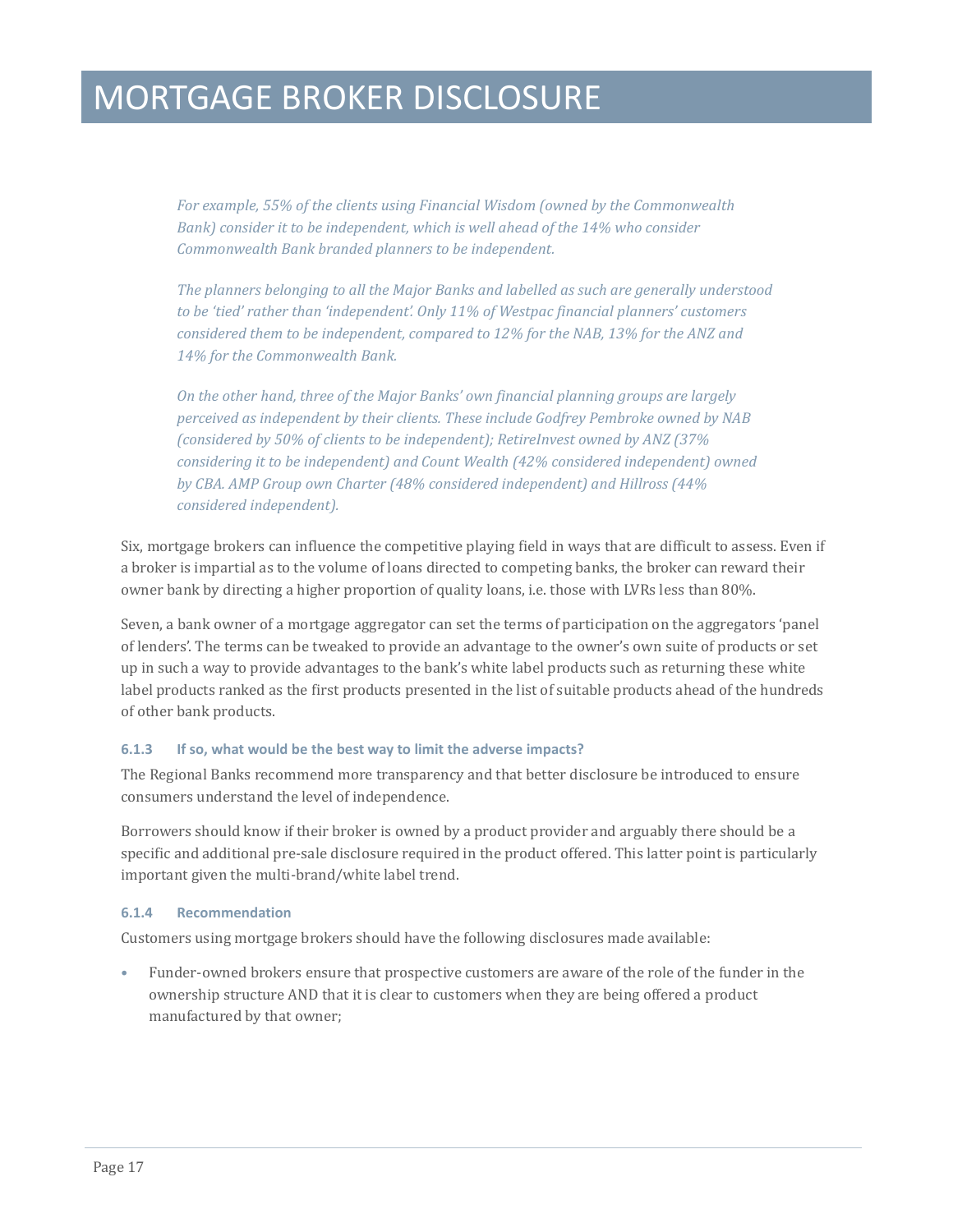*For example, 55% of the clients using Financial Wisdom (owned by the Commonwealth Bank)* consider it to be independent, which is well ahead of the 14% who consider *Commonwealth Bank branded planners to be independent.*

*The planners belonging to all the Major Banks and labelled as such are generally understood to be 'tied' rather than 'independent'. Only 11% of Westpac financial planners' customers considered them to be independent, compared to 12% for the NAB, 13% for the ANZ and 14% for the Commonwealth Bank.*

*On the other hand, three of the Major Banks' own financial planning groups are largely perceived as independent by their clients. These include Godfrey Pembroke owned by NAB (considered by 50% of clients to be independent); RetireInvest owned by ANZ (37% considering it to be independent) and Count Wealth (42% considered independent) owned by CBA. AMP Group own Charter (48% considered independent) and Hillross (44% considered independent).*

Six, mortgage brokers can influence the competitive playing field in ways that are difficult to assess. Even if a broker is impartial as to the volume of loans directed to competing banks, the broker can reward their owner bank by directing a higher proportion of quality loans, i.e. those with LVRs less than 80%.

Seven, a bank owner of a mortgage aggregator can set the terms of participation on the aggregators 'panel of lenders'. The terms can be tweaked to provide an advantage to the owner's own suite of products or set up in such a way to provide advantages to the bank's white label products such as returning these white label products ranked as the first products presented in the list of suitable products ahead of the hundreds of other bank products.

#### **6.1.3 If so, what would be the best way to limit the adverse impacts?**

The Regional Banks recommend more transparency and that better disclosure be introduced to ensure consumers understand the level of independence.

Borrowers should know if their broker is owned by a product provider and arguably there should be a specific and additional pre-sale disclosure required in the product offered. This latter point is particularly important given the multi-brand/white label trend.

#### **6.1.4 Recommendation**

Customers using mortgage brokers should have the following disclosures made available:

• Funder-owned brokers ensure that prospective customers are aware of the role of the funder in the ownership structure AND that it is clear to customers when they are being offered a product manufactured by that owner;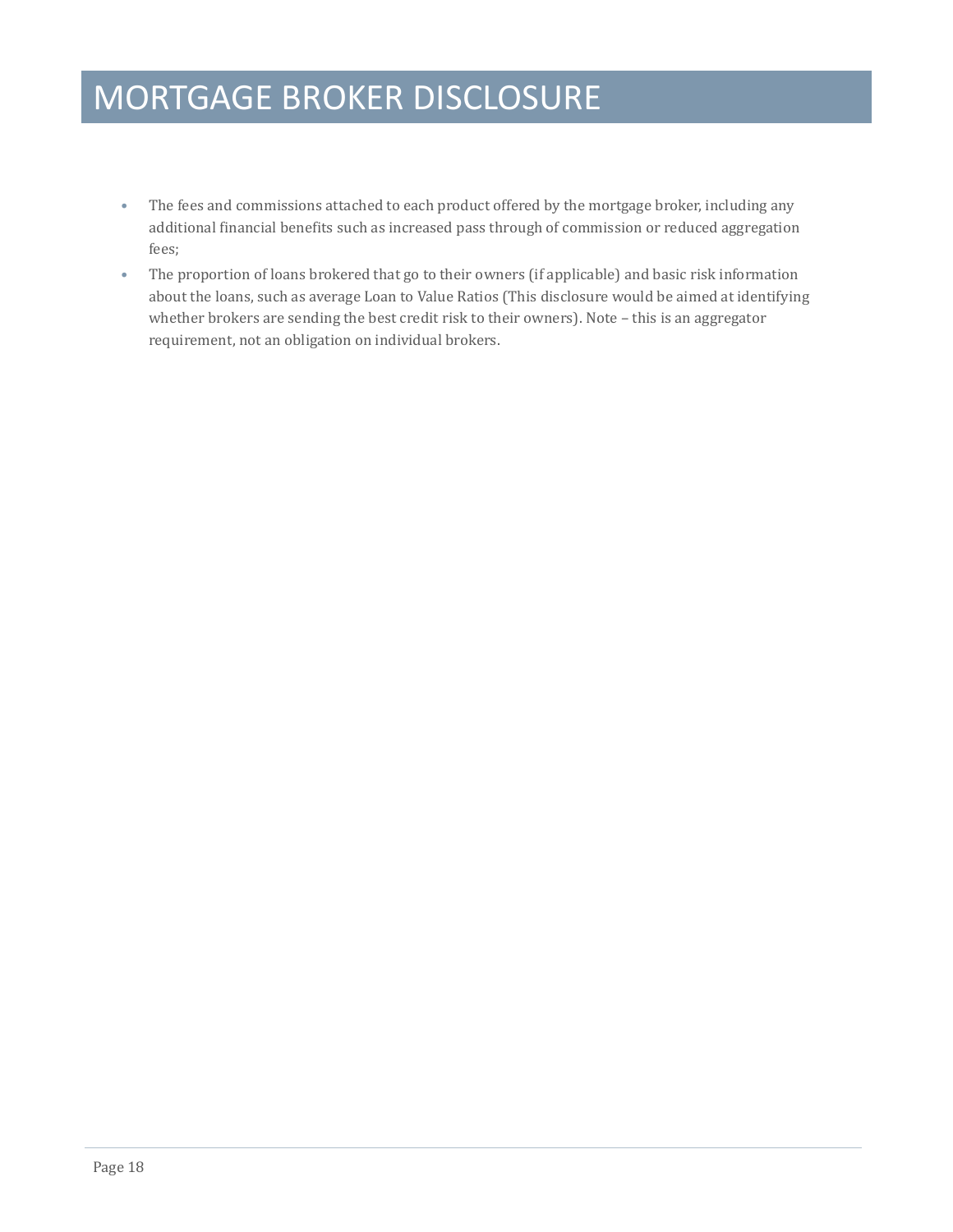- The fees and commissions attached to each product offered by the mortgage broker, including any additional financial benefits such as increased pass through of commission or reduced aggregation fees;
- The proportion of loans brokered that go to their owners (if applicable) and basic risk information about the loans, such as average Loan to Value Ratios (This disclosure would be aimed at identifying whether brokers are sending the best credit risk to their owners). Note – this is an aggregator requirement, not an obligation on individual brokers.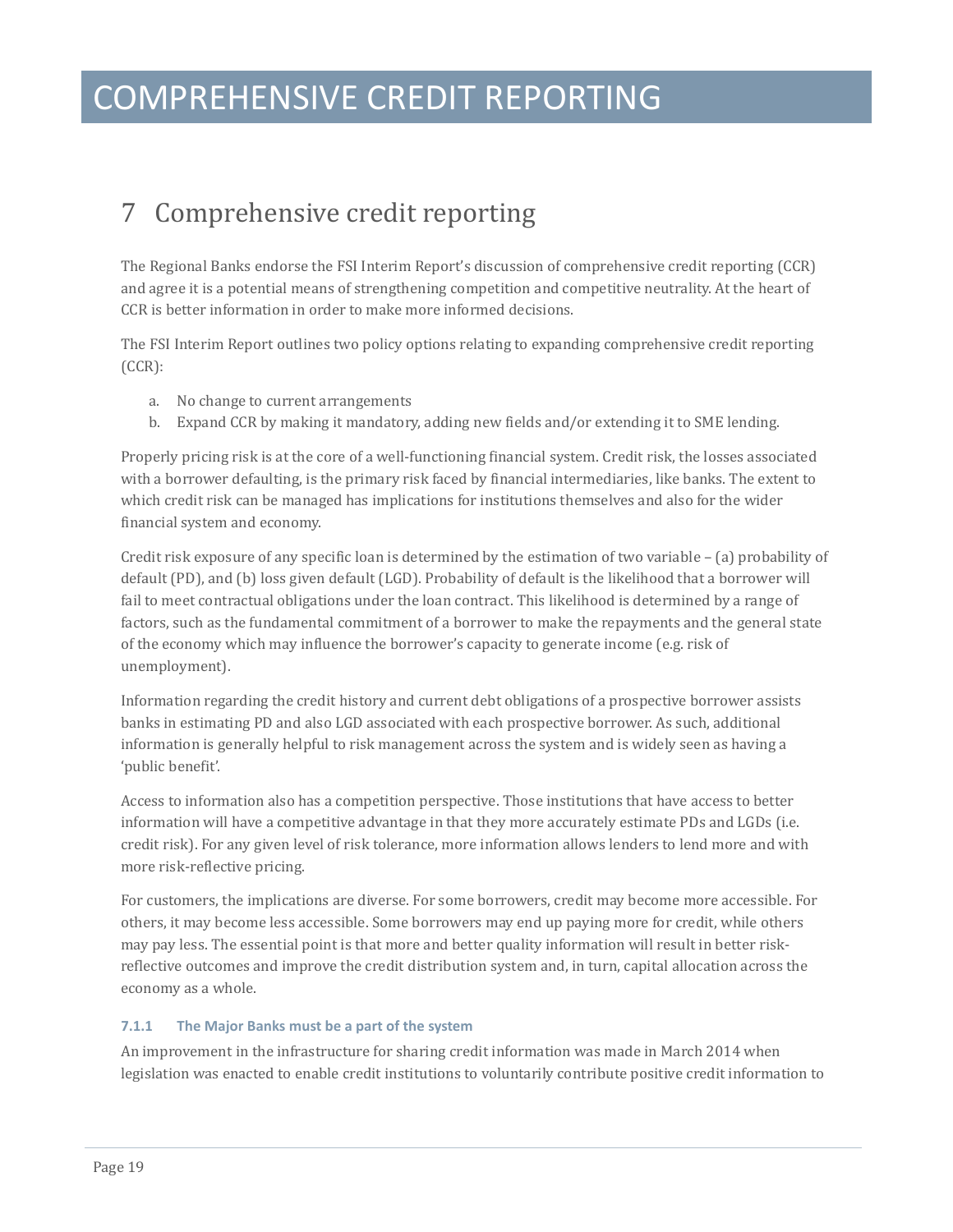### COMPREHENSIVE CREDIT REPORTING

### <span id="page-18-0"></span>7 Comprehensive credit reporting

The Regional Banks endorse the FSI Interim Report's discussion of comprehensive credit reporting (CCR) and agree it is a potential means of strengthening competition and competitive neutrality. At the heart of CCR is better information in order to make more informed decisions.

The FSI Interim Report outlines two policy options relating to expanding comprehensive credit reporting (CCR):

- a. No change to current arrangements
- b. Expand CCR by making it mandatory, adding new fields and/or extending it to SME lending.

Properly pricing risk is at the core of a well-functioning financial system. Credit risk, the losses associated with a borrower defaulting, is the primary risk faced by financial intermediaries, like banks. The extent to which credit risk can be managed has implications for institutions themselves and also for the wider financial system and economy.

Credit risk exposure of any specific loan is determined by the estimation of two variable – (a) probability of default (PD), and (b) loss given default (LGD). Probability of default is the likelihood that a borrower will fail to meet contractual obligations under the loan contract. This likelihood is determined by a range of factors, such as the fundamental commitment of a borrower to make the repayments and the general state of the economy which may influence the borrower's capacity to generate income (e.g. risk of unemployment).

Information regarding the credit history and current debt obligations of a prospective borrower assists banks in estimating PD and also LGD associated with each prospective borrower. As such, additional information is generally helpful to risk management across the system and is widely seen as having a 'public benefit'.

Access to information also has a competition perspective. Those institutions that have access to better information will have a competitive advantage in that they more accurately estimate PDs and LGDs (i.e. credit risk). For any given level of risk tolerance, more information allows lenders to lend more and with more risk-reflective pricing.

For customers, the implications are diverse. For some borrowers, credit may become more accessible. For others, it may become less accessible. Some borrowers may end up paying more for credit, while others may pay less. The essential point is that more and better quality information will result in better riskreflective outcomes and improve the credit distribution system and, in turn, capital allocation across the economy as a whole.

#### **7.1.1 The Major Banks must be a part of the system**

An improvement in the infrastructure for sharing credit information was made in March 2014 when legislation was enacted to enable credit institutions to voluntarily contribute positive credit information to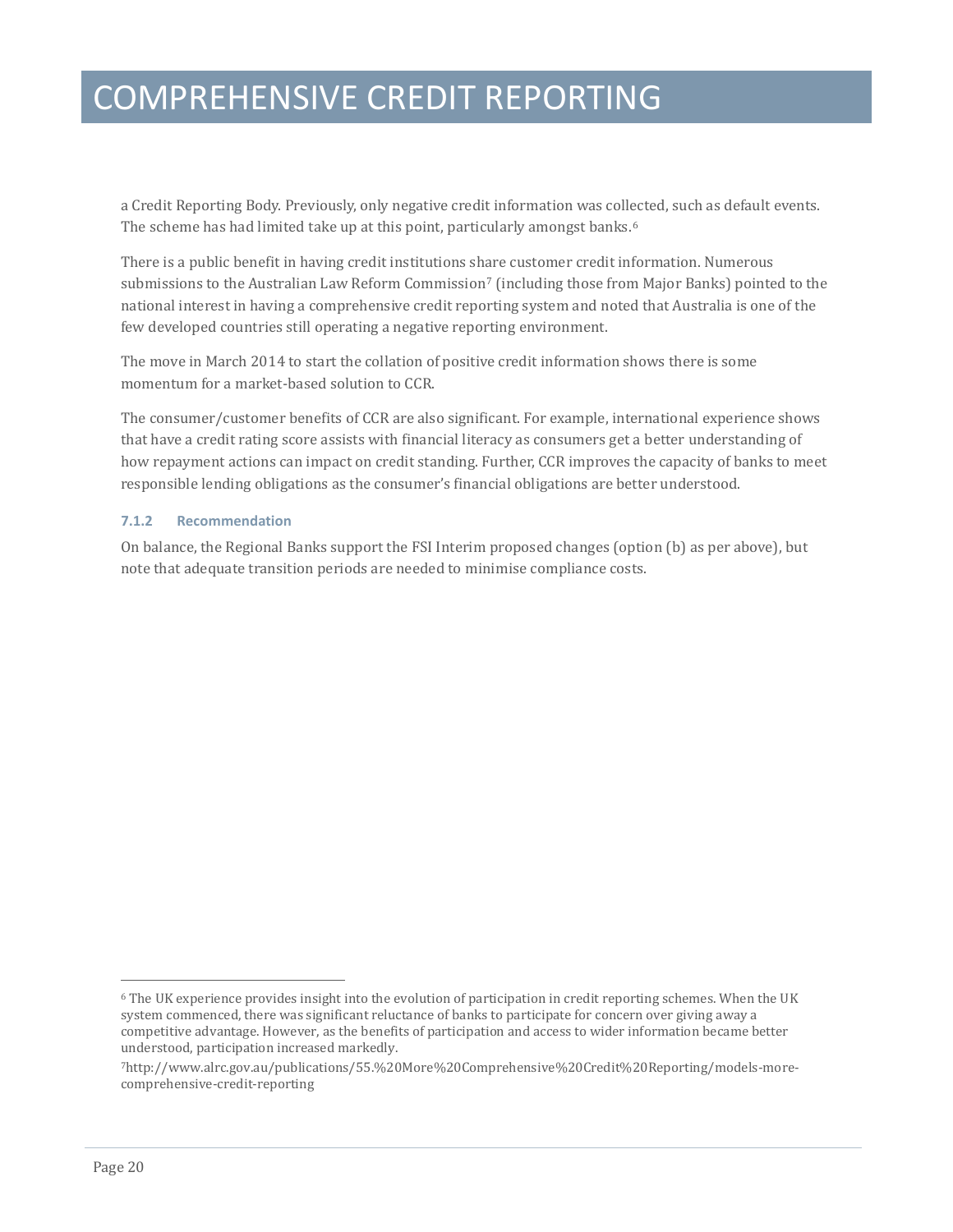### COMPREHENSIVE CREDIT REPORTING

a Credit Reporting Body. Previously, only negative credit information was collected, such as default events. The scheme has had limited take up at this point, particularly amongst banks.<sup>[6](#page-15-0)</sup>

There is a public benefit in having credit institutions sh[ar](#page-19-0)e customer credit information. Numerous submissions to the Australian Law Reform Commission<sup>7</sup> (including those from Major Banks) pointed to the national interest in having a comprehensive credit reporting system and noted that Australia is one of the few developed countries still operating a negative reporting environment.

The move in March 2014 to start the collation of positive credit information shows there is some momentum for a market-based solution to CCR.

The consumer/customer benefits of CCR are also significant. For example, international experience shows that have a credit rating score assists with financial literacy as consumers get a better understanding of how repayment actions can impact on credit standing. Further, CCR improves the capacity of banks to meet responsible lending obligations as the consumer's financial obligations are better understood.

#### **7.1.2 Recommendation**

On balance, the Regional Banks support the FSI Interim proposed changes (option (b) as per above), but note that adequate transition periods are needed to minimise compliance costs.

j

<sup>6</sup> The UK experience provides insight into the evolution of participation in credit reporting schemes. When the UK system commenced, there was significant reluctance of banks to participate for concern over giving away a competitive advantage. However, as the benefits of participation and access to wider information became better understood, participation increased markedly.

<span id="page-19-1"></span><span id="page-19-0"></span><sup>7</sup>http://www.alrc.gov.au/publications/55.%20More%20Comprehensive%20Credit%20Reporting/models-morecomprehensive-credit-reporting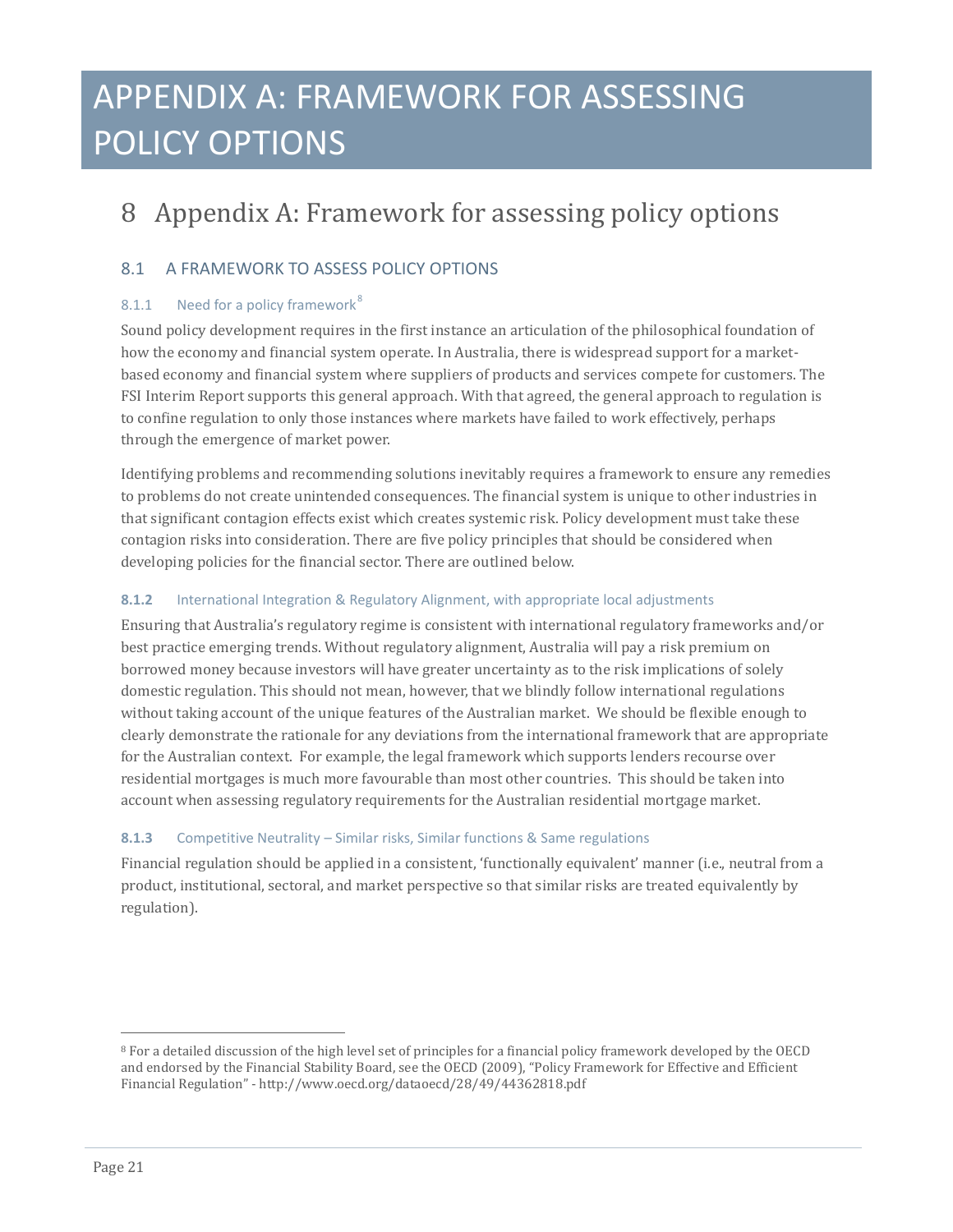## APPENDIX A: FRAMEWORK FOR ASSESSING POLICY OPTIONS

### <span id="page-20-0"></span>8 Appendix A: Framework for assessing policy options

### 8.1 A FRAMEWORK TO ASSESS POLICY OPTIONS

### [8](#page-19-1).1.1 Need for a policy framework<sup>8</sup>

Sound policy development requires in the first instance an articulation of the philosophical foundation of how the economy and financial system operate. In Australia, there is widespread support for a marketbased economy and financial system where suppliers of products and services compete for customers. The FSI Interim Report supports this general approach. With that agreed, the general approach to regulation is to confine regulation to only those instances where markets have failed to work effectively, perhaps through the emergence of market power.

Identifying problems and recommending solutions inevitably requires a framework to ensure any remedies to problems do not create unintended consequences. The financial system is unique to other industries in that significant contagion effects exist which creates systemic risk. Policy development must take these contagion risks into consideration. There are five policy principles that should be considered when developing policies for the financial sector. There are outlined below.

#### **8.1.2** International Integration & Regulatory Alignment, with appropriate local adjustments

Ensuring that Australia's regulatory regime is consistent with international regulatory frameworks and/or best practice emerging trends. Without regulatory alignment, Australia will pay a risk premium on borrowed money because investors will have greater uncertainty as to the risk implications of solely domestic regulation. This should not mean, however, that we blindly follow international regulations without taking account of the unique features of the Australian market. We should be flexible enough to clearly demonstrate the rationale for any deviations from the international framework that are appropriate for the Australian context. For example, the legal framework which supports lenders recourse over residential mortgages is much more favourable than most other countries. This should be taken into account when assessing regulatory requirements for the Australian residential mortgage market.

#### **8.1.3** Competitive Neutrality – Similar risks, Similar functions & Same regulations

Financial regulation should be applied in a consistent, 'functionally equivalent' manner (i.e., neutral from a product, institutional, sectoral, and market perspective so that similar risks are treated equivalently by regulation).

<span id="page-20-1"></span>j <sup>8</sup> For a detailed discussion of the high level set of principles for a financial policy framework developed by the OECD and endorsed by the Financial Stability Board, see the OECD (2009), "Policy Framework for Effective and Efficient Financial Regulation" - http://www.oecd.org/dataoecd/28/49/44362818.pdf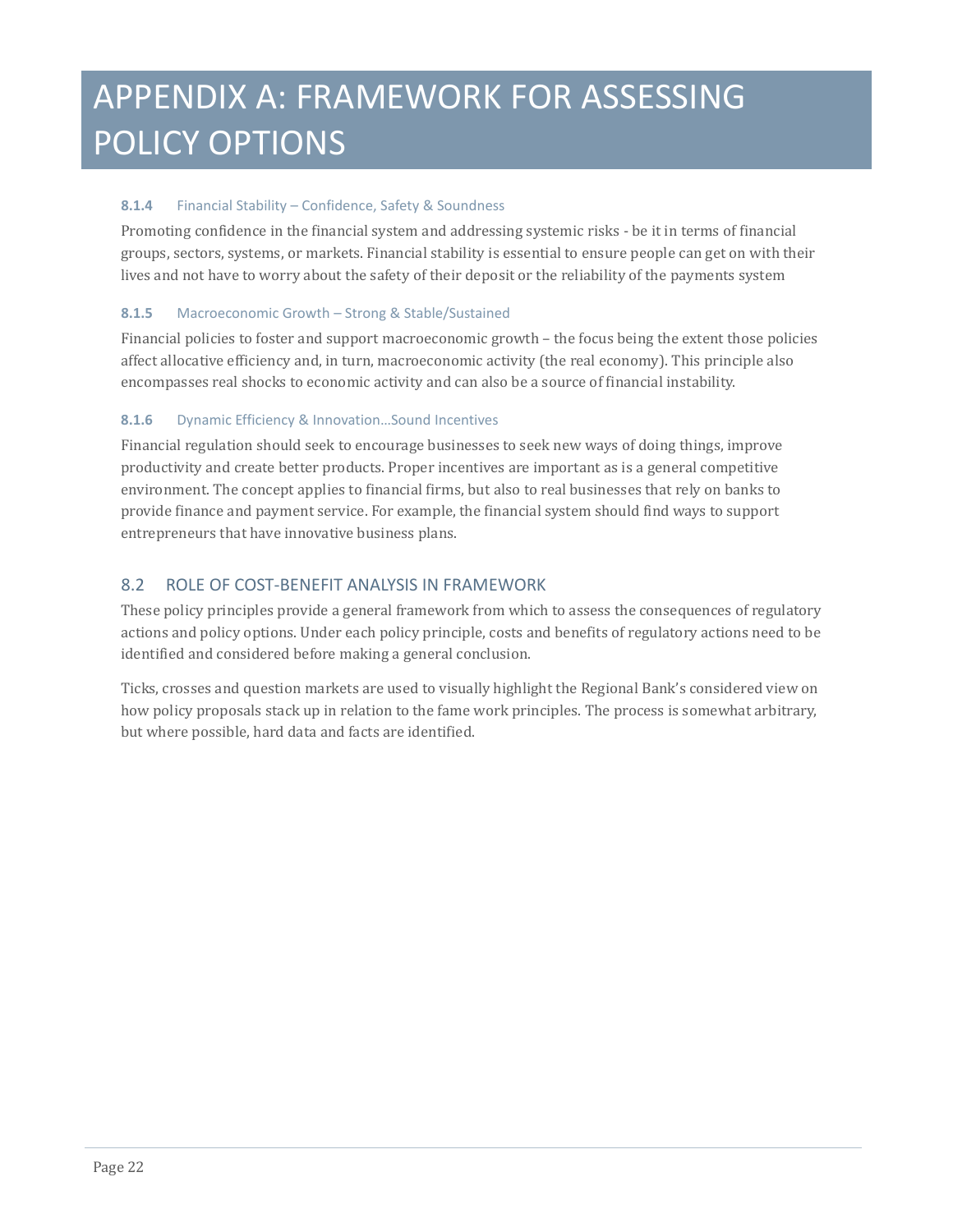## APPENDIX A: FRAMEWORK FOR ASSESSING POLICY OPTIONS

### **8.1.4** Financial Stability – Confidence, Safety & Soundness

Promoting confidence in the financial system and addressing systemic risks - be it in terms of financial groups, sectors, systems, or markets. Financial stability is essential to ensure people can get on with their lives and not have to worry about the safety of their deposit or the reliability of the payments system

### **8.1.5** Macroeconomic Growth – Strong & Stable/Sustained

Financial policies to foster and support macroeconomic growth – the focus being the extent those policies affect allocative efficiency and, in turn, macroeconomic activity (the real economy). This principle also encompasses real shocks to economic activity and can also be a source of financial instability.

### **8.1.6** Dynamic Efficiency & Innovation…Sound Incentives

Financial regulation should seek to encourage businesses to seek new ways of doing things, improve productivity and create better products. Proper incentives are important as is a general competitive environment. The concept applies to financial firms, but also to real businesses that rely on banks to provide finance and payment service. For example, the financial system should find ways to support entrepreneurs that have innovative business plans.

### 8.2 ROLE OF COST-BENEFIT ANALYSIS IN FRAMEWORK

These policy principles provide a general framework from which to assess the consequences of regulatory actions and policy options. Under each policy principle, costs and benefits of regulatory actions need to be identified and considered before making a general conclusion.

Ticks, crosses and question markets are used to visually highlight the Regional Bank's considered view on how policy proposals stack up in relation to the fame work principles. The process is somewhat arbitrary, but where possible, hard data and facts are identified.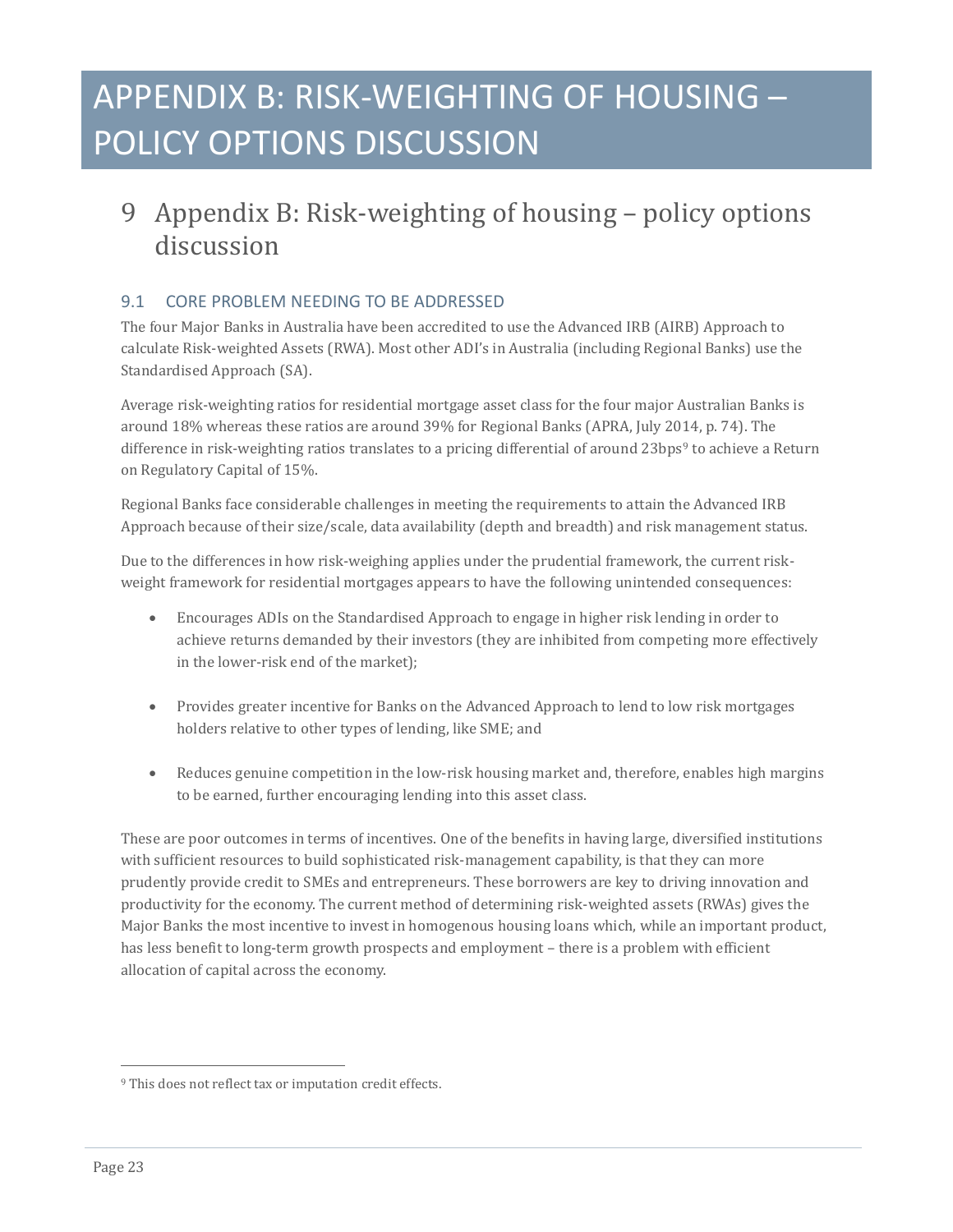### <span id="page-22-0"></span>9 Appendix B: Risk-weighting of housing – policy options discussion

### 9.1 CORE PROBLEM NEEDING TO BE ADDRESSED

The four Major Banks in Australia have been accredited to use the Advanced IRB (AIRB) Approach to calculate Risk-weighted Assets (RWA). Most other ADI's in Australia (including Regional Banks) use the Standardised Approach (SA).

Average risk-weighting ratios for residential mortgage asset class for the four major Australian Banks is around 18% whereas these ratios are around 39% for Regional Banks (APRA, July 2014, p. 74). The difference in risk-weighting ratios translates to a pricing differential of around 23bps<sup>[9](#page-20-1)</sup> to achieve a Return on Regulatory Capital of 15%.

Regional Banks face considerable challenges in meeting the requirements to attain the Advanced IRB Approach because of their size/scale, data availability (depth and breadth) and risk management status.

Due to the differences in how risk-weighing applies under the prudential framework, the current riskweight framework for residential mortgages appears to have the following unintended consequences:

- Encourages ADIs on the Standardised Approach to engage in higher risk lending in order to achieve returns demanded by their investors (they are inhibited from competing more effectively in the lower-risk end of the market);
- Provides greater incentive for Banks on the Advanced Approach to lend to low risk mortgages holders relative to other types of lending, like SME; and
- Reduces genuine competition in the low-risk housing market and, therefore, enables high margins to be earned, further encouraging lending into this asset class.

These are poor outcomes in terms of incentives. One of the benefits in having large, diversified institutions with sufficient resources to build sophisticated risk-management capability, is that they can more prudently provide credit to SMEs and entrepreneurs. These borrowers are key to driving innovation and productivity for the economy. The current method of determining risk-weighted assets (RWAs) gives the Major Banks the most incentive to invest in homogenous housing loans which, while an important product, has less benefit to long-term growth prospects and employment – there is a problem with efficient allocation of capital across the economy.

<span id="page-22-1"></span>j <sup>9</sup> This does not reflect tax or imputation credit effects.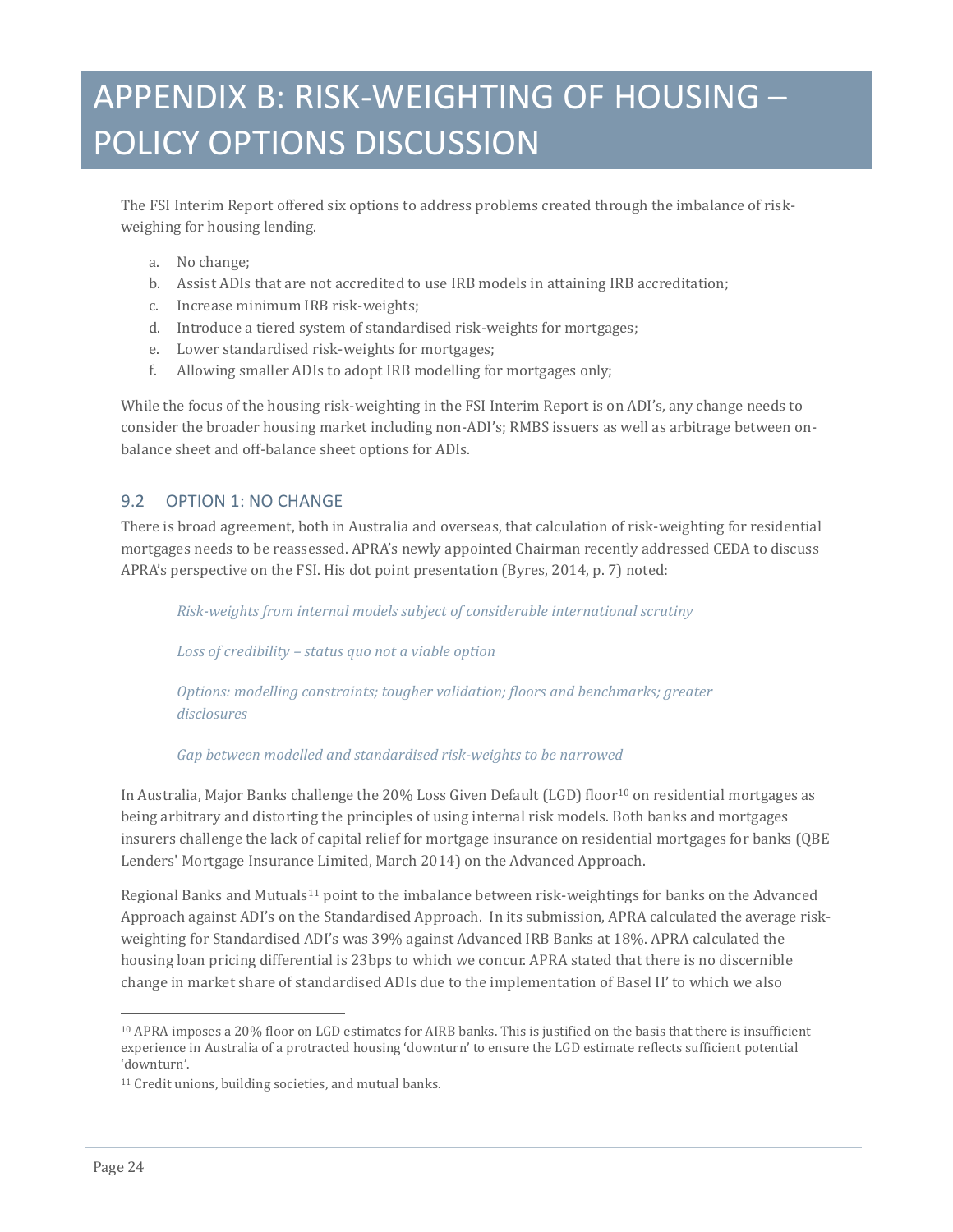The FSI Interim Report offered six options to address problems created through the imbalance of riskweighing for housing lending.

- a. No change;
- b. Assist ADIs that are not accredited to use IRB models in attaining IRB accreditation;
- c. Increase minimum IRB risk-weights;
- d. Introduce a tiered system of standardised risk-weights for mortgages;
- e. Lower standardised risk-weights for mortgages;
- f. Allowing smaller ADIs to adopt IRB modelling for mortgages only;

While the focus of the housing risk-weighting in the FSI Interim Report is on ADI's, any change needs to consider the broader housing market including non-ADI's; RMBS issuers as well as arbitrage between onbalance sheet and off-balance sheet options for ADIs.

### 9.2 OPTION 1: NO CHANGE

There is broad agreement, both in Australia and overseas, that calculation of risk-weighting for residential mortgages needs to be reassessed. APRA's newly appointed Chairman recently addressed CEDA to discuss APRA's perspective on the FSI. His dot point presentation (Byres, 2014, p. 7) noted:

*Risk-weights from internal models subject of considerable international scrutiny*

*Loss of credibility – status quo not a viable option*

*Options: modelling constraints; tougher validation; floors and benchmarks; greater disclosures*

#### *Gap between modelled and standardised risk-weights to be narrowed*

In Australia, Major Banks challenge the 20% Loss Given Default (LGD) floor<sup>[10](#page-22-1)</sup> on residential mortgages as being arbitrary and distorting the principles of using internal risk models. Both banks and mortgages insurers challenge the lack of capital relief for mortgage insurance on residential mortgages for banks (QBE Lenders' Mortgage Insurance Limited, March 2014) on the Advanced Approach.

Regional Banks and Mutuals[11](#page-23-0) point to the imbalance between risk-weightings for banks on the Advanced Approach against ADI's on the Standardised Approach. In its submission, APRA calculated the average riskweighting for Standardised ADI's was 39% against Advanced IRB Banks at 18%. APRA calculated the housing loan pricing differential is 23bps to which we concur. APRA stated that there is no discernible change in market share of standardised ADIs due to the implementation of Basel II' to which we also

j <sup>10</sup> APRA imposes a 20% floor on LGD estimates for AIRB banks. This is justified on the basis that there is insufficient experience in Australia of a protracted housing 'downturn' to ensure the LGD estimate reflects sufficient potential 'downturn'.

<span id="page-23-0"></span><sup>11</sup> Credit unions, building societies, and mutual banks.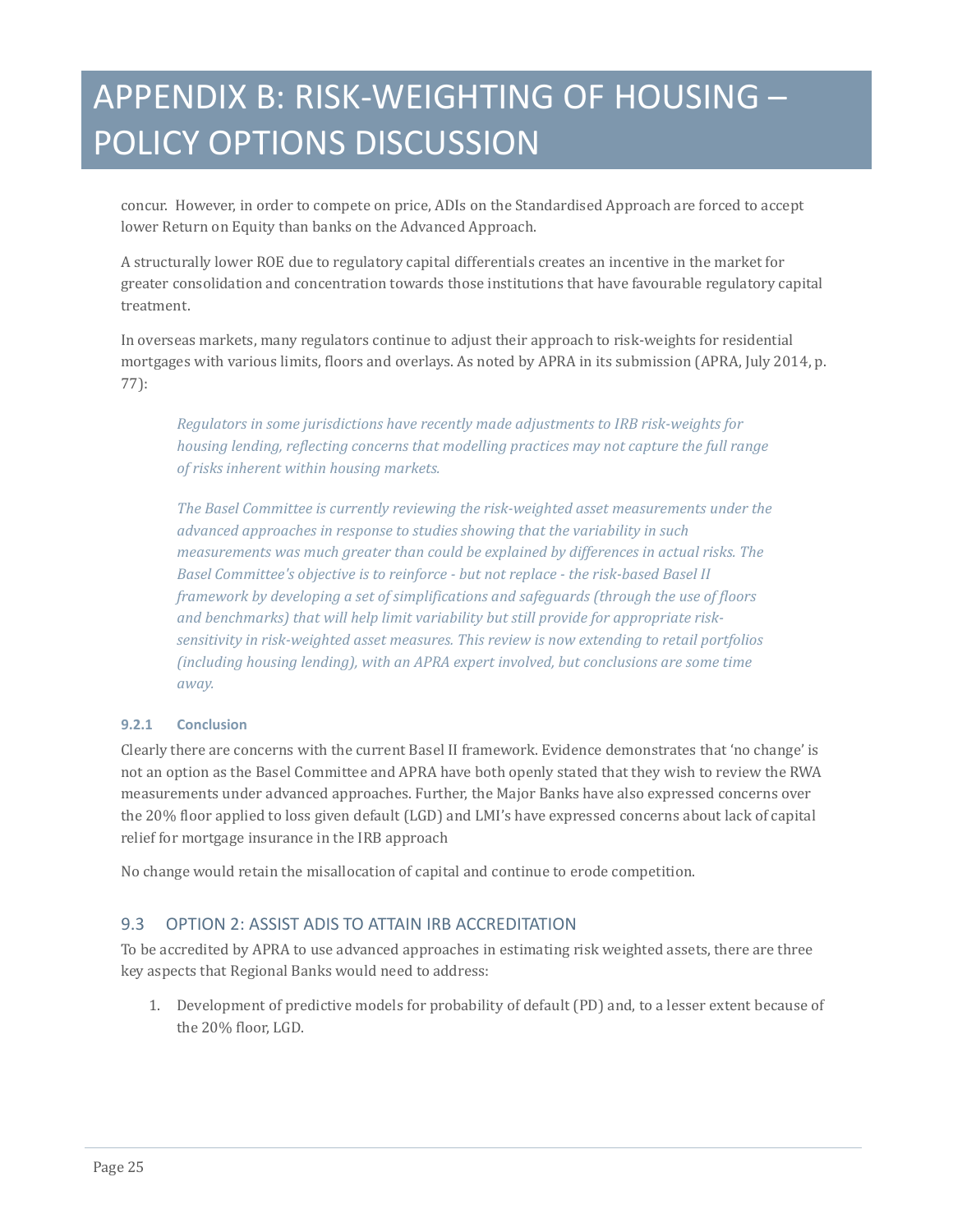concur. However, in order to compete on price, ADIs on the Standardised Approach are forced to accept lower Return on Equity than banks on the Advanced Approach.

A structurally lower ROE due to regulatory capital differentials creates an incentive in the market for greater consolidation and concentration towards those institutions that have favourable regulatory capital treatment.

In overseas markets, many regulators continue to adjust their approach to risk-weights for residential mortgages with various limits, floors and overlays. As noted by APRA in its submission (APRA, July 2014, p. 77):

*Regulators in some jurisdictions have recently made adjustments to IRB risk-weights for housing lending, reflecting concerns that modelling practices may not capture the full range of risks inherent within housing markets.* 

*The Basel Committee is currently reviewing the risk-weighted asset measurements under the advanced approaches in response to studies showing that the variability in such measurements was much greater than could be explained by differences in actual risks. The Basel Committee's objective is to reinforce - but not replace - the risk-based Basel II framework by developing a set of simplifications and safeguards (through the use of floors and benchmarks) that will help limit variability but still provide for appropriate risksensitivity in risk-weighted asset measures. This review is now extending to retail portfolios (including housing lending), with an APRA expert involved, but conclusions are some time away.*

#### **9.2.1 Conclusion**

Clearly there are concerns with the current Basel II framework. Evidence demonstrates that 'no change' is not an option as the Basel Committee and APRA have both openly stated that they wish to review the RWA measurements under advanced approaches. Further, the Major Banks have also expressed concerns over the 20% floor applied to loss given default (LGD) and LMI's have expressed concerns about lack of capital relief for mortgage insurance in the IRB approach

No change would retain the misallocation of capital and continue to erode competition.

### 9.3 OPTION 2: ASSIST ADIS TO ATTAIN IRB ACCREDITATION

To be accredited by APRA to use advanced approaches in estimating risk weighted assets, there are three key aspects that Regional Banks would need to address:

1. Development of predictive models for probability of default (PD) and, to a lesser extent because of the 20% floor, LGD.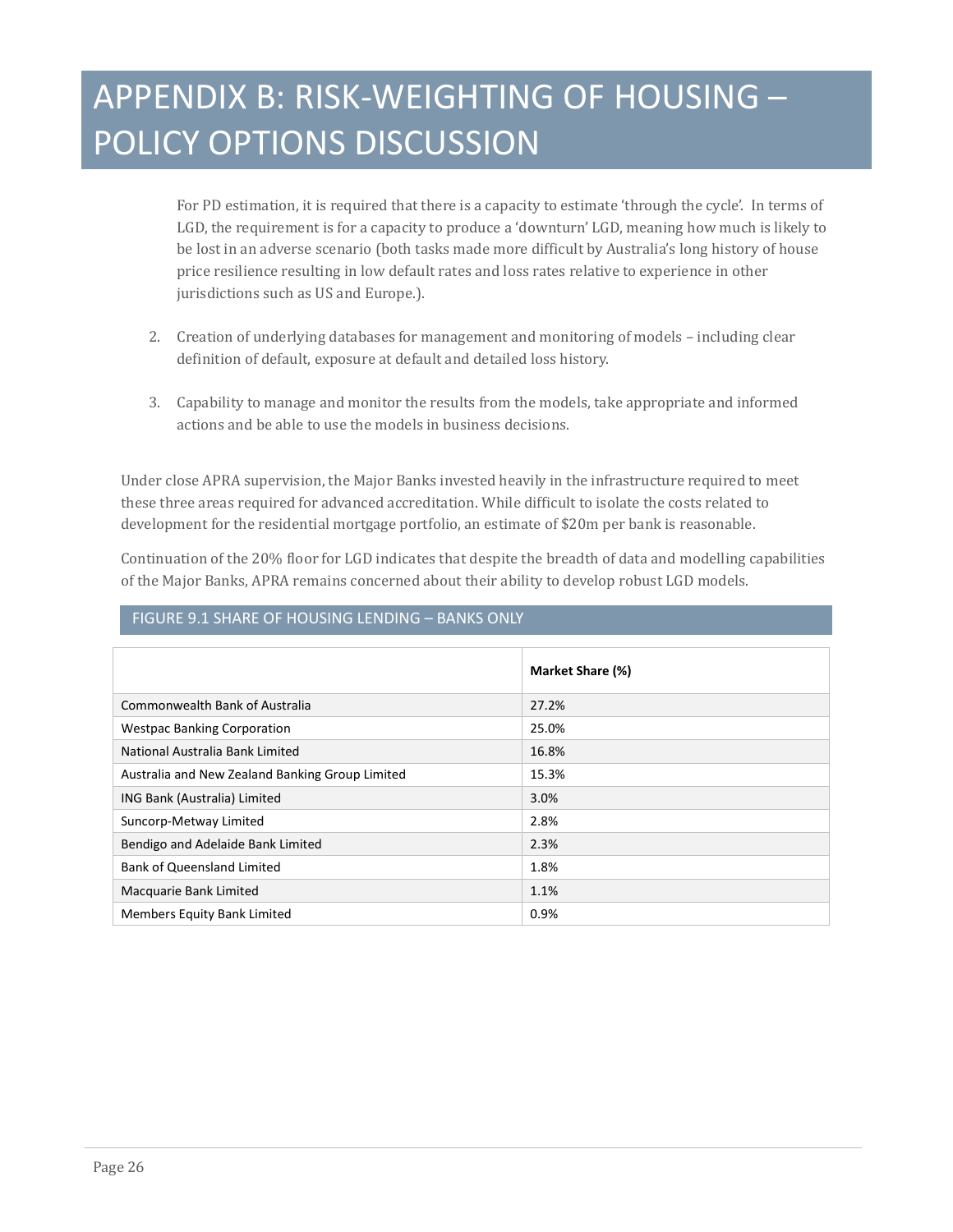For PD estimation, it is required that there is a capacity to estimate 'through the cycle'. In terms of LGD, the requirement is for a capacity to produce a 'downturn' LGD, meaning how much is likely to be lost in an adverse scenario (both tasks made more difficult by Australia's long history of house price resilience resulting in low default rates and loss rates relative to experience in other jurisdictions such as US and Europe.).

- 2. Creation of underlying databases for management and monitoring of models including clear definition of default, exposure at default and detailed loss history.
- 3. Capability to manage and monitor the results from the models, take appropriate and informed actions and be able to use the models in business decisions.

Under close APRA supervision, the Major Banks invested heavily in the infrastructure required to meet these three areas required for advanced accreditation. While difficult to isolate the costs related to development for the residential mortgage portfolio, an estimate of \$20m per bank is reasonable.

Continuation of the 20% floor for LGD indicates that despite the breadth of data and modelling capabilities of the Major Banks, APRA remains concerned about their ability to develop robust LGD models.

### FIGURE 9.1 SHARE OF HOUSING LENDING – BANKS ONLY

|                                                 | Market Share (%) |
|-------------------------------------------------|------------------|
| Commonwealth Bank of Australia                  | 27.2%            |
| <b>Westpac Banking Corporation</b>              | 25.0%            |
| National Australia Bank Limited                 | 16.8%            |
| Australia and New Zealand Banking Group Limited | 15.3%            |
| ING Bank (Australia) Limited                    | 3.0%             |
| Suncorp-Metway Limited                          | 2.8%             |
| Bendigo and Adelaide Bank Limited               | 2.3%             |
| <b>Bank of Queensland Limited</b>               | 1.8%             |
| Macquarie Bank Limited                          | 1.1%             |
| <b>Members Equity Bank Limited</b>              | 0.9%             |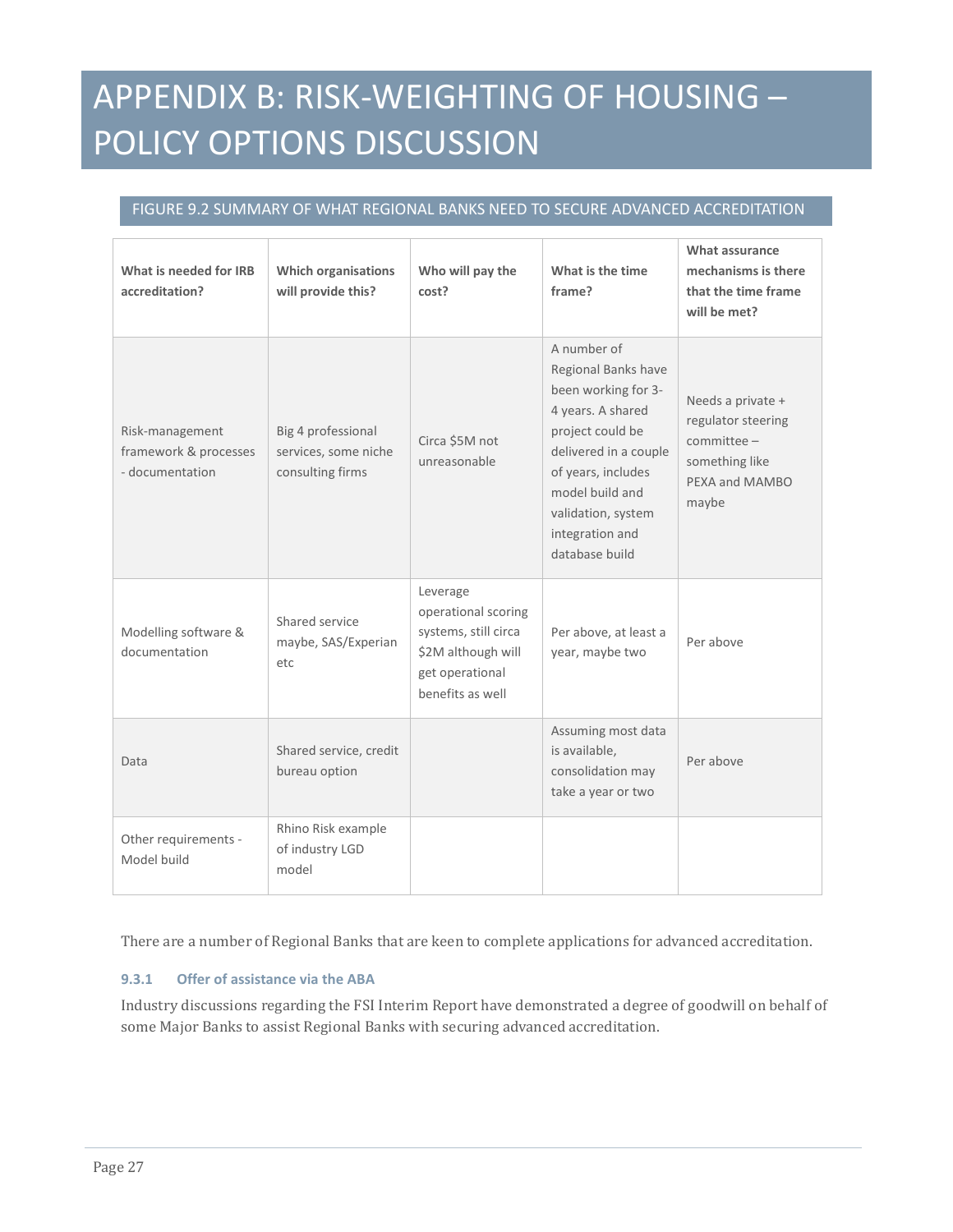### FIGURE 9.2 SUMMARY OF WHAT REGIONAL BANKS NEED TO SECURE ADVANCED ACCREDITATION

| What is needed for IRB<br>accreditation?                    | <b>Which organisations</b><br>will provide this?               | Who will pay the<br>cost?                                                                                            | What is the time<br>frame?                                                                                                                                                                                                      | What assurance<br>mechanisms is there<br>that the time frame<br>will be met?                           |
|-------------------------------------------------------------|----------------------------------------------------------------|----------------------------------------------------------------------------------------------------------------------|---------------------------------------------------------------------------------------------------------------------------------------------------------------------------------------------------------------------------------|--------------------------------------------------------------------------------------------------------|
| Risk-management<br>framework & processes<br>- documentation | Big 4 professional<br>services, some niche<br>consulting firms | Circa \$5M not<br>unreasonable                                                                                       | A number of<br>Regional Banks have<br>been working for 3-<br>4 years. A shared<br>project could be<br>delivered in a couple<br>of years, includes<br>model build and<br>validation, system<br>integration and<br>database build | Needs a private +<br>regulator steering<br>$committe$ e –<br>something like<br>PEXA and MAMBO<br>maybe |
| Modelling software &<br>documentation                       | Shared service<br>maybe, SAS/Experian<br>etc                   | Leverage<br>operational scoring<br>systems, still circa<br>\$2M although will<br>get operational<br>benefits as well | Per above, at least a<br>year, maybe two                                                                                                                                                                                        | Per above                                                                                              |
| Data                                                        | Shared service, credit<br>bureau option                        |                                                                                                                      | Assuming most data<br>is available,<br>consolidation may<br>take a year or two                                                                                                                                                  | Per above                                                                                              |
| Other requirements -<br>Model build                         | Rhino Risk example<br>of industry LGD<br>model                 |                                                                                                                      |                                                                                                                                                                                                                                 |                                                                                                        |

There are a number of Regional Banks that are keen to complete applications for advanced accreditation.

#### **9.3.1 Offer of assistance via the ABA**

Industry discussions regarding the FSI Interim Report have demonstrated a degree of goodwill on behalf of some Major Banks to assist Regional Banks with securing advanced accreditation.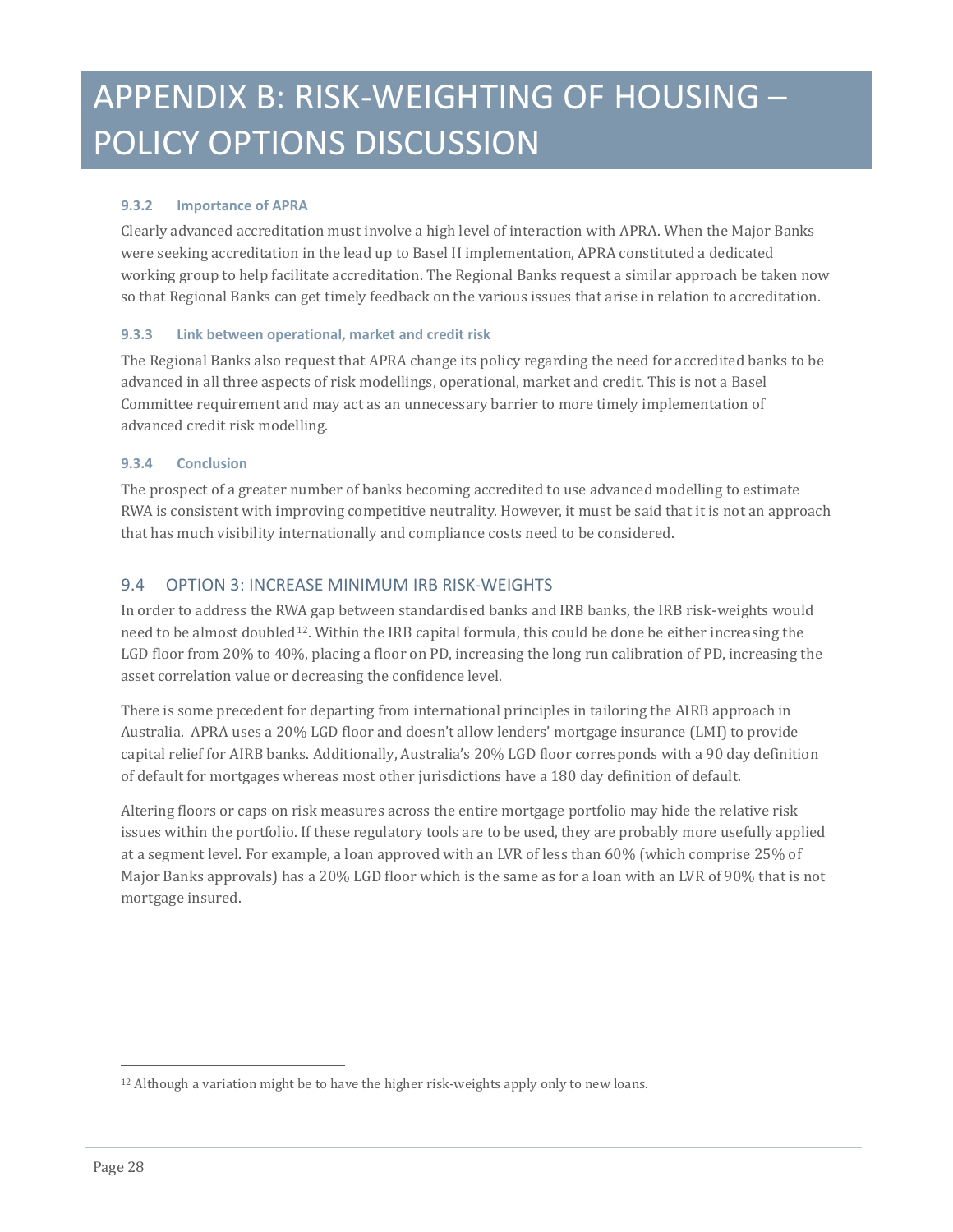### **9.3.2 Importance of APRA**

Clearly advanced accreditation must involve a high level of interaction with APRA. When the Major Banks were seeking accreditation in the lead up to Basel II implementation, APRA constituted a dedicated working group to help facilitate accreditation. The Regional Banks request a similar approach be taken now so that Regional Banks can get timely feedback on the various issues that arise in relation to accreditation.

#### **9.3.3 Link between operational, market and credit risk**

The Regional Banks also request that APRA change its policy regarding the need for accredited banks to be advanced in all three aspects of risk modellings, operational, market and credit. This is not a Basel Committee requirement and may act as an unnecessary barrier to more timely implementation of advanced credit risk modelling.

#### **9.3.4 Conclusion**

The prospect of a greater number of banks becoming accredited to use advanced modelling to estimate RWA is consistent with improving competitive neutrality. However, it must be said that it is not an approach that has much visibility internationally and compliance costs need to be considered.

### 9.4 OPTION 3: INCREASE MINIMUM IRB RISK-WEIGHTS

In order to address the RWA gap between standardised banks and IRB banks, the IRB risk-weights would need to be almost doubled[12](#page-23-0). Within the IRB capital formula, this could be done be either increasing the LGD floor from 20% to 40%, placing a floor on PD, increasing the long run calibration of PD, increasing the asset correlation value or decreasing the confidence level.

There is some precedent for departing from international principles in tailoring the AIRB approach in Australia. APRA uses a 20% LGD floor and doesn't allow lenders' mortgage insurance (LMI) to provide capital relief for AIRB banks. Additionally, Australia's 20% LGD floor corresponds with a 90 day definition of default for mortgages whereas most other jurisdictions have a 180 day definition of default.

Altering floors or caps on risk measures across the entire mortgage portfolio may hide the relative risk issues within the portfolio. If these regulatory tools are to be used, they are probably more usefully applied at a segment level. For example, a loan approved with an LVR of less than 60% (which comprise 25% of Major Banks approvals) has a 20% LGD floor which is the same as for a loan with an LVR of 90% that is not mortgage insured.

<span id="page-27-0"></span>j <sup>12</sup> Although a variation might be to have the higher risk-weights apply only to new loans.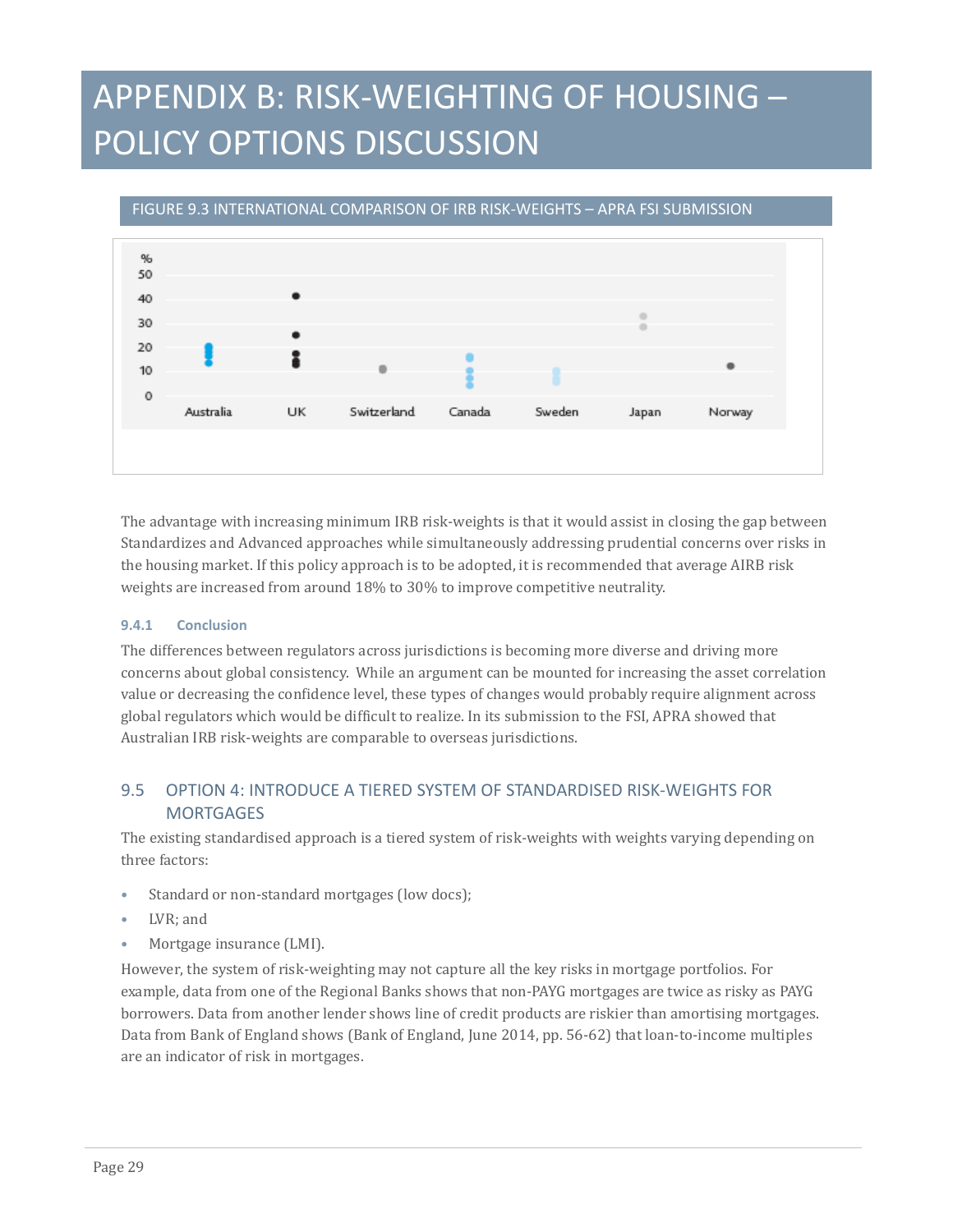% 50 40 30 20 10  $\Omega$ Switzerland Australia UK Canada Sweden Japan Norway

#### FIGURE 9.3 INTERNATIONAL COMPARISON OF IRB RISK-WEIGHTS – APRA FSI SUBMISSION

The advantage with increasing minimum IRB risk-weights is that it would assist in closing the gap between Standardizes and Advanced approaches while simultaneously addressing prudential concerns over risks in the housing market. If this policy approach is to be adopted, it is recommended that average AIRB risk weights are increased from around 18% to 30% to improve competitive neutrality.

#### **9.4.1 Conclusion**

The differences between regulators across jurisdictions is becoming more diverse and driving more concerns about global consistency. While an argument can be mounted for increasing the asset correlation value or decreasing the confidence level, these types of changes would probably require alignment across global regulators which would be difficult to realize. In its submission to the FSI, APRA showed that Australian IRB risk-weights are comparable to overseas jurisdictions.

### 9.5 OPTION 4: INTRODUCE A TIERED SYSTEM OF STANDARDISED RISK-WEIGHTS FOR **MORTGAGES**

The existing standardised approach is a tiered system of risk-weights with weights varying depending on three factors:

- Standard or non-standard mortgages (low docs);
- LVR: and
- Mortgage insurance (LMI).

However, the system of risk-weighting may not capture all the key risks in mortgage portfolios. For example, data from one of the Regional Banks shows that non-PAYG mortgages are twice as risky as PAYG borrowers. Data from another lender shows line of credit products are riskier than amortising mortgages. Data from Bank of England shows (Bank of England, June 2014, pp. 56-62) that loan-to-income multiples are an indicator of risk in mortgages.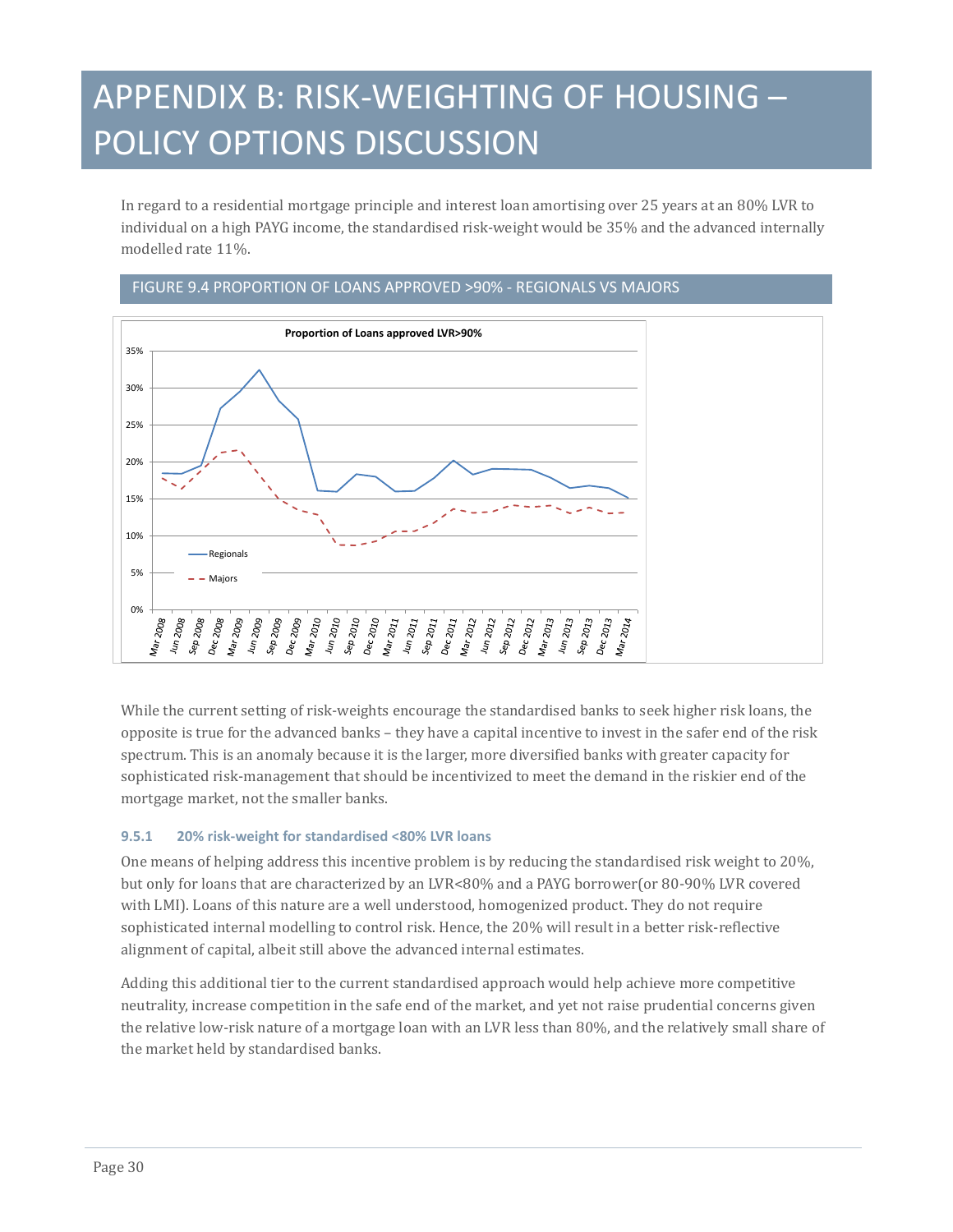In regard to a residential mortgage principle and interest loan amortising over 25 years at an 80% LVR to individual on a high PAYG income, the standardised risk-weight would be 35% and the advanced internally modelled rate 11%.



FIGURE 9.4 PROPORTION OF LOANS APPROVED >90% - REGIONALS VS MAJORS

While the current setting of risk-weights encourage the standardised banks to seek higher risk loans, the opposite is true for the advanced banks – they have a capital incentive to invest in the safer end of the risk spectrum. This is an anomaly because it is the larger, more diversified banks with greater capacity for sophisticated risk-management that should be incentivized to meet the demand in the riskier end of the mortgage market, not the smaller banks.

#### **9.5.1 20% risk-weight for standardised <80% LVR loans**

One means of helping address this incentive problem is by reducing the standardised risk weight to 20%, but only for loans that are characterized by an LVR<80% and a PAYG borrower(or 80-90% LVR covered with LMI). Loans of this nature are a well understood, homogenized product. They do not require sophisticated internal modelling to control risk. Hence, the 20% will result in a better risk-reflective alignment of capital, albeit still above the advanced internal estimates.

Adding this additional tier to the current standardised approach would help achieve more competitive neutrality, increase competition in the safe end of the market, and yet not raise prudential concerns given the relative low-risk nature of a mortgage loan with an LVR less than 80%, and the relatively small share of the market held by standardised banks.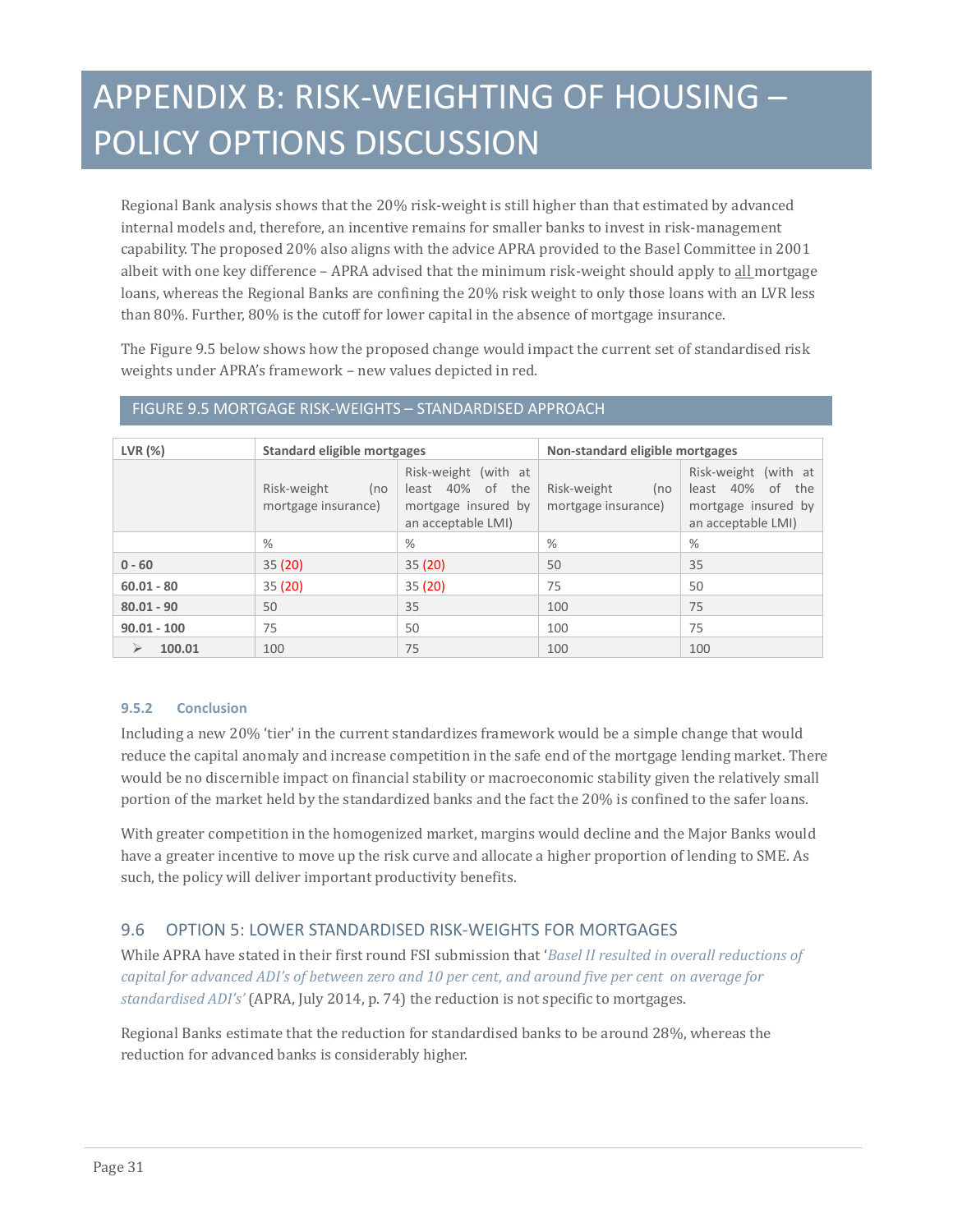Regional Bank analysis shows that the 20% risk-weight is still higher than that estimated by advanced internal models and, therefore, an incentive remains for smaller banks to invest in risk-management capability. The proposed 20% also aligns with the advice APRA provided to the Basel Committee in 2001 albeit with one key difference – APRA advised that the minimum risk-weight should apply to all mortgage loans, whereas the Regional Banks are confining the 20% risk weight to only those loans with an LVR less than 80%. Further, 80% is the cutoff for lower capital in the absence of mortgage insurance.

The Figure 9.5 below shows how the proposed change would impact the current set of standardised risk weights under APRA's framework – new values depicted in red.

| LVR <sub>(</sub> %) | Standard eligible mortgages               |                                                                                       |                                           | Non-standard eligible mortgages                                                          |  |
|---------------------|-------------------------------------------|---------------------------------------------------------------------------------------|-------------------------------------------|------------------------------------------------------------------------------------------|--|
|                     | Risk-weight<br>(no<br>mortgage insurance) | Risk-weight (with at<br>least 40% of the<br>mortgage insured by<br>an acceptable LMI) | Risk-weight<br>(no<br>mortgage insurance) | Risk-weight (with at<br>least 40% of<br>the<br>mortgage insured by<br>an acceptable LMI) |  |
|                     | $\%$                                      | $\%$                                                                                  | %                                         | %                                                                                        |  |
| $0 - 60$            | 35(20)                                    | 35(20)                                                                                | 50                                        | 35                                                                                       |  |
| $60.01 - 80$        | 35(20)                                    | 35(20)                                                                                | 75                                        | 50                                                                                       |  |
| $80.01 - 90$        | 50                                        | 35                                                                                    | 100                                       | 75                                                                                       |  |
| $90.01 - 100$       | 75                                        | 50                                                                                    | 100                                       | 75                                                                                       |  |
| 100.01<br>⋗         | 100                                       | 75                                                                                    | 100                                       | 100                                                                                      |  |

#### FIGURE 9.5 MORTGAGE RISK-WEIGHTS – STANDARDISED APPROACH

#### **9.5.2 Conclusion**

Including a new 20% 'tier' in the current standardizes framework would be a simple change that would reduce the capital anomaly and increase competition in the safe end of the mortgage lending market. There would be no discernible impact on financial stability or macroeconomic stability given the relatively small portion of the market held by the standardized banks and the fact the 20% is confined to the safer loans.

With greater competition in the homogenized market, margins would decline and the Major Banks would have a greater incentive to move up the risk curve and allocate a higher proportion of lending to SME. As such, the policy will deliver important productivity benefits.

### 9.6 OPTION 5: LOWER STANDARDISED RISK-WEIGHTS FOR MORTGAGES

While APRA have stated in their first round FSI submission that '*Basel II resulted in overall reductions of capital for advanced ADI's of between zero and 10 per cent, and around five per cent on average for standardised ADI's'* (APRA, July 2014, p. 74) the reduction is not specific to mortgages.

Regional Banks estimate that the reduction for standardised banks to be around 28%, whereas the reduction for advanced banks is considerably higher.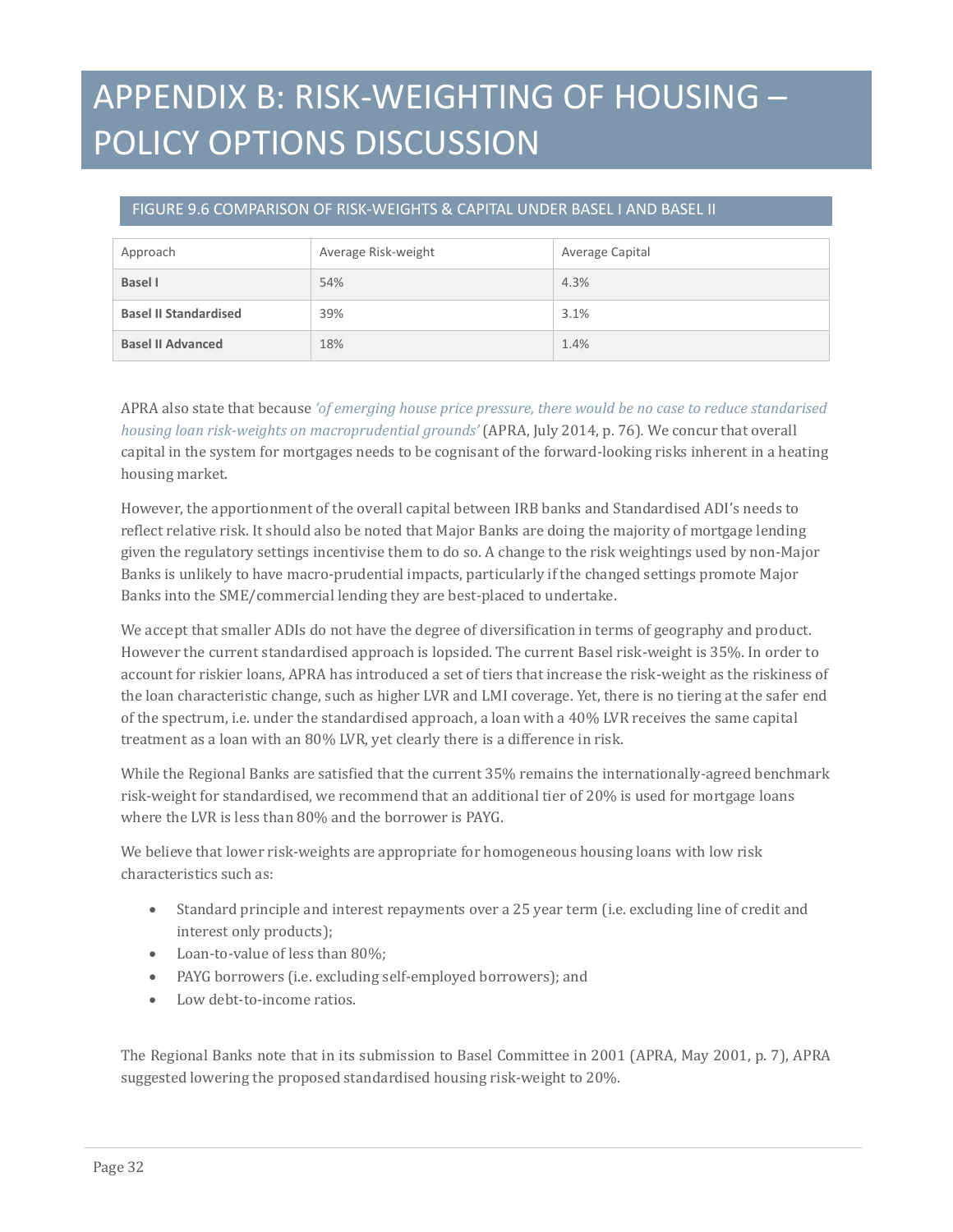### FIGURE 9.6 COMPARISON OF RISK-WEIGHTS & CAPITAL UNDER BASEL I AND BASEL II

| Approach                     | Average Risk-weight | Average Capital |
|------------------------------|---------------------|-----------------|
| <b>Basel I</b>               | 54%                 | 4.3%            |
| <b>Basel II Standardised</b> | 39%                 | 3.1%            |
| <b>Basel II Advanced</b>     | 18%                 | 1.4%            |

APRA also state that because *'of emerging house price pressure, there would be no case to reduce standarised housing loan risk-weights on macroprudential grounds'* (APRA, July 2014, p. 76)*.* We concur that overall capital in the system for mortgages needs to be cognisant of the forward-looking risks inherent in a heating housing market.

However, the apportionment of the overall capital between IRB banks and Standardised ADI's needs to reflect relative risk. It should also be noted that Major Banks are doing the majority of mortgage lending given the regulatory settings incentivise them to do so. A change to the risk weightings used by non-Major Banks is unlikely to have macro-prudential impacts, particularly if the changed settings promote Major Banks into the SME/commercial lending they are best-placed to undertake.

We accept that smaller ADIs do not have the degree of diversification in terms of geography and product. However the current standardised approach is lopsided. The current Basel risk-weight is 35%. In order to account for riskier loans, APRA has introduced a set of tiers that increase the risk-weight as the riskiness of the loan characteristic change, such as higher LVR and LMI coverage. Yet, there is no tiering at the safer end of the spectrum, i.e. under the standardised approach, a loan with a 40% LVR receives the same capital treatment as a loan with an 80% LVR, yet clearly there is a difference in risk.

While the Regional Banks are satisfied that the current 35% remains the internationally-agreed benchmark risk-weight for standardised, we recommend that an additional tier of 20% is used for mortgage loans where the LVR is less than 80% and the borrower is PAYG.

We believe that lower risk-weights are appropriate for homogeneous housing loans with low risk characteristics such as:

- Standard principle and interest repayments over a 25 year term (i.e. excluding line of credit and interest only products);
- Loan-to-value of less than 80%;
- PAYG borrowers (i.e. excluding self-employed borrowers); and
- Low debt-to-income ratios.

The Regional Banks note that in its submission to Basel Committee in 2001 (APRA, May 2001, p. 7), APRA suggested lowering the proposed standardised housing risk-weight to 20%.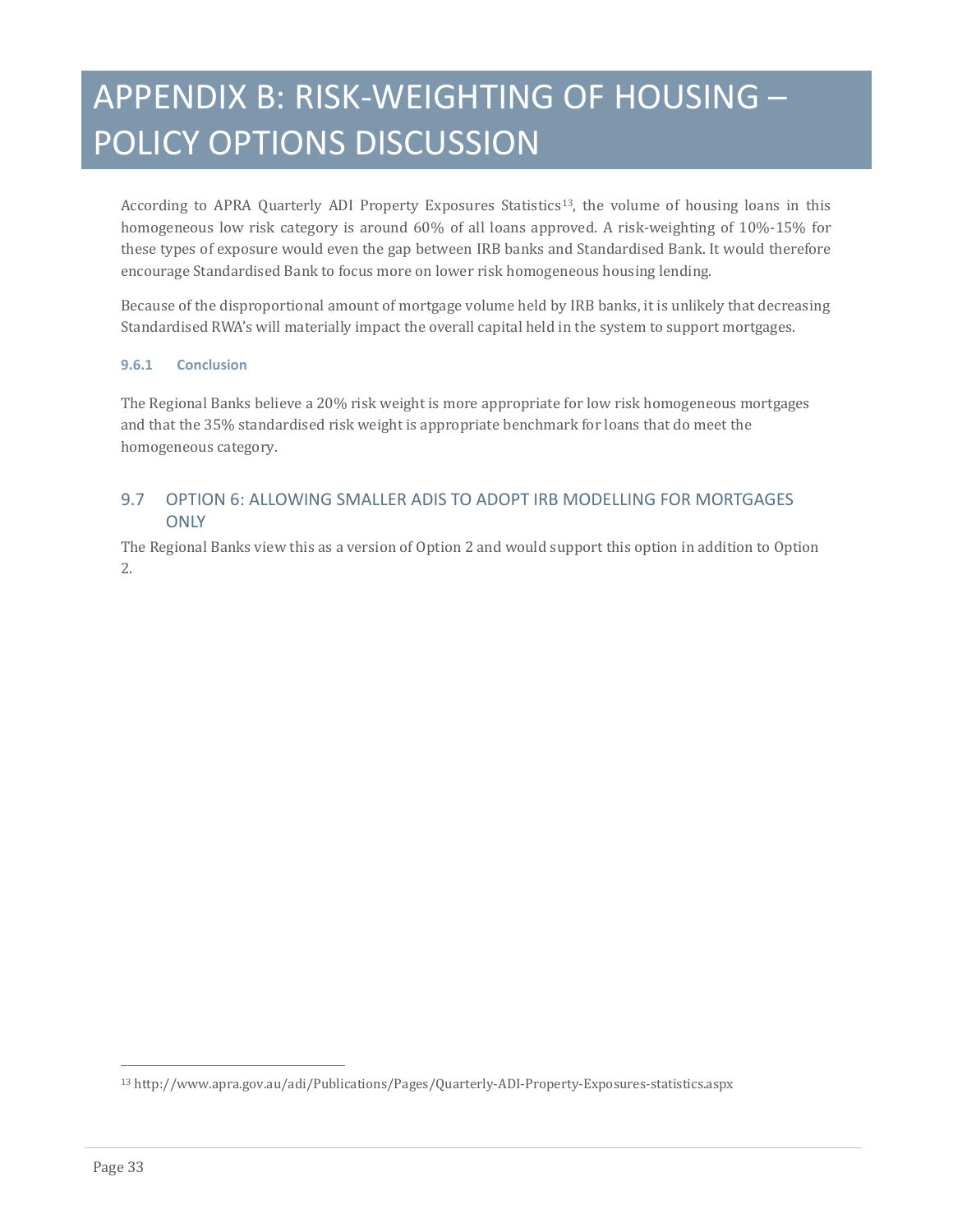According to APRA Quarterly ADI Property Exposures Statistics<sup>13</sup>, the volume of housing loans in this homogeneous low risk category is around 60% of all loans approved. A risk-weighting of 10%-15% for these types of exposure would even the gap between IRB banks and Standardised Bank. It would therefore encourage Standardised Bank to focus more on lower risk homogeneous housing lending.

Because of the disproportional amount of mortgage volume held by IRB banks, it is unlikely that decreasing Standardised RWA's will materially impact the overall capital held in the system to support mortgages.

#### **9.6.1 Conclusion**

The Regional Banks believe a 20% risk weight is more appropriate for low risk homogeneous mortgages and that the 35% standardised risk weight is appropriate benchmark for loans that do meet the homogeneous category.

### 9.7 OPTION 6: ALLOWING SMALLER ADIS TO ADOPT IRB MODELLING FOR MORTGAGES **ONLY**

The Regional Banks view this as a version of Option 2 and would support this option in addition to Option 2.

<span id="page-32-0"></span>j <sup>13</sup> http://www.apra.gov.au/adi/Publications/Pages/Quarterly-ADI-Property-Exposures-statistics.aspx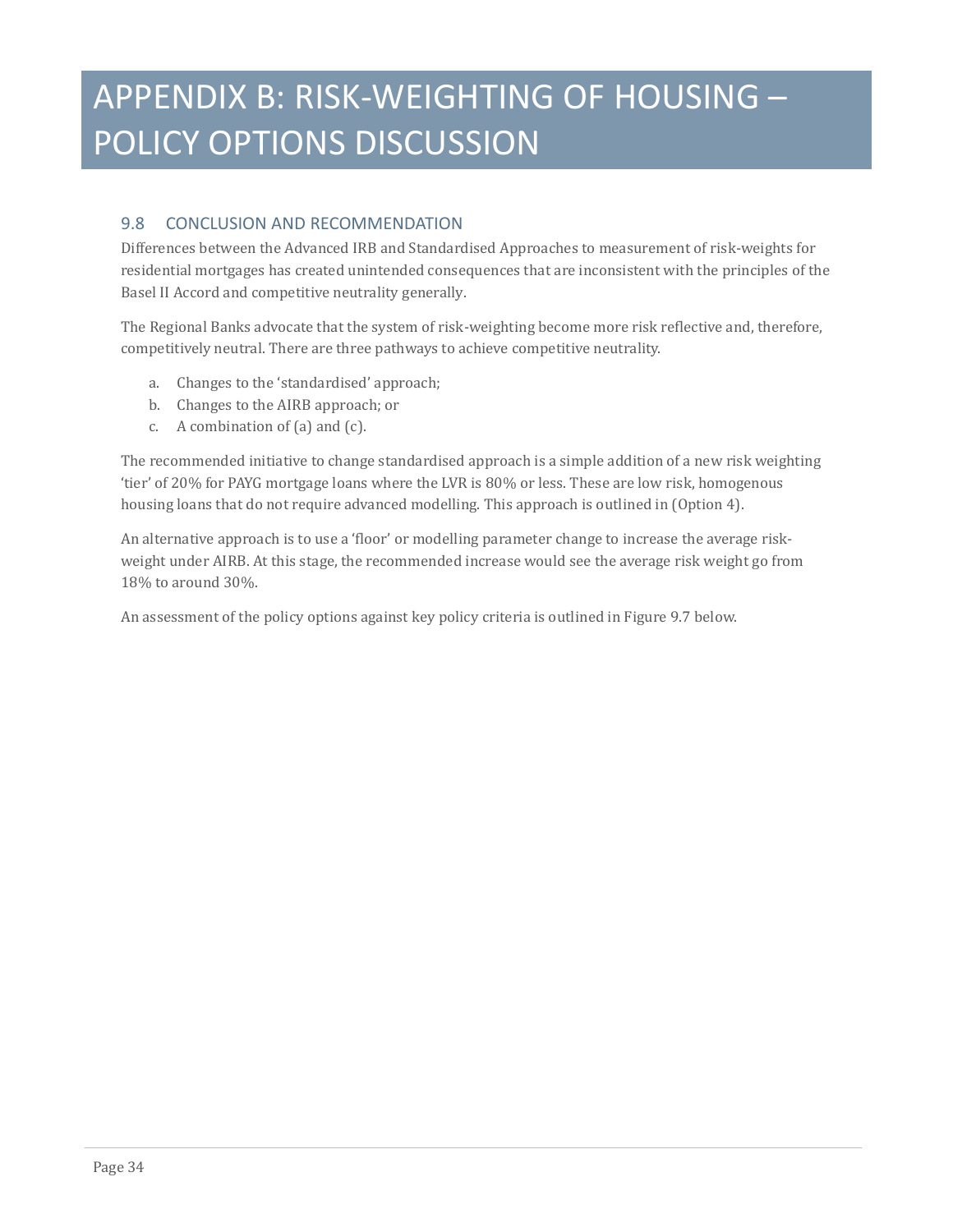### 9.8 CONCLUSION AND RECOMMENDATION

Differences between the Advanced IRB and Standardised Approaches to measurement of risk-weights for residential mortgages has created unintended consequences that are inconsistent with the principles of the Basel II Accord and competitive neutrality generally.

The Regional Banks advocate that the system of risk-weighting become more risk reflective and, therefore, competitively neutral. There are three pathways to achieve competitive neutrality.

- a. Changes to the 'standardised' approach;
- b. Changes to the AIRB approach; or
- c. A combination of (a) and (c).

The recommended initiative to change standardised approach is a simple addition of a new risk weighting 'tier' of 20% for PAYG mortgage loans where the LVR is 80% or less. These are low risk, homogenous housing loans that do not require advanced modelling. This approach is outlined in (Option 4).

An alternative approach is to use a 'floor' or modelling parameter change to increase the average riskweight under AIRB. At this stage, the recommended increase would see the average risk weight go from 18% to around 30%.

An assessment of the policy options against key policy criteria is outlined in Figure 9.7 below.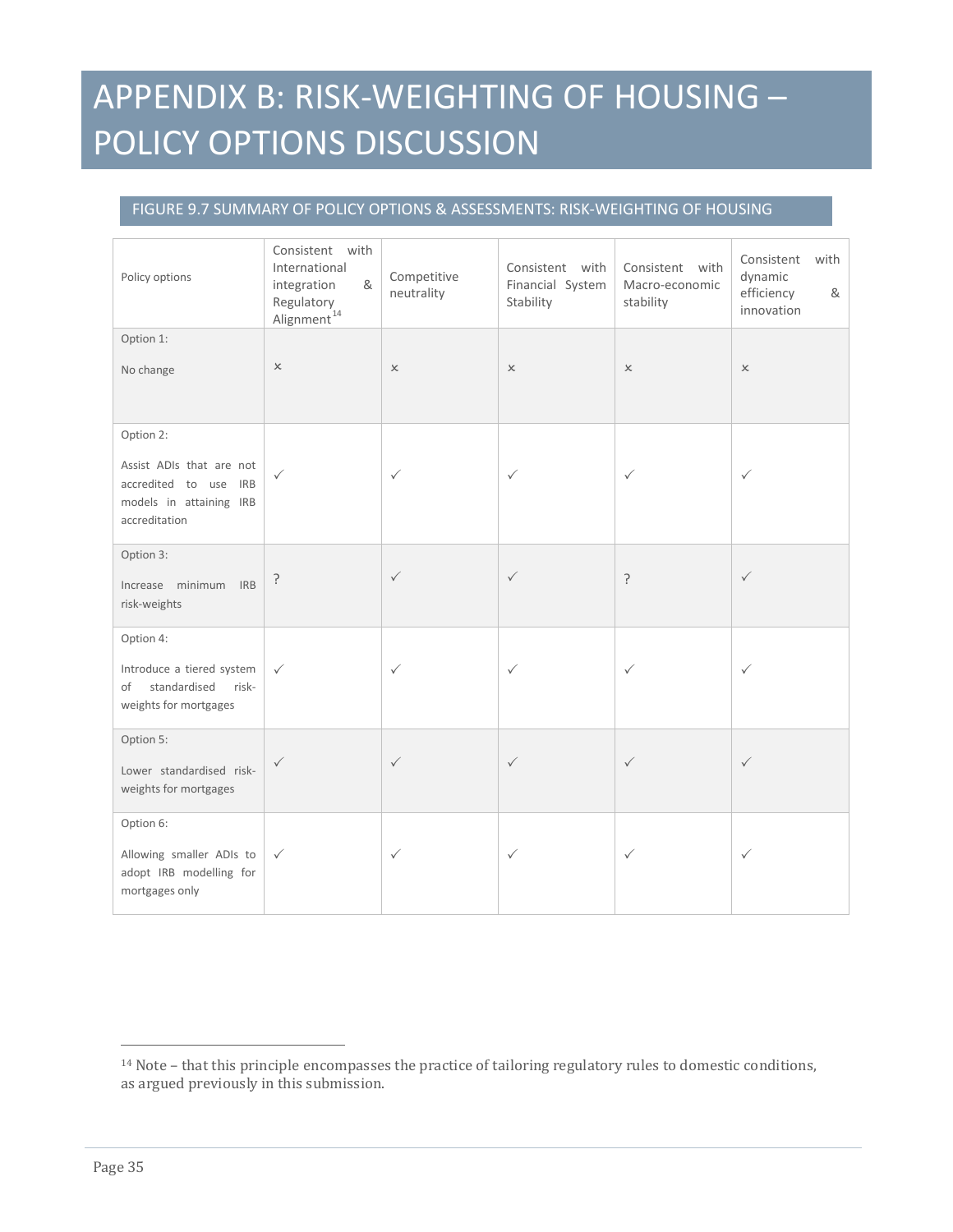### FIGURE 9.7 SUMMARY OF POLICY OPTIONS & ASSESSMENTS: RISK-WEIGHTING OF HOUSING

| Policy options                                                                                             | Consistent with<br>International<br>integration<br>&<br>Regulatory<br>Alignment <sup>14</sup> | Competitive<br>neutrality | Consistent with<br>Financial System<br>Stability | Consistent with<br>Macro-economic<br>stability | Consistent<br>with<br>dynamic<br>efficiency<br>&<br>innovation |
|------------------------------------------------------------------------------------------------------------|-----------------------------------------------------------------------------------------------|---------------------------|--------------------------------------------------|------------------------------------------------|----------------------------------------------------------------|
| Option 1:<br>No change                                                                                     | $\boldsymbol{\times}$                                                                         | $\times$                  | $\boldsymbol{\times}$                            | $\boldsymbol{\times}$                          | $\times$                                                       |
| Option 2:<br>Assist ADIs that are not<br>accredited to use IRB<br>models in attaining IRB<br>accreditation | $\checkmark$                                                                                  | $\checkmark$              | $\checkmark$                                     | $\checkmark$                                   | $\checkmark$                                                   |
| Option 3:<br>Increase minimum IRB<br>risk-weights                                                          | ç                                                                                             | $\checkmark$              | $\checkmark$                                     | ?                                              | $\checkmark$                                                   |
| Option 4:<br>Introduce a tiered system<br>of<br>standardised<br>risk-<br>weights for mortgages             | $\checkmark$                                                                                  | $\checkmark$              | $\checkmark$                                     | $\checkmark$                                   | ✓                                                              |
| Option 5:<br>Lower standardised risk-<br>weights for mortgages                                             | $\checkmark$                                                                                  | $\checkmark$              | $\checkmark$                                     | $\checkmark$                                   | $\checkmark$                                                   |
| Option 6:<br>Allowing smaller ADIs to<br>adopt IRB modelling for<br>mortgages only                         | $\checkmark$                                                                                  | ✓                         | $\checkmark$                                     | $\checkmark$                                   | $\checkmark$                                                   |

j

<span id="page-34-0"></span><sup>14</sup> Note – that this principle encompasses the practice of tailoring regulatory rules to domestic conditions, as argued previously in this submission.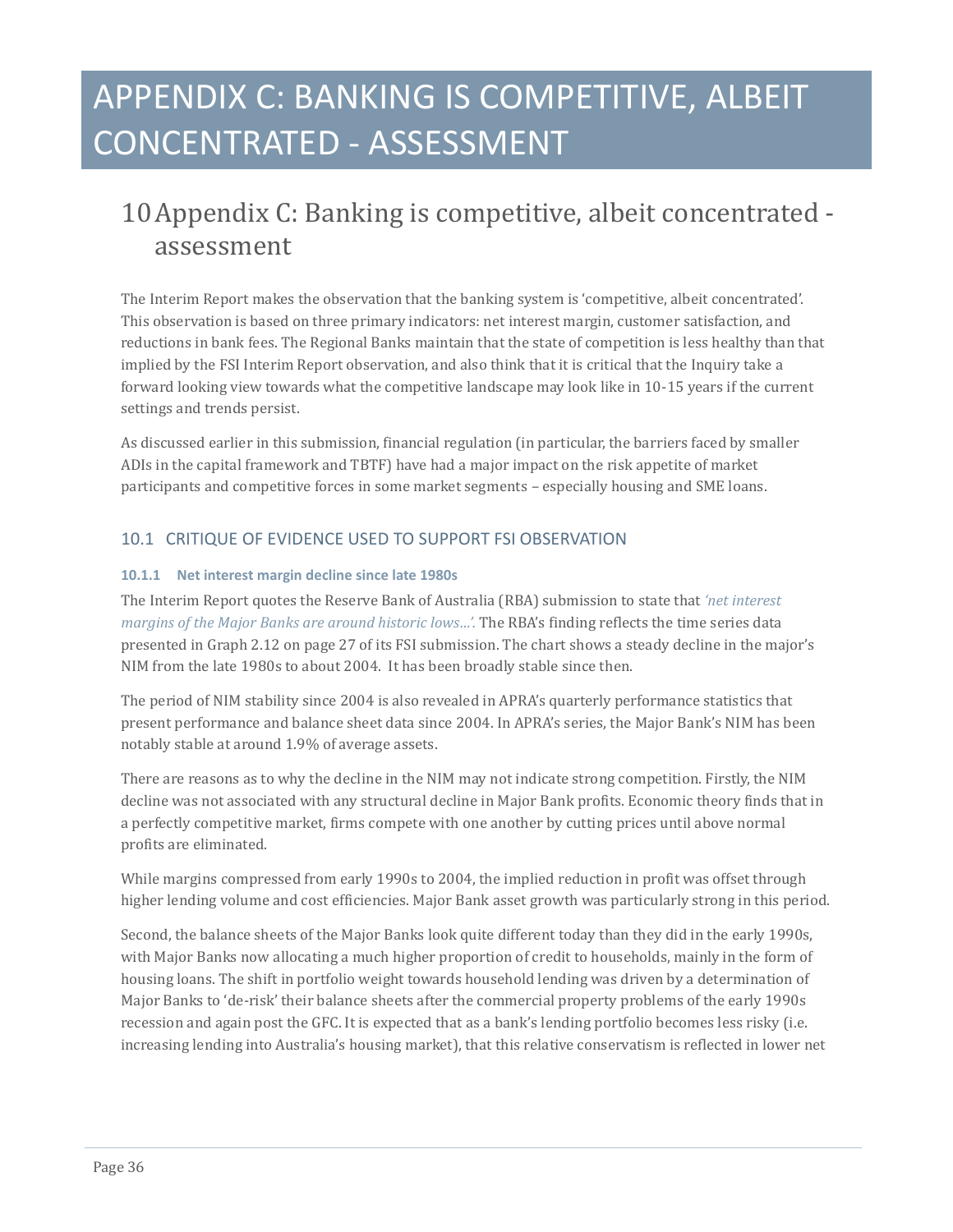### <span id="page-35-0"></span>10Appendix C: Banking is competitive, albeit concentrated assessment

The Interim Report makes the observation that the banking system is 'competitive, albeit concentrated'. This observation is based on three primary indicators: net interest margin, customer satisfaction, and reductions in bank fees. The Regional Banks maintain that the state of competition is less healthy than that implied by the FSI Interim Report observation, and also think that it is critical that the Inquiry take a forward looking view towards what the competitive landscape may look like in 10-15 years if the current settings and trends persist.

As discussed earlier in this submission, financial regulation (in particular, the barriers faced by smaller ADIs in the capital framework and TBTF) have had a major impact on the risk appetite of market participants and competitive forces in some market segments – especially housing and SME loans.

### 10.1 CRITIQUE OF EVIDENCE USED TO SUPPORT FSI OBSERVATION

#### **10.1.1 Net interest margin decline since late 1980s**

The Interim Report quotes the Reserve Bank of Australia (RBA) submission to state that *'net interest margins of the Major Banks are around historic lows…'.* The RBA's finding reflects the time series data presented in Graph 2.12 on page 27 of its FSI submission. The chart shows a steady decline in the major's NIM from the late 1980s to about 2004. It has been broadly stable since then.

The period of NIM stability since 2004 is also revealed in APRA's quarterly performance statistics that present performance and balance sheet data since 2004. In APRA's series, the Major Bank's NIM has been notably stable at around 1.9% of average assets.

There are reasons as to why the decline in the NIM may not indicate strong competition. Firstly, the NIM decline was not associated with any structural decline in Major Bank profits. Economic theory finds that in a perfectly competitive market, firms compete with one another by cutting prices until above normal profits are eliminated.

While margins compressed from early 1990s to 2004, the implied reduction in profit was offset through higher lending volume and cost efficiencies. Major Bank asset growth was particularly strong in this period.

Second, the balance sheets of the Major Banks look quite different today than they did in the early 1990s, with Major Banks now allocating a much higher proportion of credit to households, mainly in the form of housing loans. The shift in portfolio weight towards household lending was driven by a determination of Major Banks to 'de-risk' their balance sheets after the commercial property problems of the early 1990s recession and again post the GFC. It is expected that as a bank's lending portfolio becomes less risky (i.e. increasing lending into Australia's housing market), that this relative conservatism is reflected in lower net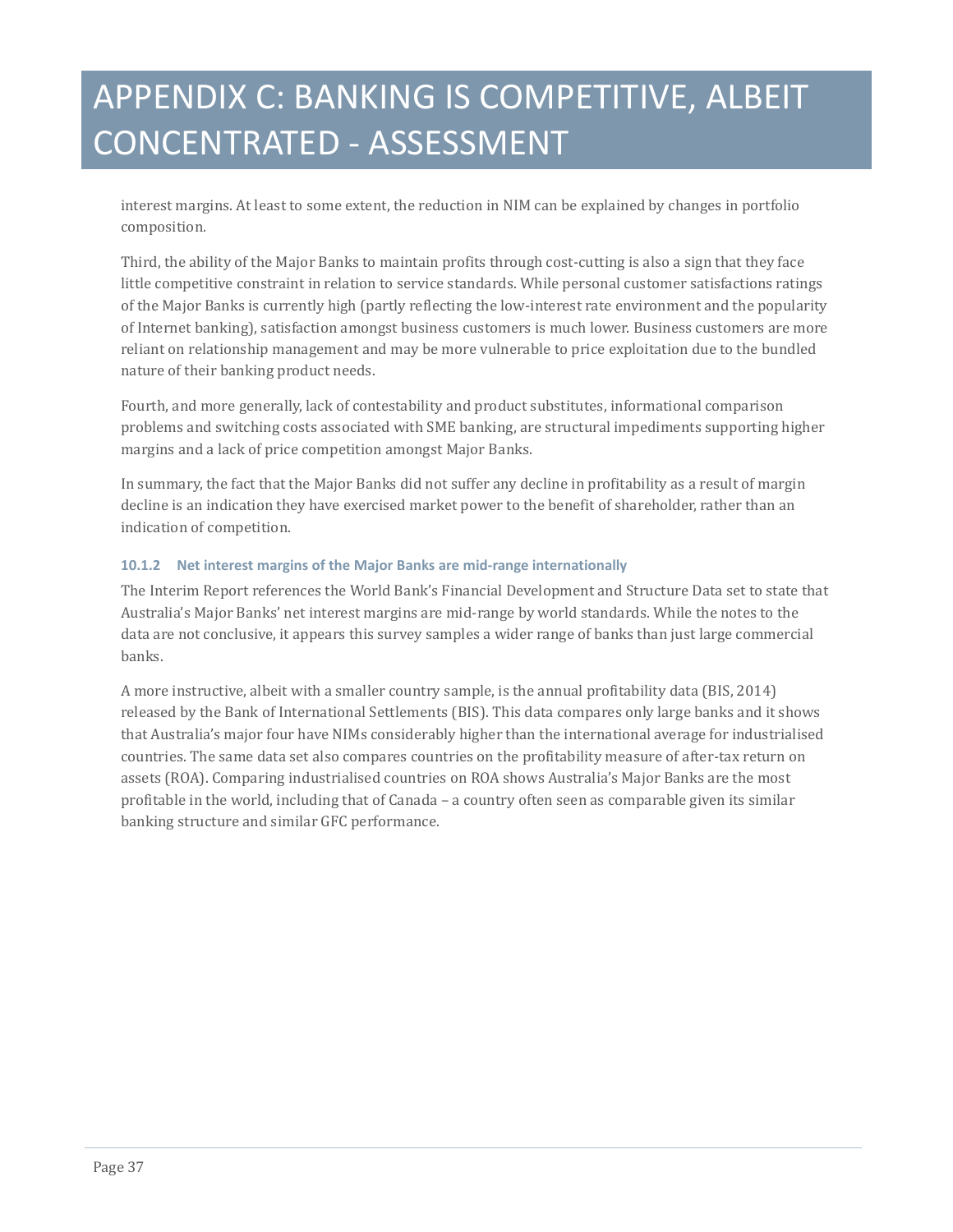interest margins. At least to some extent, the reduction in NIM can be explained by changes in portfolio composition.

Third, the ability of the Major Banks to maintain profits through cost-cutting is also a sign that they face little competitive constraint in relation to service standards. While personal customer satisfactions ratings of the Major Banks is currently high (partly reflecting the low-interest rate environment and the popularity of Internet banking), satisfaction amongst business customers is much lower. Business customers are more reliant on relationship management and may be more vulnerable to price exploitation due to the bundled nature of their banking product needs.

Fourth, and more generally, lack of contestability and product substitutes, informational comparison problems and switching costs associated with SME banking, are structural impediments supporting higher margins and a lack of price competition amongst Major Banks.

In summary, the fact that the Major Banks did not suffer any decline in profitability as a result of margin decline is an indication they have exercised market power to the benefit of shareholder, rather than an indication of competition.

#### **10.1.2 Net interest margins of the Major Banks are mid-range internationally**

The Interim Report references the World Bank's Financial Development and Structure Data set to state that Australia's Major Banks' net interest margins are mid-range by world standards. While the notes to the data are not conclusive, it appears this survey samples a wider range of banks than just large commercial banks.

A more instructive, albeit with a smaller country sample, is the annual profitability data (BIS, 2014) released by the Bank of International Settlements (BIS). This data compares only large banks and it shows that Australia's major four have NIMs considerably higher than the international average for industrialised countries. The same data set also compares countries on the profitability measure of after-tax return on assets (ROA). Comparing industrialised countries on ROA shows Australia's Major Banks are the most profitable in the world, including that of Canada – a country often seen as comparable given its similar banking structure and similar GFC performance.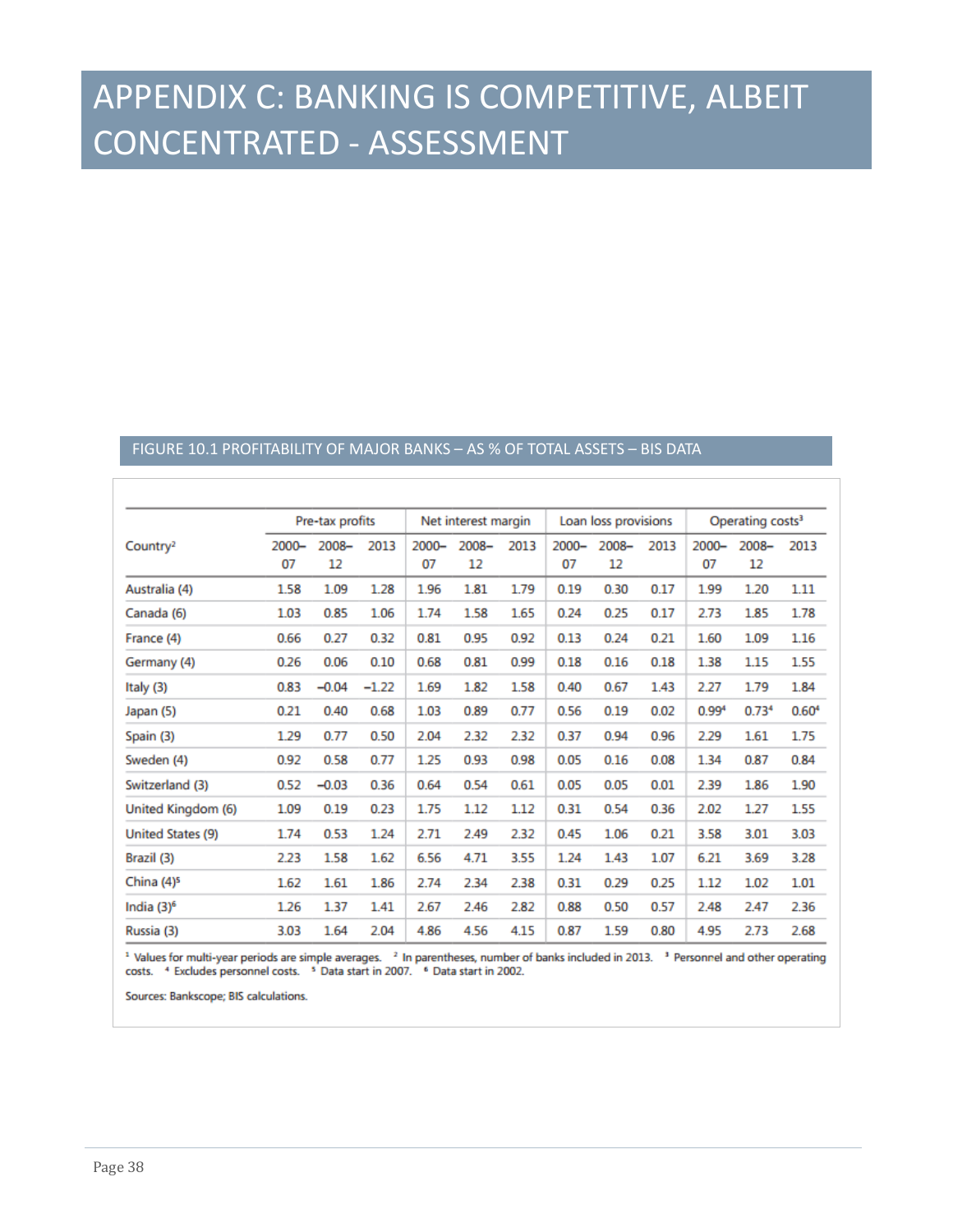#### FIGURE 10.1 PROFITABILITY OF MAJOR BANKS – AS % OF TOTAL ASSETS – BIS DATA

|                        | Pre-tax profits |             | Net interest margin |                | Loan loss provisions |      | Operating costs <sup>3</sup> |             |      |                   |                   |                   |
|------------------------|-----------------|-------------|---------------------|----------------|----------------------|------|------------------------------|-------------|------|-------------------|-------------------|-------------------|
| Country <sup>2</sup>   | $2000 -$<br>07  | 2008-<br>12 | 2013                | $2000 -$<br>07 | $2008 -$<br>12       | 2013 | $2000 -$<br>07               | 2008-<br>12 | 2013 | $2000 -$<br>07    | $2008 -$<br>12    | 2013              |
| Australia (4)          | 1.58            | 1.09        | 1.28                | 1.96           | 1.81                 | 1.79 | 0.19                         | 0.30        | 0.17 | 1.99              | 1.20              | 1.11              |
| Canada (6)             | 1.03            | 0.85        | 1.06                | 1.74           | 1.58                 | 1.65 | 0.24                         | 0.25        | 0.17 | 2.73              | 1.85              | 1.78              |
| France (4)             | 0.66            | 0.27        | 0.32                | 0.81           | 0.95                 | 0.92 | 0.13                         | 0.24        | 0.21 | 1.60              | 1.09              | 1.16              |
| Germany (4)            | 0.26            | 0.06        | 0.10                | 0.68           | 0.81                 | 0.99 | 0.18                         | 0.16        | 0.18 | 1.38              | 1.15              | 1.55              |
| Italy (3)              | 0.83            | $-0.04$     | $-1.22$             | 1.69           | 1.82                 | 1.58 | 0.40                         | 0.67        | 1.43 | 2.27              | 1.79              | 1.84              |
| Japan (5)              | 0.21            | 0.40        | 0.68                | 1.03           | 0.89                 | 0.77 | 0.56                         | 0.19        | 0.02 | 0.99 <sup>4</sup> | 0.73 <sup>4</sup> | 0.60 <sup>4</sup> |
| Spain (3)              | 1.29            | 0.77        | 0.50                | 2.04           | 2.32                 | 2.32 | 0.37                         | 0.94        | 0.96 | 2.29              | 1.61              | 1.75              |
| Sweden (4)             | 0.92            | 0.58        | 0.77                | 1.25           | 0.93                 | 0.98 | 0.05                         | 0.16        | 0.08 | 1.34              | 0.87              | 0.84              |
| Switzerland (3)        | 0.52            | $-0.03$     | 0.36                | 0.64           | 0.54                 | 0.61 | 0.05                         | 0.05        | 0.01 | 2.39              | 1.86              | 1.90              |
| United Kingdom (6)     | 1.09            | 0.19        | 0.23                | 1.75           | 1.12                 | 1.12 | 0.31                         | 0.54        | 0.36 | 2.02              | 1.27              | 1.55              |
| United States (9)      | 1.74            | 0.53        | 1.24                | 2.71           | 2.49                 | 2.32 | 0.45                         | 1.06        | 0.21 | 3.58              | 3.01              | 3.03              |
| Brazil (3)             | 2.23            | 1.58        | 1.62                | 6.56           | 4.71                 | 3.55 | 1.24                         | 1.43        | 1.07 | 6.21              | 3.69              | 3.28              |
| China (4) <sup>5</sup> | 1.62            | 1.61        | 1.86                | 2.74           | 2.34                 | 2.38 | 0.31                         | 0.29        | 0.25 | 1.12              | 1.02              | 1.01              |
| India (3) <sup>6</sup> | 1.26            | 1.37        | 1.41                | 2.67           | 2.46                 | 2.82 | 0.88                         | 0.50        | 0.57 | 2.48              | 2.47              | 2.36              |
| Russia (3)             | 3.03            | 1.64        | 2.04                | 4.86           | 4.56                 | 4.15 | 0.87                         | 1.59        | 0.80 | 4.95              | 2.73              | 2.68              |

<sup>1</sup> Values for multi-year periods are simple averages. <sup>2</sup> In parentheses, number of banks included in 2013. <sup>3</sup> Personnel and other operating costs. 4 Excludes personnel costs. 5 Data start in 2007. 6 Data start in 2002.

Sources: Bankscope; BIS calculations.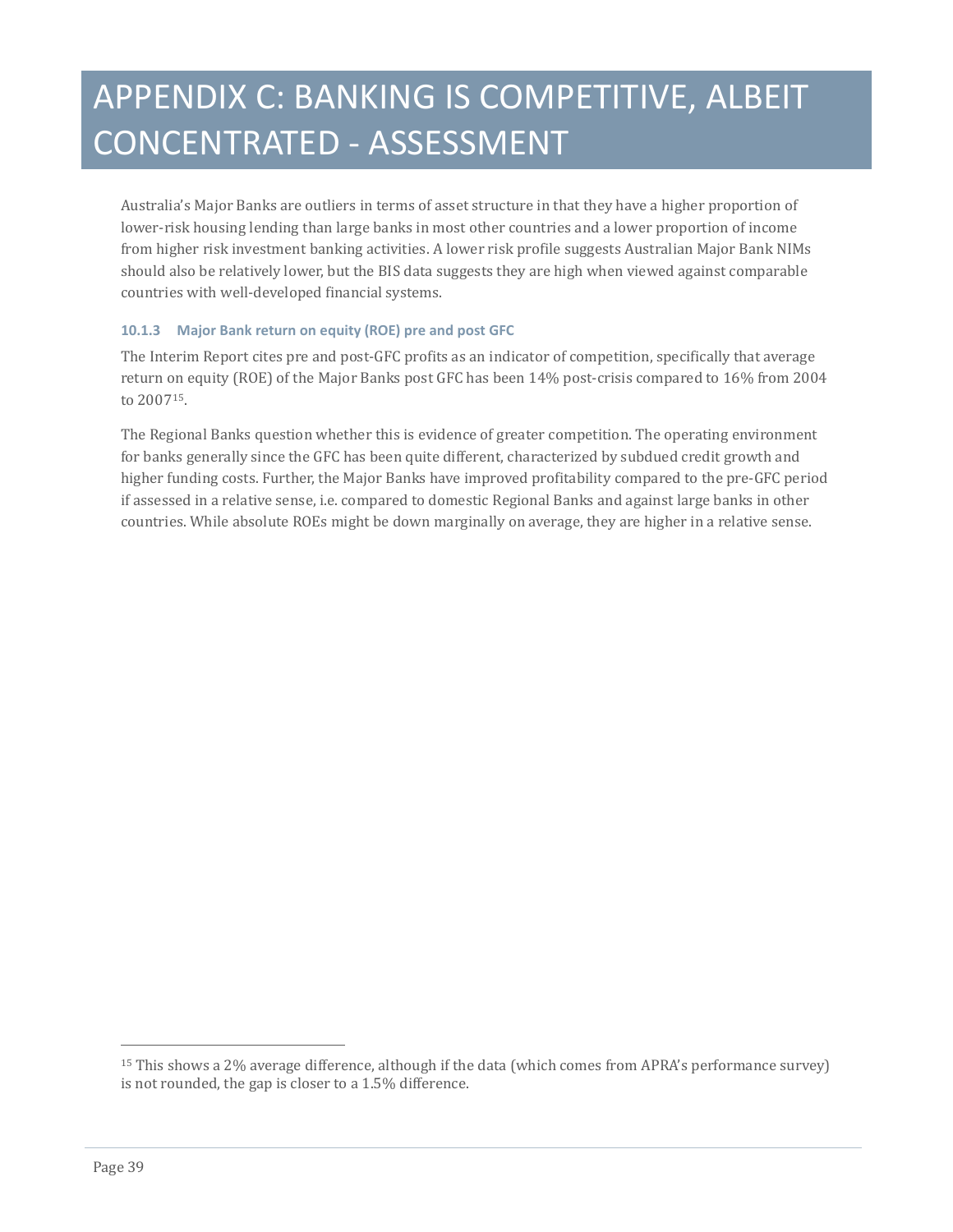Australia's Major Banks are outliers in terms of asset structure in that they have a higher proportion of lower-risk housing lending than large banks in most other countries and a lower proportion of income from higher risk investment banking activities. A lower risk profile suggests Australian Major Bank NIMs should also be relatively lower, but the BIS data suggests they are high when viewed against comparable countries with well-developed financial systems.

#### **10.1.3 Major Bank return on equity (ROE) pre and post GFC**

The Interim Report cites pre and post-GFC profits as an indicator of competition, specifically that average return on equity (ROE) of the Major Banks post GFC has been 14% post-crisis compared to 16% from 2004 to 2007[15](#page-34-0).

The Regional Banks question whether this is evidence of greater competition. The operating environment for banks generally since the GFC has been quite different, characterized by subdued credit growth and higher funding costs. Further, the Major Banks have improved profitability compared to the pre-GFC period if assessed in a relative sense, i.e. compared to domestic Regional Banks and against large banks in other countries. While absolute ROEs might be down marginally on average, they are higher in a relative sense.

j

<span id="page-38-0"></span><sup>15</sup> This shows a 2% average difference, although if the data (which comes from APRA's performance survey) is not rounded, the gap is closer to a 1.5% difference.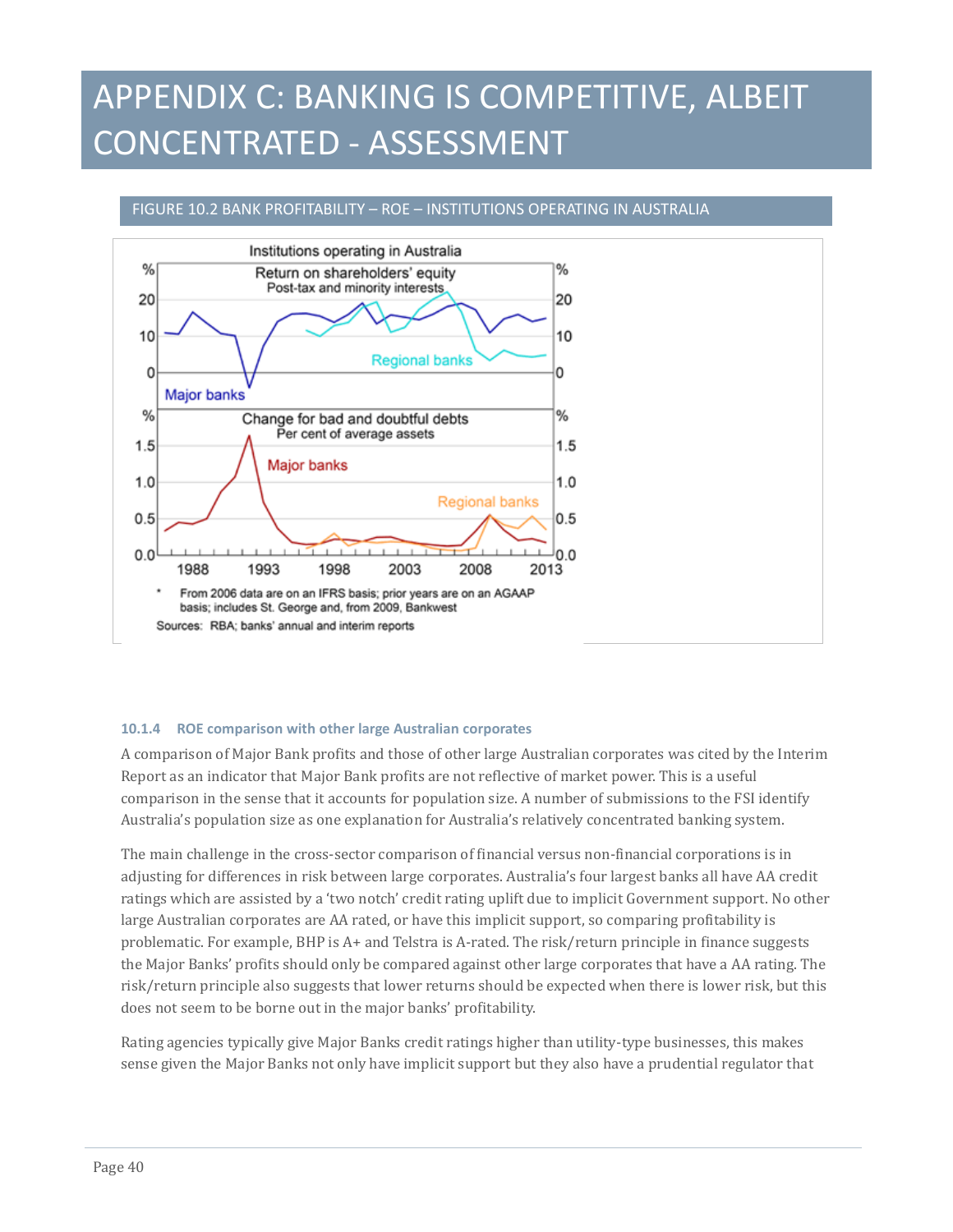#### FIGURE 10.2 BANK PROFITABILITY – ROE – INSTITUTIONS OPERATING IN AUSTRALIA



#### **10.1.4 ROE comparison with other large Australian corporates**

A comparison of Major Bank profits and those of other large Australian corporates was cited by the Interim Report as an indicator that Major Bank profits are not reflective of market power. This is a useful comparison in the sense that it accounts for population size. A number of submissions to the FSI identify Australia's population size as one explanation for Australia's relatively concentrated banking system.

The main challenge in the cross-sector comparison of financial versus non-financial corporations is in adjusting for differences in risk between large corporates. Australia's four largest banks all have AA credit ratings which are assisted by a 'two notch' credit rating uplift due to implicit Government support. No other large Australian corporates are AA rated, or have this implicit support, so comparing profitability is problematic. For example, BHP is A+ and Telstra is A-rated. The risk/return principle in finance suggests the Major Banks' profits should only be compared against other large corporates that have a AA rating. The risk/return principle also suggests that lower returns should be expected when there is lower risk, but this does not seem to be borne out in the major banks' profitability.

Rating agencies typically give Major Banks credit ratings higher than utility-type businesses, this makes sense given the Major Banks not only have implicit support but they also have a prudential regulator that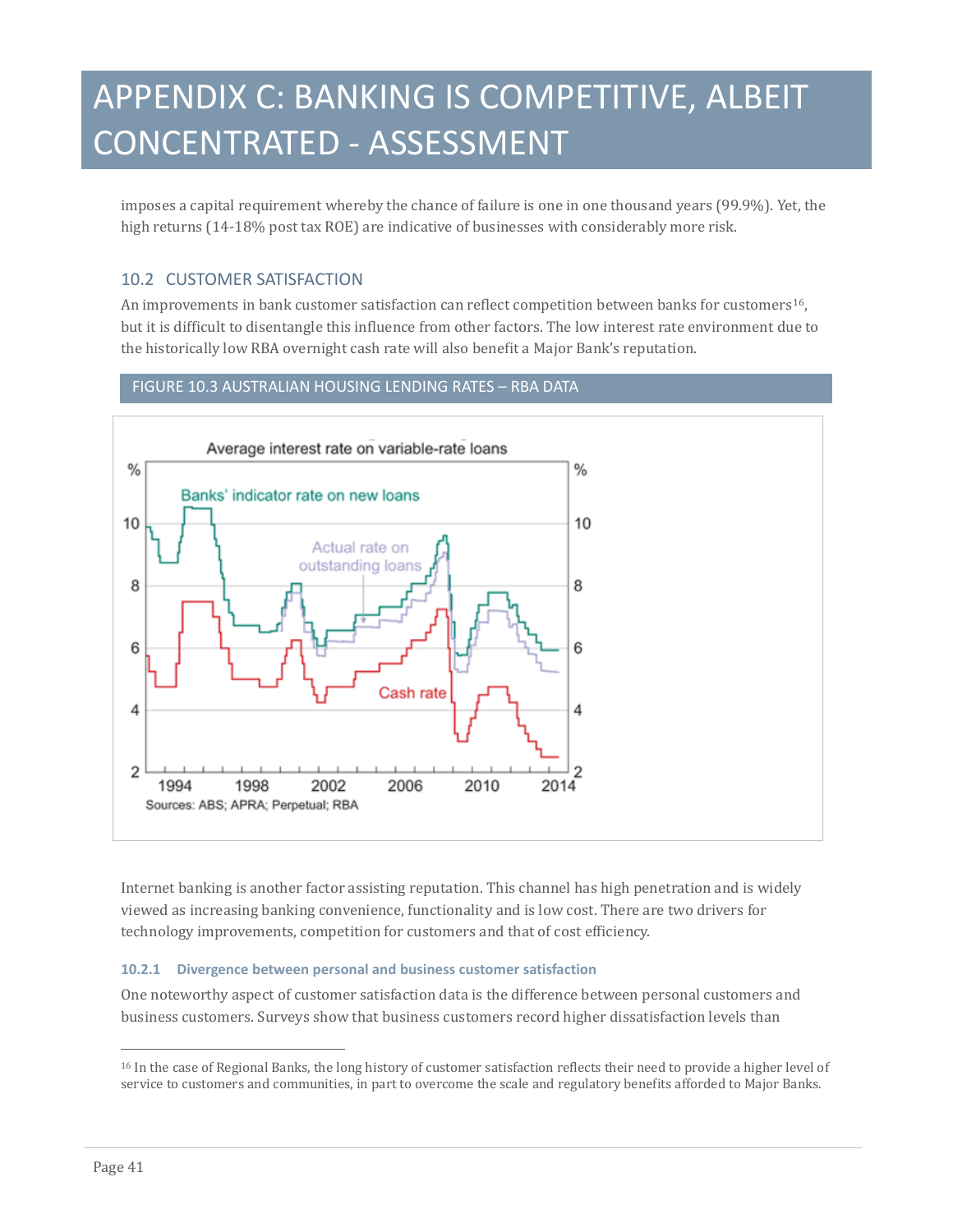imposes a capital requirement whereby the chance of failure is one in one thousand years (99.9%). Yet, the high returns (14-18% post tax ROE) are indicative of businesses with considerably more risk.

### 10.2 CUSTOMER SATISFACTION

An improvements in bank customer satisfaction can reflect competition between banks for customers<sup>16</sup>, but it is difficult to disentangle this influence from other factors. The low interest rate environment due to the historically low RBA overnight cash rate will also benefit a Major Bank's reputation.

### FIGURE 10.3 AUSTRALIAN HOUSING LENDING RATES – RBA DATA



Internet banking is another factor assisting reputation. This channel has high penetration and is widely viewed as increasing banking convenience, functionality and is low cost. There are two drivers for technology improvements, competition for customers and that of cost efficiency.

#### **10.2.1 Divergence between personal and business customer satisfaction**

One noteworthy aspect of customer satisfaction data is the difference between personal customers and business customers. Surveys show that business customers record higher dissatisfaction levels than

<span id="page-40-0"></span>j <sup>16</sup> In the case of Regional Banks, the long history of customer satisfaction reflects their need to provide a higher level of service to customers and communities, in part to overcome the scale and regulatory benefits afforded to Major Banks.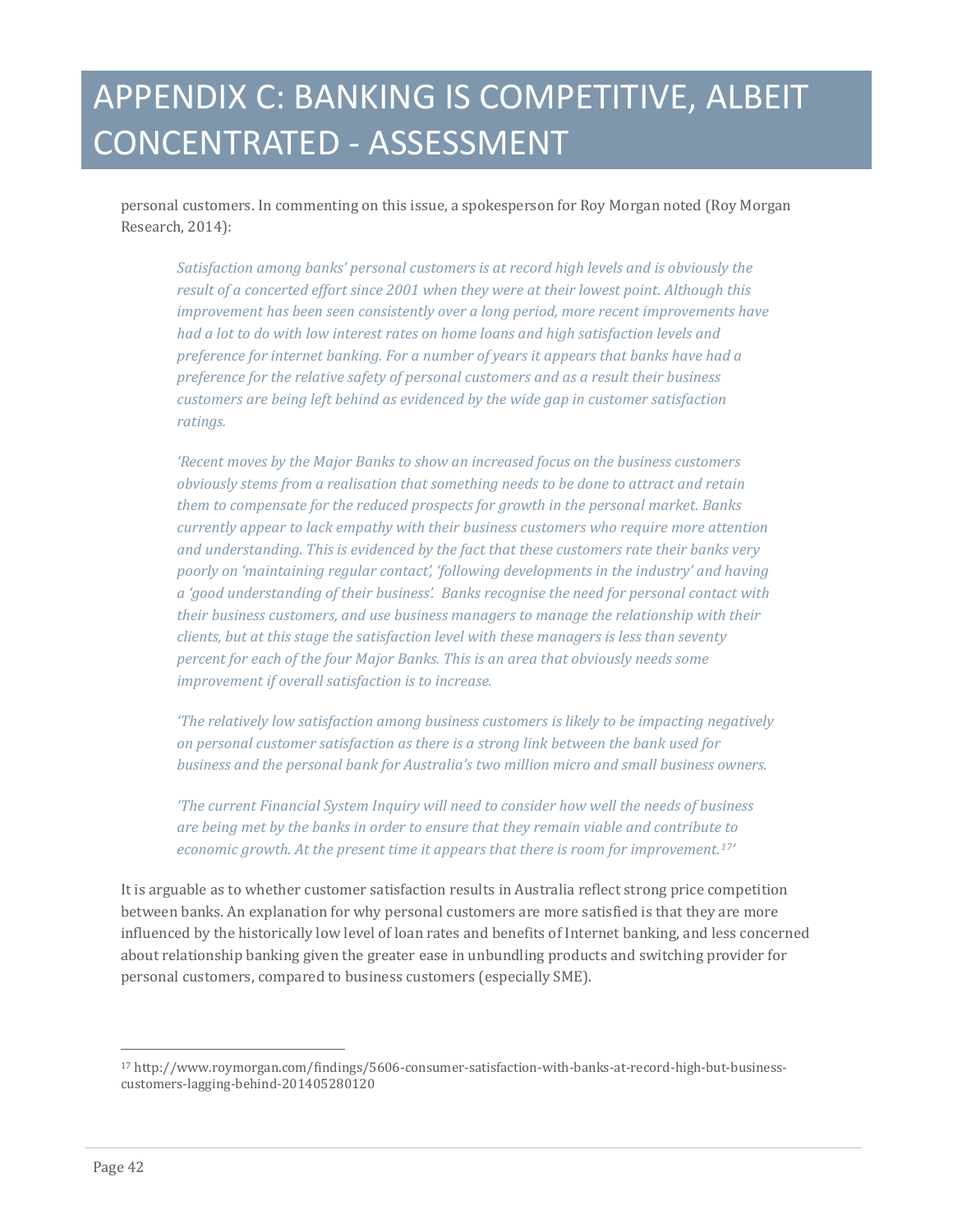personal customers. In commenting on this issue, a spokesperson for Roy Morgan noted (Roy Morgan Research, 2014):

*Satisfaction among banks' personal customers is at record high levels and is obviously the result of a concerted effort since 2001 when they were at their lowest point. Although this improvement has been seen consistently over a long period, more recent improvements have had a lot to do with low interest rates on home loans and high satisfaction levels and preference for internet banking. For a number of years it appears that banks have had a preference for the relative safety of personal customers and as a result their business customers are being left behind as evidenced by the wide gap in customer satisfaction ratings.*

*'Recent moves by the Major Banks to show an increased focus on the business customers obviously stems from a realisation that something needs to be done to attract and retain them to compensate for the reduced prospects for growth in the personal market. Banks currently appear to lack empathy with their business customers who require more attention and understanding. This is evidenced by the fact that these customers rate their banks very poorly on 'maintaining regular contact', 'following developments in the industry' and having a 'good understanding of their business'. Banks recognise the need for personal contact with their business customers, and use business managers to manage the relationship with their clients, but at this stage the satisfaction level with these managers is less than seventy percent for each of the four Major Banks. This is an area that obviously needs some improvement if overall satisfaction is to increase.*

*'The relatively low satisfaction among business customers is likely to be impacting negatively on personal customer satisfaction as there is a strong link between the bank used for business and the personal bank for Australia's two million micro and small business owners.*

*'The current Financial System Inquiry will need to consider how well the needs of business are being met by the banks in order to ensure that they remain viable and contribute to economic growth. At the present time it appears that there is room for improvement.[17](#page-40-0)'*

It is arguable as to whether customer satisfaction results in Australia reflect strong price competition between banks. An explanation for why personal customers are more satisfied is that they are more influenced by the historically low level of loan rates and benefits of Internet banking, and less concerned about relationship banking given the greater ease in unbundling products and switching provider for personal customers, compared to business customers (especially SME).

j

<span id="page-41-0"></span><sup>17</sup> http://www.roymorgan.com/findings/5606-consumer-satisfaction-with-banks-at-record-high-but-businesscustomers-lagging-behind-201405280120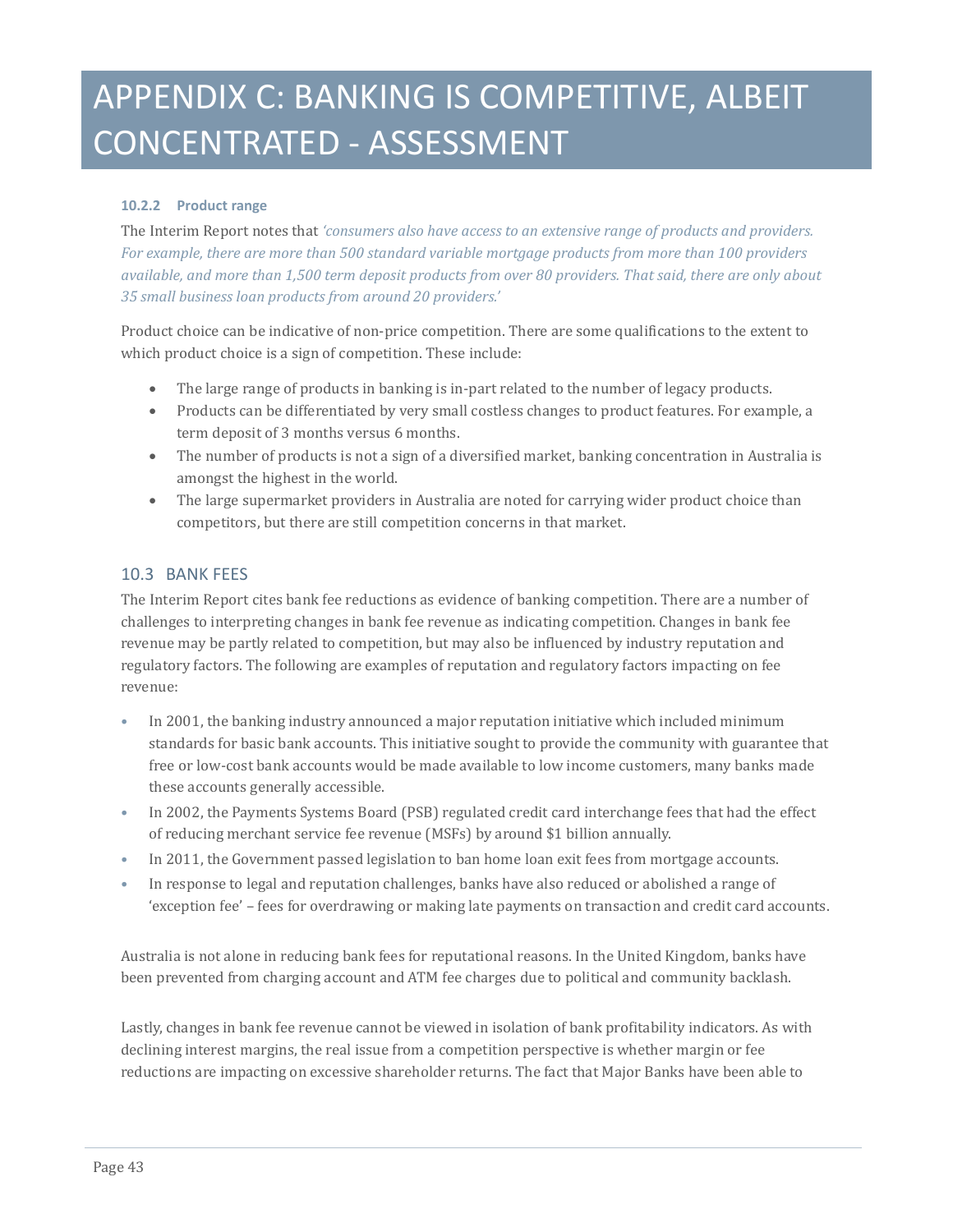### **10.2.2 Product range**

The Interim Report notes that *'consumers also have access to an extensive range of products and providers. For example, there are more than 500 standard variable mortgage products from more than 100 providers available, and more than 1,500 term deposit products from over 80 providers. That said, there are only about 35 small business loan products from around 20 providers.'*

Product choice can be indicative of non-price competition. There are some qualifications to the extent to which product choice is a sign of competition. These include:

- The large range of products in banking is in-part related to the number of legacy products.
- Products can be differentiated by very small costless changes to product features. For example, a term deposit of 3 months versus 6 months.
- The number of products is not a sign of a diversified market, banking concentration in Australia is amongst the highest in the world.
- The large supermarket providers in Australia are noted for carrying wider product choice than competitors, but there are still competition concerns in that market.

### 10.3 BANK FEES

The Interim Report cites bank fee reductions as evidence of banking competition. There are a number of challenges to interpreting changes in bank fee revenue as indicating competition. Changes in bank fee revenue may be partly related to competition, but may also be influenced by industry reputation and regulatory factors. The following are examples of reputation and regulatory factors impacting on fee revenue:

- In 2001, the banking industry announced a major reputation initiative which included minimum standards for basic bank accounts. This initiative sought to provide the community with guarantee that free or low-cost bank accounts would be made available to low income customers, many banks made these accounts generally accessible.
- In 2002, the Payments Systems Board (PSB) regulated credit card interchange fees that had the effect of reducing merchant service fee revenue (MSFs) by around \$1 billion annually.
- In 2011, the Government passed legislation to ban home loan exit fees from mortgage accounts.
- In response to legal and reputation challenges, banks have also reduced or abolished a range of 'exception fee' – fees for overdrawing or making late payments on transaction and credit card accounts.

Australia is not alone in reducing bank fees for reputational reasons. In the United Kingdom, banks have been prevented from charging account and ATM fee charges due to political and community backlash.

Lastly, changes in bank fee revenue cannot be viewed in isolation of bank profitability indicators. As with declining interest margins, the real issue from a competition perspective is whether margin or fee reductions are impacting on excessive shareholder returns. The fact that Major Banks have been able to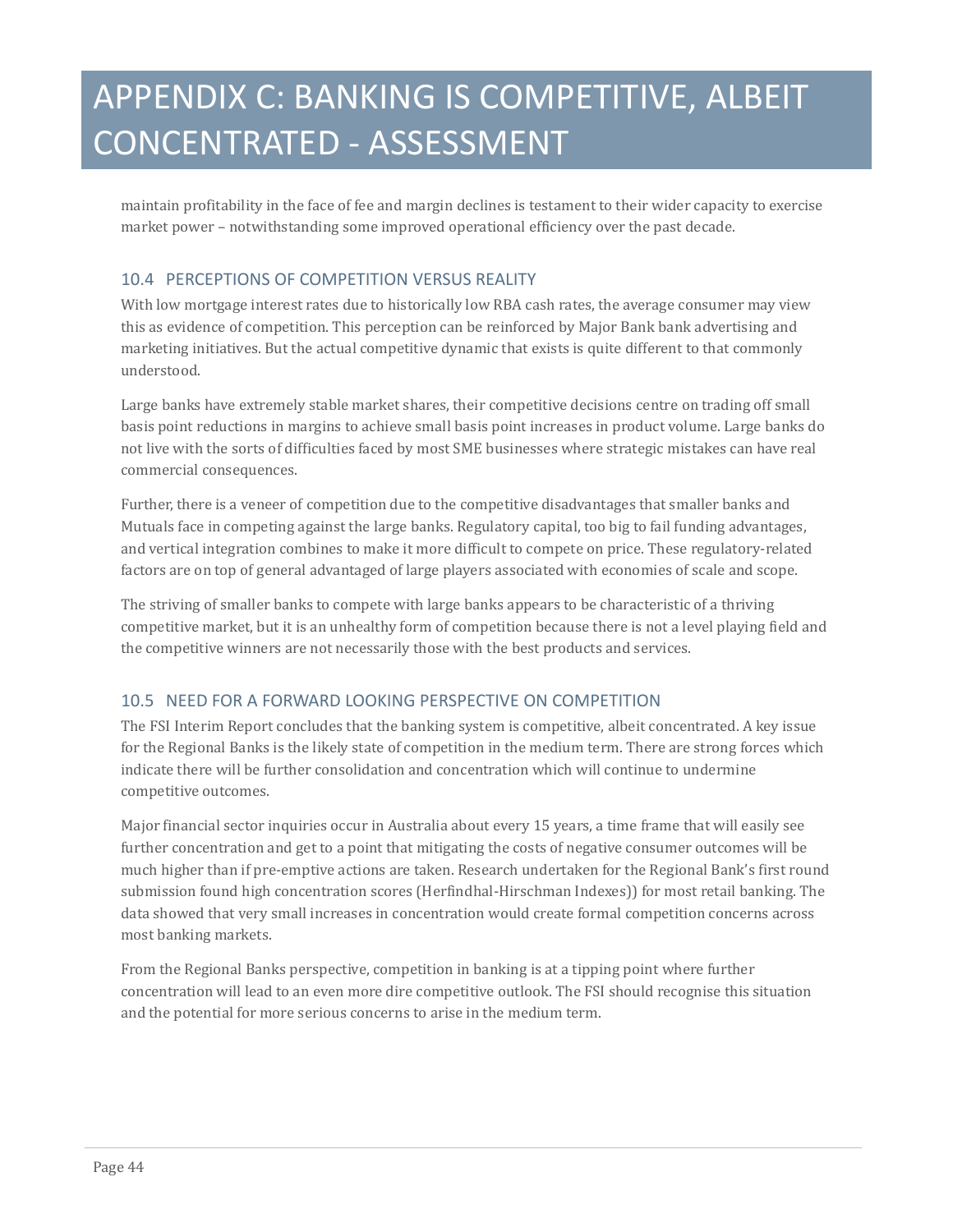maintain profitability in the face of fee and margin declines is testament to their wider capacity to exercise market power – notwithstanding some improved operational efficiency over the past decade.

### 10.4 PERCEPTIONS OF COMPETITION VERSUS REALITY

With low mortgage interest rates due to historically low RBA cash rates, the average consumer may view this as evidence of competition. This perception can be reinforced by Major Bank bank advertising and marketing initiatives. But the actual competitive dynamic that exists is quite different to that commonly understood.

Large banks have extremely stable market shares, their competitive decisions centre on trading off small basis point reductions in margins to achieve small basis point increases in product volume. Large banks do not live with the sorts of difficulties faced by most SME businesses where strategic mistakes can have real commercial consequences.

Further, there is a veneer of competition due to the competitive disadvantages that smaller banks and Mutuals face in competing against the large banks. Regulatory capital, too big to fail funding advantages, and vertical integration combines to make it more difficult to compete on price. These regulatory-related factors are on top of general advantaged of large players associated with economies of scale and scope.

The striving of smaller banks to compete with large banks appears to be characteristic of a thriving competitive market, but it is an unhealthy form of competition because there is not a level playing field and the competitive winners are not necessarily those with the best products and services.

### 10.5 NEED FOR A FORWARD LOOKING PERSPECTIVE ON COMPETITION

The FSI Interim Report concludes that the banking system is competitive, albeit concentrated. A key issue for the Regional Banks is the likely state of competition in the medium term. There are strong forces which indicate there will be further consolidation and concentration which will continue to undermine competitive outcomes.

Major financial sector inquiries occur in Australia about every 15 years, a time frame that will easily see further concentration and get to a point that mitigating the costs of negative consumer outcomes will be much higher than if pre-emptive actions are taken. Research undertaken for the Regional Bank's first round submission found high concentration scores (Herfindhal-Hirschman Indexes)) for most retail banking. The data showed that very small increases in concentration would create formal competition concerns across most banking markets.

From the Regional Banks perspective, competition in banking is at a tipping point where further concentration will lead to an even more dire competitive outlook. The FSI should recognise this situation and the potential for more serious concerns to arise in the medium term.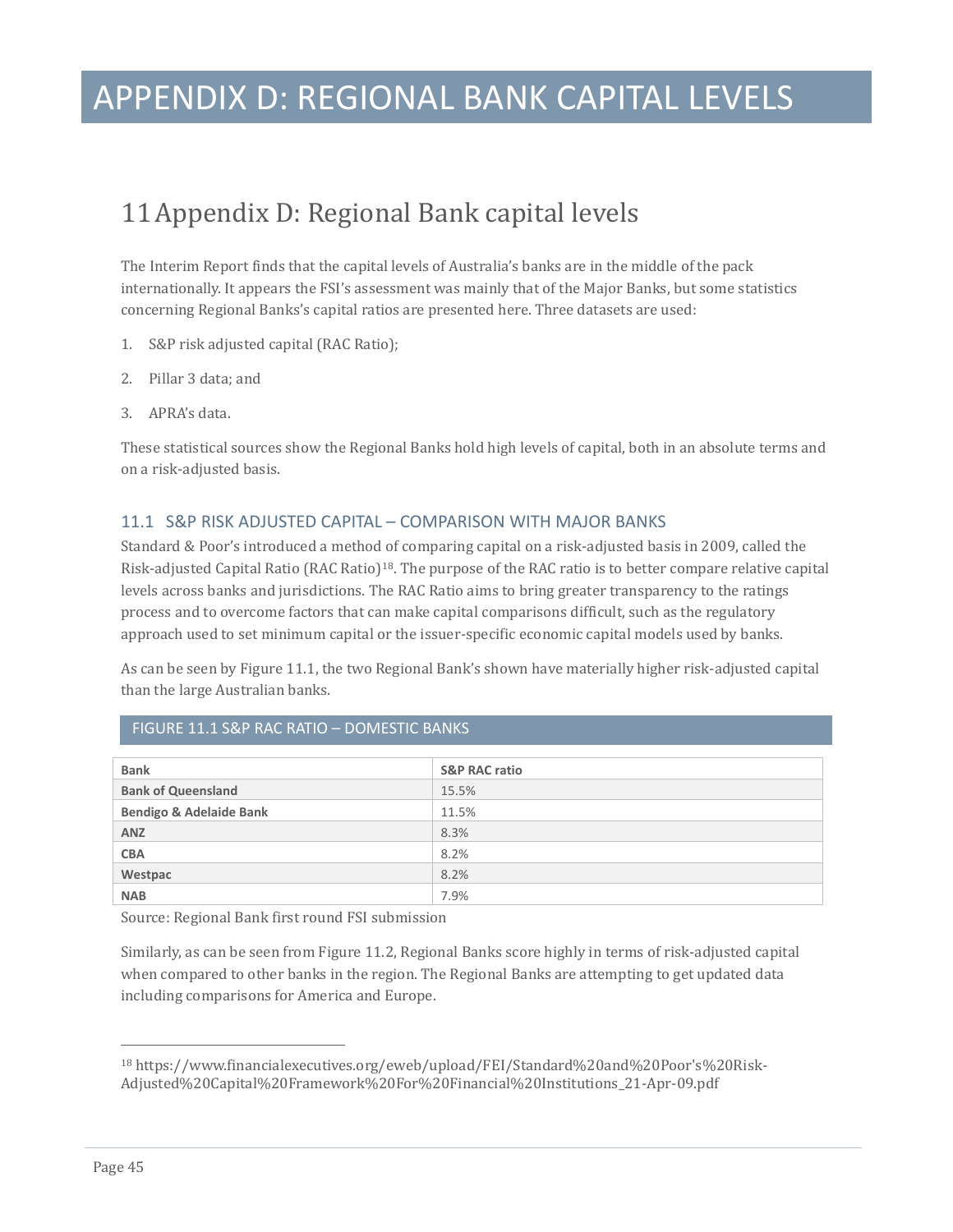### APPENDIX D: REGIONAL BANK CAPITAL LEVELS

### <span id="page-44-0"></span>11Appendix D: Regional Bank capital levels

The Interim Report finds that the capital levels of Australia's banks are in the middle of the pack internationally. It appears the FSI's assessment was mainly that of the Major Banks, but some statistics concerning Regional Banks's capital ratios are presented here. Three datasets are used:

- 1. S&P risk adjusted capital (RAC Ratio);
- 2. Pillar 3 data; and
- 3. APRA's data.

These statistical sources show the Regional Banks hold high levels of capital, both in an absolute terms and on a risk-adjusted basis.

### 11.1 S&P RISK ADJUSTED CAPITAL – COMPARISON WITH MAJOR BANKS

Standard & Poor's introduced a method of comparing capital on a risk-adjusted basis in 2009, called the Risk-adjusted Capital Ratio (RAC Ratio)[18](#page-41-0). The purpose of the RAC ratio is to better compare relative capital levels across banks and jurisdictions. The RAC Ratio aims to bring greater transparency to the ratings process and to overcome factors that can make capital comparisons difficult, such as the regulatory approach used to set minimum capital or the issuer-specific economic capital models used by banks.

As can be seen by Figure 11.1, the two Regional Bank's shown have materially higher risk-adjusted capital than the large Australian banks.

| <b>Bank</b>                        | <b>S&amp;P RAC ratio</b> |
|------------------------------------|--------------------------|
| <b>Bank of Queensland</b>          | 15.5%                    |
| <b>Bendigo &amp; Adelaide Bank</b> | 11.5%                    |
| <b>ANZ</b>                         | 8.3%                     |
| <b>CBA</b>                         | 8.2%                     |
| Westpac                            | 8.2%                     |
| <b>NAB</b>                         | 7.9%                     |

#### FIGURE 11.1 S&P RAC RATIO – DOMESTIC BANKS

Source: Regional Bank first round FSI submission

Similarly, as can be seen from Figure 11.2, Regional Banks score highly in terms of risk-adjusted capital when compared to other banks in the region. The Regional Banks are attempting to get updated data including comparisons for America and Europe.

j <sup>18</sup> https://www.financialexecutives.org/eweb/upload/FEI/Standard%20and%20Poor's%20Risk-Adjusted%20Capital%20Framework%20For%20Financial%20Institutions\_21-Apr-09.pdf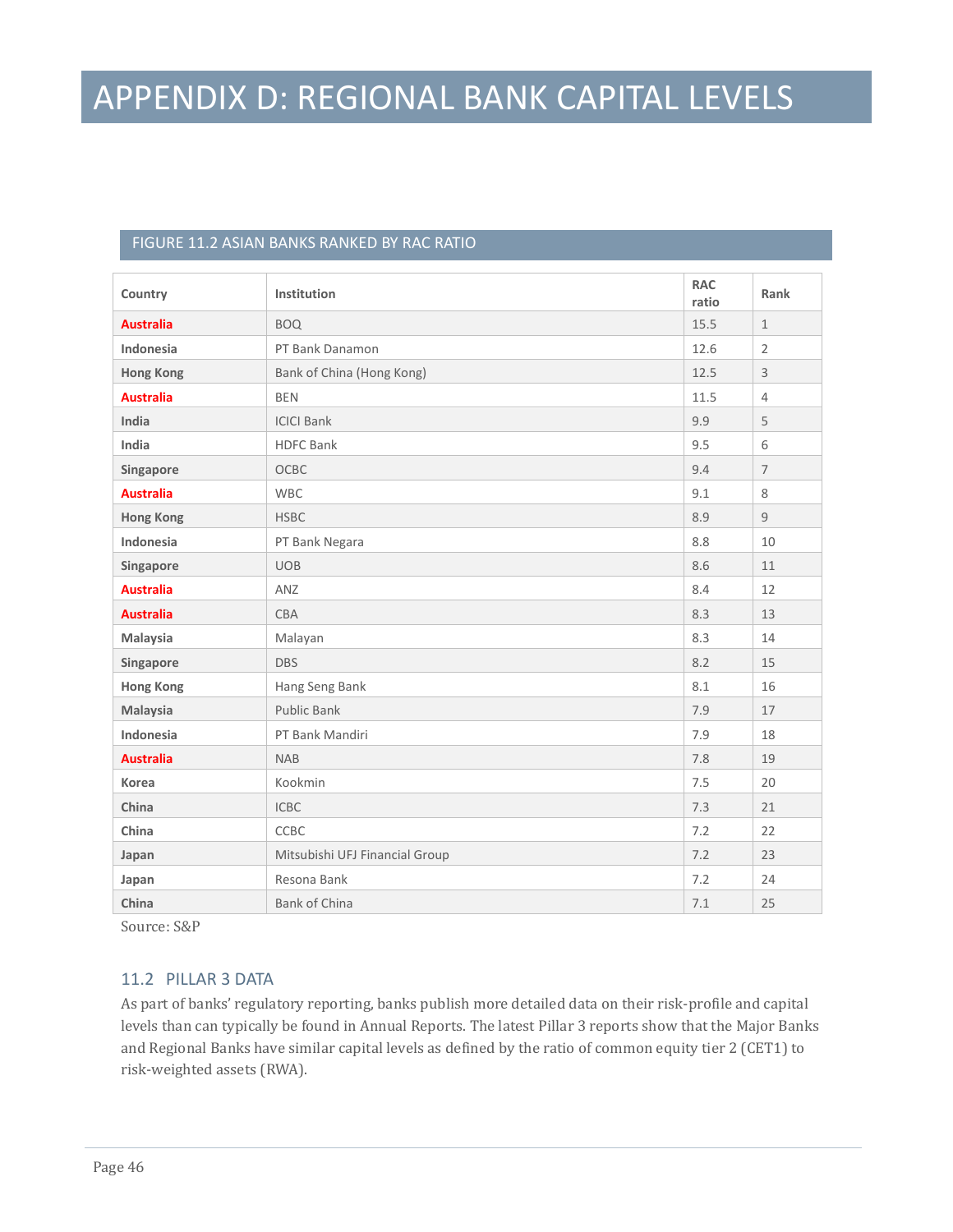### APPENDIX D: REGIONAL BANK CAPITAL LEVELS

### FIGURE 11.2 ASIAN BANKS RANKED BY RAC RATIO

| Country          | Institution                    | <b>RAC</b><br>ratio | Rank           |
|------------------|--------------------------------|---------------------|----------------|
| <b>Australia</b> | <b>BOQ</b>                     | 15.5                | $\mathbf{1}$   |
| Indonesia        | PT Bank Danamon                | 12.6                | $\overline{2}$ |
| <b>Hong Kong</b> | Bank of China (Hong Kong)      | 12.5                | 3              |
| <b>Australia</b> | <b>BEN</b>                     | 11.5                | $\overline{4}$ |
| India            | <b>ICICI Bank</b>              | 9.9                 | 5              |
| India            | <b>HDFC Bank</b>               | 9.5                 | 6              |
| Singapore        | <b>OCBC</b>                    | 9.4                 | $\overline{7}$ |
| <b>Australia</b> | <b>WBC</b>                     | 9.1                 | 8              |
| <b>Hong Kong</b> | <b>HSBC</b>                    | 8.9                 | 9              |
| Indonesia        | PT Bank Negara                 | 8.8                 | 10             |
| Singapore        | <b>UOB</b>                     | 8.6                 | 11             |
| <b>Australia</b> | ANZ                            | 8.4                 | 12             |
| <b>Australia</b> | <b>CBA</b>                     | 8.3                 | 13             |
| Malaysia         | Malayan                        | 8.3                 | 14             |
| Singapore        | <b>DBS</b>                     | 8.2                 | 15             |
| <b>Hong Kong</b> | Hang Seng Bank                 | 8.1                 | 16             |
| Malaysia         | Public Bank                    | 7.9                 | 17             |
| Indonesia        | PT Bank Mandiri                | 7.9                 | 18             |
| <b>Australia</b> | <b>NAB</b>                     | 7.8                 | 19             |
| <b>Korea</b>     | Kookmin                        | 7.5                 | 20             |
| China            | <b>ICBC</b>                    | 7.3                 | 21             |
| China            | CCBC                           | 7.2                 | 22             |
| Japan            | Mitsubishi UFJ Financial Group | 7.2                 | 23             |
| Japan            | Resona Bank                    | 7.2                 | 24             |
| China            | <b>Bank of China</b>           | 7.1                 | 25             |

Source: S&P

### 11.2 PILLAR 3 DATA

As part of banks' regulatory reporting, banks publish more detailed data on their risk-profile and capital levels than can typically be found in Annual Reports. The latest Pillar 3 reports show that the Major Banks and Regional Banks have similar capital levels as defined by the ratio of common equity tier 2 (CET1) to risk-weighted assets (RWA).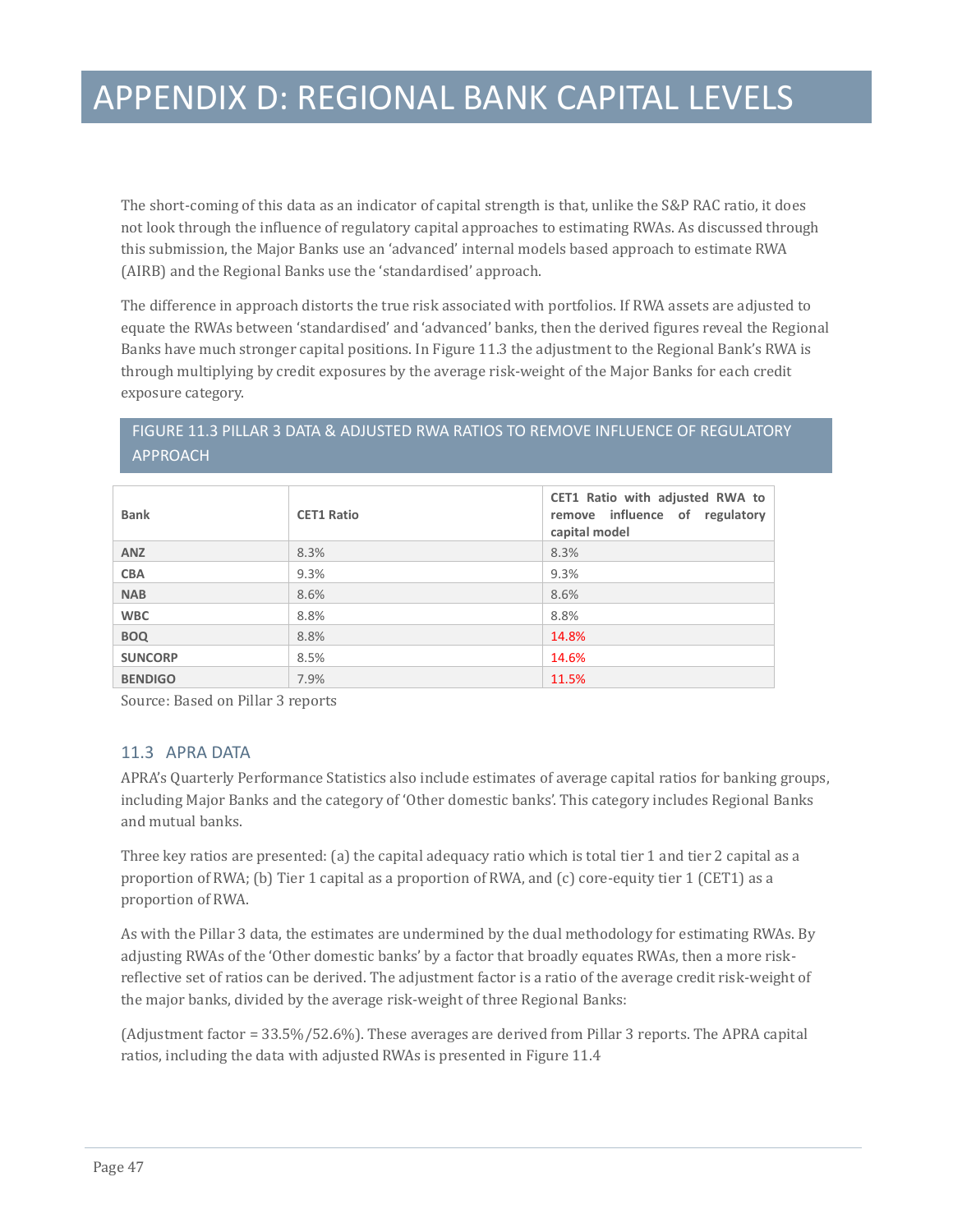The short-coming of this data as an indicator of capital strength is that, unlike the S&P RAC ratio, it does not look through the influence of regulatory capital approaches to estimating RWAs. As discussed through this submission, the Major Banks use an 'advanced' internal models based approach to estimate RWA (AIRB) and the Regional Banks use the 'standardised' approach.

The difference in approach distorts the true risk associated with portfolios. If RWA assets are adjusted to equate the RWAs between 'standardised' and 'advanced' banks, then the derived figures reveal the Regional Banks have much stronger capital positions. In Figure 11.3 the adjustment to the Regional Bank's RWA is through multiplying by credit exposures by the average risk-weight of the Major Banks for each credit exposure category.

### FIGURE 11.3 PILLAR 3 DATA & ADJUSTED RWA RATIOS TO REMOVE INFLUENCE OF REGULATORY APPROACH

| <b>Bank</b>    | <b>CET1 Ratio</b> | CET1 Ratio with adjusted RWA to<br>remove influence of regulatory<br>capital model |
|----------------|-------------------|------------------------------------------------------------------------------------|
| <b>ANZ</b>     | 8.3%              | 8.3%                                                                               |
| <b>CBA</b>     | 9.3%              | 9.3%                                                                               |
| <b>NAB</b>     | 8.6%              | 8.6%                                                                               |
| <b>WBC</b>     | 8.8%              | 8.8%                                                                               |
| <b>BOQ</b>     | 8.8%              | 14.8%                                                                              |
| <b>SUNCORP</b> | 8.5%              | 14.6%                                                                              |
| <b>BENDIGO</b> | 7.9%              | 11.5%                                                                              |

Source: Based on Pillar 3 reports

#### 11.3 APRA DATA

APRA's Quarterly Performance Statistics also include estimates of average capital ratios for banking groups, including Major Banks and the category of 'Other domestic banks'. This category includes Regional Banks and mutual banks.

Three key ratios are presented: (a) the capital adequacy ratio which is total tier 1 and tier 2 capital as a proportion of RWA; (b) Tier 1 capital as a proportion of RWA, and (c) core-equity tier 1 (CET1) as a proportion of RWA.

As with the Pillar 3 data, the estimates are undermined by the dual methodology for estimating RWAs. By adjusting RWAs of the 'Other domestic banks' by a factor that broadly equates RWAs, then a more riskreflective set of ratios can be derived. The adjustment factor is a ratio of the average credit risk-weight of the major banks, divided by the average risk-weight of three Regional Banks:

(Adjustment factor = 33.5%/52.6%). These averages are derived from Pillar 3 reports. The APRA capital ratios, including the data with adjusted RWAs is presented in Figure 11.4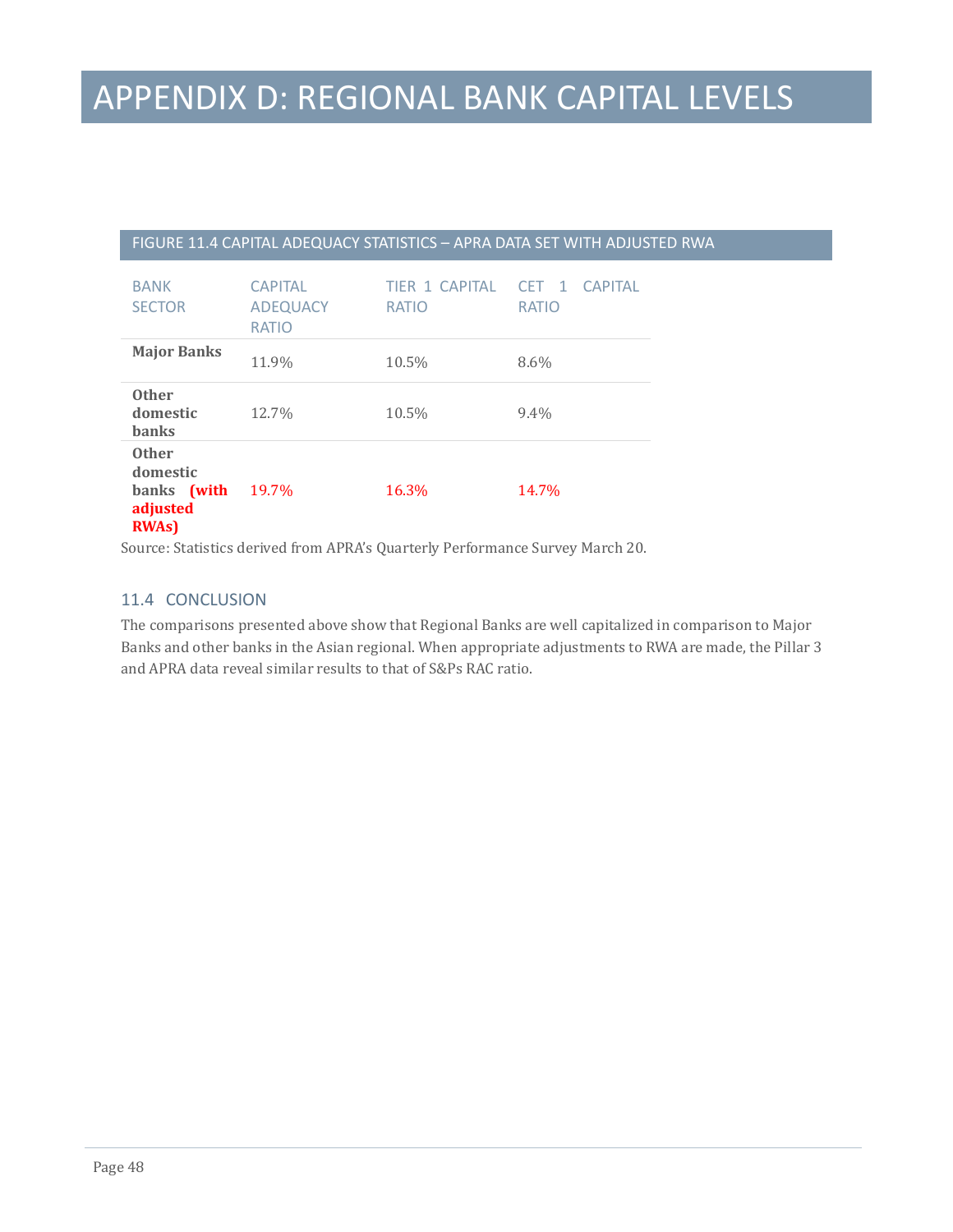### APPENDIX D: REGIONAL BANK CAPITAL LEVELS

#### FIGURE 11.4 CAPITAL ADEQUACY STATISTICS – APRA DATA SET WITH ADJUSTED RWA

| <b>BANK</b><br><b>SECTOR</b>                                         | <b>CAPITAL</b><br><b>ADEQUACY</b><br><b>RATIO</b> | TIFR 1 CAPITAL<br><b>RATIO</b> | CFT 1<br>CAPITAL<br><b>RATIO</b> |
|----------------------------------------------------------------------|---------------------------------------------------|--------------------------------|----------------------------------|
| <b>Major Banks</b>                                                   | 11.9%                                             | 10.5%                          | $8.6\%$                          |
| <b>Other</b><br>domestic<br><b>banks</b>                             | 12.7%                                             | 10.5%                          | $9.4\%$                          |
| <b>Other</b><br>domestic<br>banks (with<br>adjusted<br><b>RWAs</b> ) | 19.7%                                             | 16.3%                          | 14.7%                            |

Source: Statistics derived from APRA's Quarterly Performance Survey March 20.

### 11.4 CONCLUSION

The comparisons presented above show that Regional Banks are well capitalized in comparison to Major Banks and other banks in the Asian regional. When appropriate adjustments to RWA are made, the Pillar 3 and APRA data reveal similar results to that of S&Ps RAC ratio.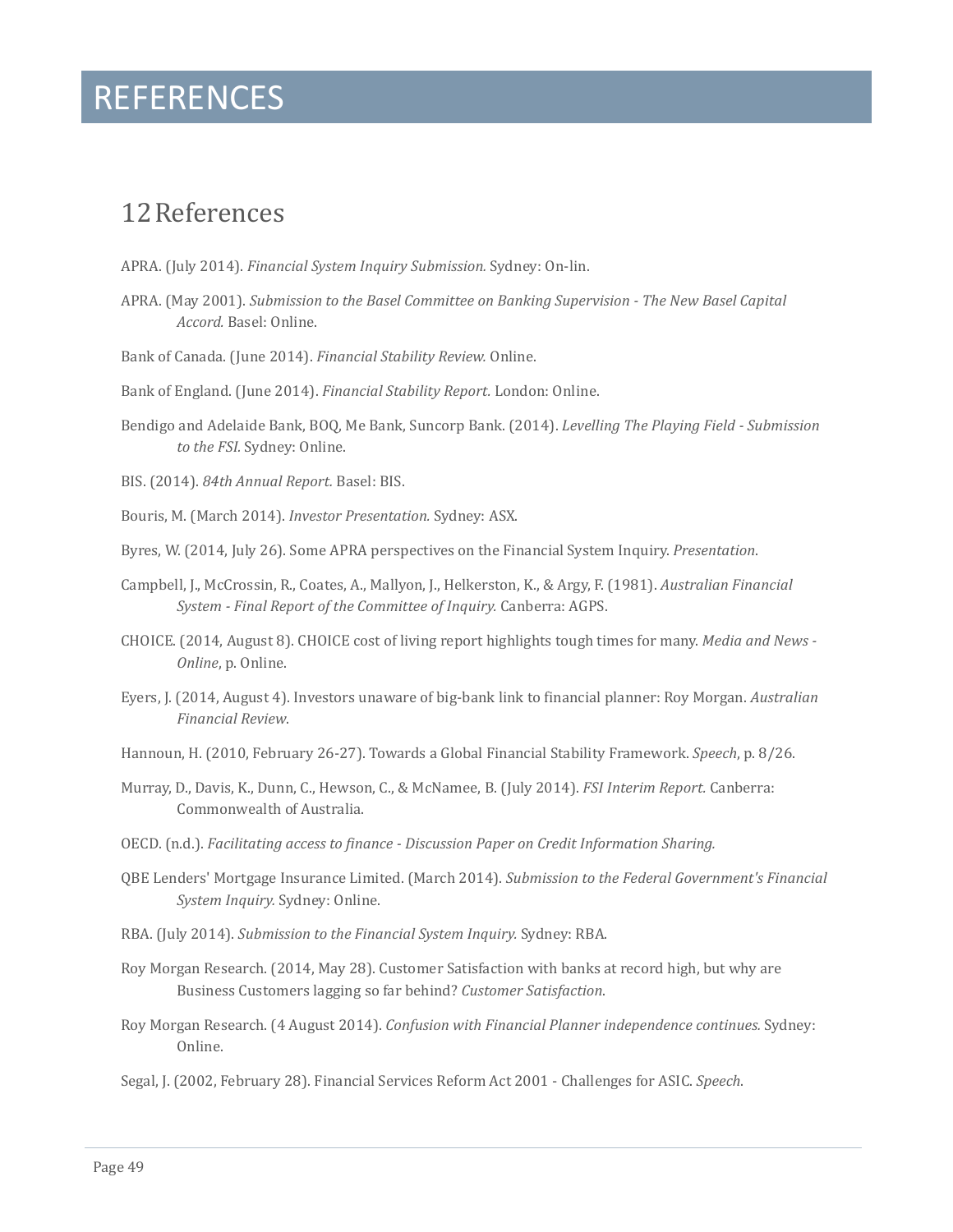### REFERENCES

### <span id="page-48-0"></span>12References

- APRA. (July 2014). *Financial System Inquiry Submission.* Sydney: On-lin.
- APRA. (May 2001). *Submission to the Basel Committee on Banking Supervision - The New Basel Capital Accord.* Basel: Online.
- Bank of Canada. (June 2014). *Financial Stability Review.* Online.

Bank of England. (June 2014). *Financial Stability Report.* London: Online.

Bendigo and Adelaide Bank, BOQ, Me Bank, Suncorp Bank. (2014). *Levelling The Playing Field - Submission to the FSI.* Sydney: Online.

BIS. (2014). *84th Annual Report.* Basel: BIS.

- Bouris, M. (March 2014). *Investor Presentation.* Sydney: ASX.
- Byres, W. (2014, July 26). Some APRA perspectives on the Financial System Inquiry. *Presentation*.
- Campbell, J., McCrossin, R., Coates, A., Mallyon, J., Helkerston, K., & Argy, F. (1981). *Australian Financial System - Final Report of the Committee of Inquiry.* Canberra: AGPS.
- CHOICE. (2014, August 8). CHOICE cost of living report highlights tough times for many. *Media and News - Online*, p. Online.
- Eyers, J. (2014, August 4). Investors unaware of big-bank link to financial planner: Roy Morgan. *Australian Financial Review*.
- Hannoun, H. (2010, February 26-27). Towards a Global Financial Stability Framework. *Speech*, p. 8/26.
- Murray, D., Davis, K., Dunn, C., Hewson, C., & McNamee, B. (July 2014). *FSI Interim Report.* Canberra: Commonwealth of Australia.
- OECD. (n.d.). *Facilitating access to finance - Discussion Paper on Credit Information Sharing.*
- QBE Lenders' Mortgage Insurance Limited. (March 2014). *Submission to the Federal Government's Financial System Inquiry.* Sydney: Online.
- RBA. (July 2014). *Submission to the Financial System Inquiry.* Sydney: RBA.
- Roy Morgan Research. (2014, May 28). Customer Satisfaction with banks at record high, but why are Business Customers lagging so far behind? *Customer Satisfaction*.
- Roy Morgan Research. (4 August 2014). *Confusion with Financial Planner independence continues.* Sydney: Online.
- Segal, J. (2002, February 28). Financial Services Reform Act 2001 Challenges for ASIC. *Speech*.